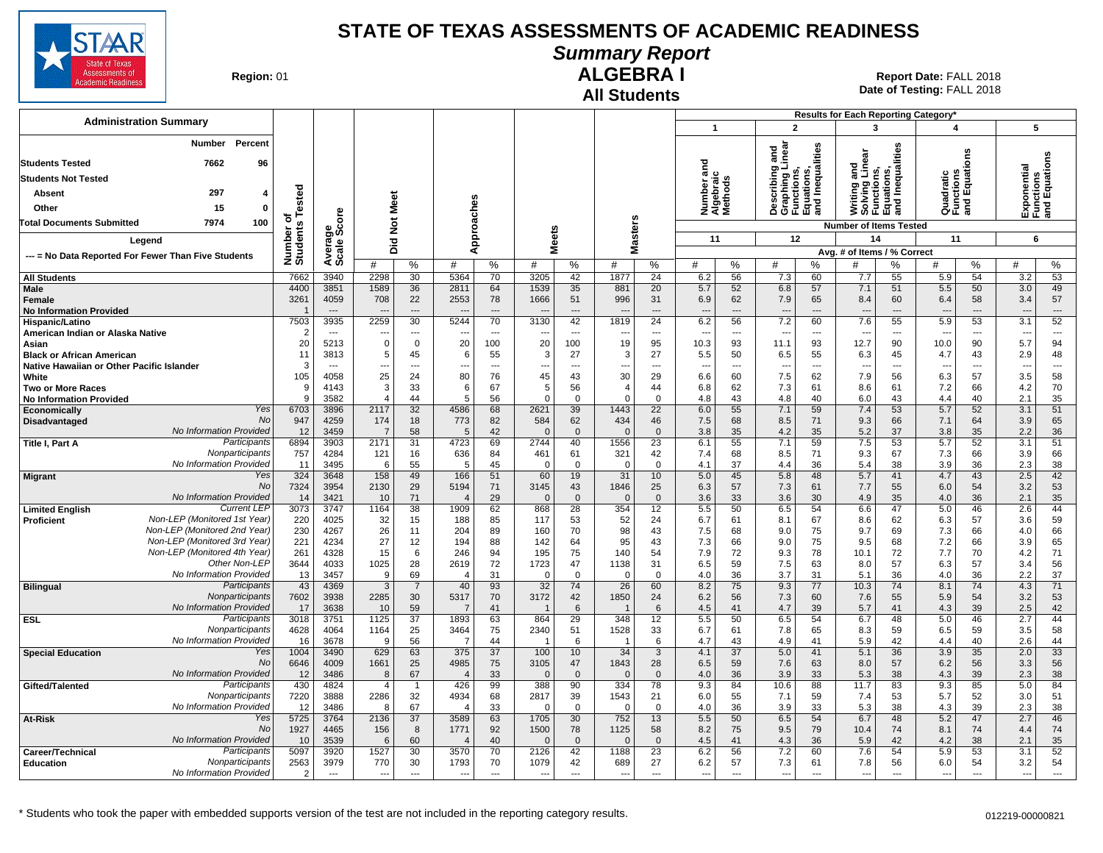

## **Summary Report**

**Region: 01** 

#### **All Students ALGEBRA I**

|                                                                         |                      |                       |                        |                                |                                  |                |                          |                      |                   |                                |                                   |                      |                                                                                   |                                | Results for Each Reporting Category'                                          |           |                                      |           |                |                                |
|-------------------------------------------------------------------------|----------------------|-----------------------|------------------------|--------------------------------|----------------------------------|----------------|--------------------------|----------------------|-------------------|--------------------------------|-----------------------------------|----------------------|-----------------------------------------------------------------------------------|--------------------------------|-------------------------------------------------------------------------------|-----------|--------------------------------------|-----------|----------------|--------------------------------|
| <b>Administration Summary</b>                                           |                      |                       |                        |                                |                                  |                |                          |                      |                   |                                | $\overline{1}$                    |                      | $\overline{2}$                                                                    |                                | 3                                                                             |           | 4                                    |           | 5              |                                |
| Percent<br>Number<br><b>Students Tested</b><br>7662<br>96               |                      |                       |                        |                                |                                  |                |                          |                      |                   |                                | ਹ                                 |                      | Describing and<br>Graphing Linear<br>Functions,<br>Equations,<br>and Inequalities |                                | Writing and<br>Solving Linear<br>Functions,<br>Equations,<br>and Inequalities |           |                                      | g         |                | Functions<br>and Equations     |
| <b>Students Not Tested</b>                                              |                      |                       |                        |                                |                                  |                |                          |                      |                   |                                |                                   |                      | Librairs<br>Mina                                                                  |                                |                                                                               |           |                                      |           |                |                                |
| 297<br>Absent<br>4                                                      | Tested               |                       |                        |                                |                                  |                |                          |                      |                   |                                | lumber and<br>Ngebraic<br>Aethods |                      |                                                                                   |                                |                                                                               |           | Quadratic<br>Functions<br>and Equati |           | ponential      |                                |
| 15<br>Other<br>0                                                        |                      |                       |                        |                                |                                  |                |                          |                      |                   |                                |                                   |                      |                                                                                   |                                |                                                                               |           |                                      |           |                |                                |
| 100<br>7974<br><b>Total Documents Submitted</b>                         | ъ                    | core                  | Not Meet               |                                |                                  |                |                          |                      |                   |                                | z∢∑                               |                      |                                                                                   |                                |                                                                               |           |                                      |           | 쪼달             |                                |
|                                                                         |                      | မ္ဘီတိ                |                        |                                |                                  |                |                          |                      |                   |                                |                                   |                      |                                                                                   |                                | <b>Number of Items Tested</b>                                                 |           |                                      |           |                |                                |
| Legend                                                                  |                      |                       | Did                    |                                |                                  | Approaches     |                          | <b>Meets</b>         | <b>Masters</b>    |                                | 11                                |                      | 12                                                                                |                                | 14                                                                            |           | 11                                   |           | 6              |                                |
| --- = No Data Reported For Fewer Than Five Students                     | Number o<br>Students | Averare<br>Scale      | #                      | %                              | #                                | $\%$           | #                        | %                    | #                 | $\%$                           | #                                 | %                    | #                                                                                 | ℅                              | Avg. # of Items / % Correct<br>#                                              | %         | #                                    | %         | #              | %                              |
| <b>All Students</b>                                                     | 7662                 | 3940                  | 2298                   | 30                             | 5364                             | 70             | 3205                     | 42                   | 1877              | 24                             | 6.2                               | 56                   | 7.3                                                                               | 60                             | 7.7                                                                           | 55        | 5.9                                  | 54        | 3.2            | 53                             |
| Male                                                                    | 4400                 | 3851                  | 1589                   | 36                             | 2811                             | 64             | 1539                     | 35                   | 881               | 20                             | 5.7                               | 52                   | 6.8                                                                               | 57                             | 7.1                                                                           | 51        | 5.5                                  | 50        | 3.0            | 49                             |
| Female                                                                  | 3261                 | 4059                  | 708                    | 22                             | 2553                             | 78             | 1666                     | 51                   | 996               | 31                             | 6.9                               | 62                   | 7.9                                                                               | 65                             | 8.4                                                                           | 60        | 6.4                                  | 58        | 3.4            | 57                             |
| <b>No Information Provided</b>                                          | -1                   | $---$                 | ---                    | $\overline{\phantom{a}}$       | $\overline{\phantom{a}}$         | $---$          | $\overline{\phantom{a}}$ | $\overline{a}$       | $\overline{a}$    | $---$                          | $\overline{a}$                    | $\overline{a}$       | $\overline{\phantom{a}}$                                                          | $---$                          | $\overline{\phantom{a}}$                                                      | ---       | $\overline{a}$                       | $---$     | ---            | $---$                          |
| Hispanic/Latino<br>American Indian or Alaska Native                     | 7503<br>2            | 3935<br>$\sim$ $\sim$ | 2259<br>---            | 30<br>$\overline{\phantom{a}}$ | 5244<br>$\overline{\phantom{a}}$ | 70<br>$\cdots$ | 3130<br>---              | 42<br>$\overline{a}$ | 1819<br>---       | 24<br>$\overline{\phantom{a}}$ | 6.2<br>---                        | 56<br>$\overline{a}$ | 7.2<br>$\overline{\phantom{a}}$                                                   | 60<br>$\overline{\phantom{a}}$ | 7.6<br>$\ddotsc$                                                              | 55<br>--- | 5.9<br>$---$                         | 53<br>--- | 3.1<br>---     | 52<br>$\overline{\phantom{a}}$ |
| Asian                                                                   | 20                   | 5213                  | $\Omega$               | $\mathbf 0$                    | 20                               | 100            | 20                       | 100                  | 19                | 95                             | 10.3                              | 93                   | 11.1                                                                              | 93                             | 12.7                                                                          | 90        | 10.0                                 | 90        | 5.7            | 94                             |
| <b>Black or African American</b>                                        | 11                   | 3813                  | 5                      | 45                             | 6                                | 55             | 3                        | 27                   | 3                 | 27                             | 5.5                               | 50                   | 6.5                                                                               | 55                             | 6.3                                                                           | 45        | 4.7                                  | 43        | 2.9            | 48                             |
| Native Hawaiian or Other Pacific Islander                               | 3                    | $\overline{a}$        | Ξ.                     | ---                            | $\overline{a}$                   | ---            | ---                      | ---                  | ---               | $\overline{a}$                 |                                   | ---                  | $\overline{\phantom{a}}$                                                          | $\overline{\phantom{a}}$       | $\overline{a}$                                                                | ---       |                                      | ---       | ---            | $\overline{\phantom{a}}$       |
| White                                                                   | 105                  | 4058                  | 25                     | 24                             | 80                               | 76             | 45                       | 43                   | 30                | 29                             | 6.6                               | 60                   | 7.5                                                                               | 62                             | 7.9                                                                           | 56        | 6.3                                  | 57        | 3.5            | 58                             |
| <b>Two or More Races</b>                                                | 9<br>9               | 4143                  | 3                      | 33                             | 6                                | 67             | $\,$ 5 $\,$<br>$\Omega$  | 56                   | $\overline{4}$    | 44                             | 6.8                               | 62                   | 7.3                                                                               | 61                             | 8.6                                                                           | 61        | 7.2                                  | 66        | 4.2            | 70                             |
| <b>No Information Provided</b><br>Yes<br>Economically                   | 6703                 | 3582<br>3896          | $\overline{4}$<br>2117 | 44<br>32                       | 5<br>4586                        | 56<br>68       | 2621                     | $\Omega$<br>39       | $\Omega$<br>1443  | $\Omega$<br>22                 | 4.8<br>6.0                        | 43<br>55             | 4.8<br>7.1                                                                        | 40<br>59                       | 6.0<br>7.4                                                                    | 43<br>53  | 4.4<br>5.7                           | 40<br>52  | 2.1<br>3.1     | 35<br>51                       |
| <b>No</b><br>Disadvantaged                                              | 947                  | 4259                  | 174                    | 18                             | 773                              | 82             | 584                      | 62                   | 434               | 46                             | 7.5                               | 68                   | 8.5                                                                               | 71                             | 9.3                                                                           | 66        | 7.1                                  | 64        | 3.9            | 65                             |
| No Information Provided                                                 | 12                   | 3459                  | -7                     | 58                             | 5                                | 42             | $\Omega$                 | $\mathbf{0}$         | $\Omega$          | $\mathbf{0}$                   | 3.8                               | 35                   | 4.2                                                                               | 35                             | 5.2                                                                           | 37        | 3.8                                  | 35        | 2.2            | 36                             |
| Participants<br>Title I, Part A                                         | 6894                 | 3903                  | 2171                   | 31                             | 4723                             | 69             | 2744                     | 40                   | 1556              | 23                             | 6.1                               | 55                   | 7.1                                                                               | 59                             | 7.5                                                                           | 53        | 5.7                                  | 52        | 3.1            | 51                             |
| Nonparticipants                                                         | 757                  | 4284                  | 121                    | 16                             | 636                              | 84             | 461                      | 61                   | 321               | 42                             | 7.4                               | 68                   | 8.5                                                                               | 71                             | 9.3                                                                           | 67        | 7.3                                  | 66        | 3.9            | 66                             |
| No Information Provided<br>Yes                                          | 11<br>324            | 3495<br>3648          | 6<br>158               | 55<br>49                       | -5<br>166                        | 45<br>51       | $\mathbf 0$<br>60        | $\mathbf 0$<br>19    | $\mathbf 0$<br>31 | $\mathbf{0}$<br>10             | 4.1<br>5.0                        | 37<br>45             | 4.4<br>5.8                                                                        | 36<br>48                       | 5.4<br>5.7                                                                    | 38<br>41  | 3.9<br>4.7                           | 36<br>43  | 2.3<br>2.5     | 38<br>42                       |
| <b>Migrant</b><br><b>No</b>                                             | 7324                 | 3954                  | 2130                   | 29                             | 5194                             | 71             | 3145                     | 43                   | 1846              | 25                             | 6.3                               | 57                   | 7.3                                                                               | 61                             | 7.7                                                                           | 55        | 6.0                                  | 54        | 3.2            | 53                             |
| No Information Provided                                                 | 14                   | 3421                  | 10                     | 71                             | $\overline{4}$                   | 29             | $\Omega$                 | $\overline{0}$       | $\Omega$          | $\mathbf{0}$                   | 3.6                               | 33                   | 3.6                                                                               | 30                             | 4.9                                                                           | 35        | 4.0                                  | 36        | 2.1            | 35                             |
| <b>Current LEP</b><br><b>Limited English</b>                            | 3073                 | 3747                  | 1164                   | 38                             | 1909                             | 62             | 868                      | 28                   | 354               | 12                             | 5.5                               | 50                   | 6.5                                                                               | 54                             | 6.6                                                                           | 47        | 5.0                                  | 46        | 2.6            | 44                             |
| Non-LEP (Monitored 1st Year)<br><b>Proficient</b>                       | 220                  | 4025                  | 32                     | 15                             | 188                              | 85             | 117                      | 53                   | 52                | 24                             | 6.7                               | 61                   | 8.1                                                                               | 67                             | 8.6                                                                           | 62        | 6.3                                  | 57        | 3.6            | 59                             |
| Non-LEP (Monitored 2nd Year)<br>Non-LEP (Monitored 3rd Year)            | 230                  | 4267                  | 26                     | 11                             | 204                              | 89             | 160                      | 70                   | 98                | 43                             | 7.5                               | 68                   | 9.0                                                                               | 75                             | 9.7                                                                           | 69        | 7.3                                  | 66        | 4.0            | 66                             |
| Non-LEP (Monitored 4th Year)                                            | 221<br>261           | 4234<br>4328          | 27<br>15               | 12<br>6                        | 194<br>246                       | 88<br>94       | 142<br>195               | 64<br>75             | 95<br>140         | 43<br>54                       | 7.3<br>7.9                        | 66<br>72             | 9.0<br>9.3                                                                        | 75<br>78                       | 9.5<br>10.1                                                                   | 68<br>72  | 7.2<br>7.7                           | 66<br>70  | 3.9<br>4.2     | 65<br>71                       |
| Other Non-LEF                                                           | 3644                 | 4033                  | 1025                   | 28                             | 2619                             | 72             | 1723                     | 47                   | 1138              | 31                             | 6.5                               | 59                   | 7.5                                                                               | 63                             | 8.0                                                                           | 57        | 6.3                                  | 57        | 3.4            | 56                             |
| No Information Provided                                                 | 13                   | 3457                  | 9                      | 69                             | $\overline{4}$                   | 31             | $\mathbf 0$              | $\mathbf 0$          | $\overline{0}$    | $\Omega$                       | 4.0                               | 36                   | 3.7                                                                               | 31                             | 5.1                                                                           | 36        | 4.0                                  | 36        | 2.2            | 37                             |
| Participants<br><b>Bilingual</b>                                        | 43                   | 4369                  | $\mathbf{3}$           | $\overline{7}$                 | 40                               | 93             | 32                       | 74                   | 26                | 60                             | 8.2                               | 75                   | 9.3                                                                               | 77                             | 10.3                                                                          | 74        | 8.1                                  | 74        | 4.3            | 71                             |
| Nonparticipants                                                         | 7602                 | 3938                  | 2285                   | 30                             | 5317                             | 70             | 3172                     | 42                   | 1850              | 24                             | 6.2                               | 56                   | 7.3                                                                               | 60                             | 7.6                                                                           | 55        | 5.9                                  | 54        | 3.2            | 53                             |
| No Information Provided<br>Participants<br><b>ESL</b>                   | 17<br>3018           | 3638<br>3751          | 10<br>1125             | 59<br>$\overline{37}$          | $\overline{7}$<br>1893           | 41<br>63       | $\overline{1}$<br>864    | 6<br>29              | 348               | 6<br>12                        | 4.5<br>5.5                        | 41<br>50             | 4.7<br>6.5                                                                        | 39<br>54                       | 5.7<br>6.7                                                                    | 41<br>48  | 4.3<br>5.0                           | 39<br>46  | 2.5<br>2.7     | 42<br>44                       |
| Nonparticipants                                                         | 4628                 | 4064                  | 1164                   | 25                             | 3464                             | 75             | 2340                     | 51                   | 1528              | 33                             | 6.7                               | 61                   | 7.8                                                                               | 65                             | 8.3                                                                           | 59        | 6.5                                  | 59        | 3.5            | 58                             |
| No Information Provideo                                                 | 16                   | 3678                  | 9                      | 56                             | -7                               | 44             | -1                       | 6                    | -1                | 6                              | 4.7                               | 43                   | 4.9                                                                               | 41                             | 5.9                                                                           | 42        | 4.4                                  | 40        | 2.6            | 44                             |
| <b>Special Education</b><br>Yes                                         | 1004                 | 3490                  | 629                    | 63                             | 375                              | 37             | 100                      | 10                   | 34                | $\mathbf{3}$                   | 4.1                               | 37                   | 5.0                                                                               | 41                             | 5.1                                                                           | 36        | 3.9                                  | 35        | 2.0            | 33                             |
| <b>No</b>                                                               | 6646                 | 4009                  | 1661                   | 25                             | 4985                             | 75             | 3105                     | 47                   | 1843              | 28                             | 6.5                               | 59                   | 7.6                                                                               | 63                             | 8.0                                                                           | 57        | 6.2                                  | 56        | 3.3            | 56                             |
| <b>No Information Provided</b><br>Participants                          | 12                   | 3486                  | 8<br>$\overline{4}$    | 67<br>$\overline{1}$           | $\overline{4}$                   | 33             | $\Omega$<br>388          | $\overline{0}$       | $\Omega$          | $\mathbf{0}$                   | 4.0                               | 36<br>84             | 3.9                                                                               | 33                             | 5.3                                                                           | 38        | 4.3                                  | 39        | 2.3            | 38<br>84                       |
| Gifted/Talented<br>Nonparticipants                                      | 430<br>7220          | 4824<br>3888          | 2286                   | 32                             | 426<br>4934                      | 99<br>68       | 2817                     | 90<br>39             | 334<br>1543       | 78<br>21                       | 9.3<br>6.0                        | 55                   | 10.6<br>7.1                                                                       | 88<br>59                       | 11.7<br>7.4                                                                   | 83<br>53  | 9.3<br>5.7                           | 85<br>52  | 5.0<br>3.0     | 51                             |
| No Information Provided                                                 | 12                   | 3486                  | 8                      | 67                             | 4                                | 33             | $\mathbf 0$              | $\overline{0}$       | $\Omega$          | $\mathbf{0}$                   | 4.0                               | 36                   | 3.9                                                                               | 33                             | 5.3                                                                           | 38        | 4.3                                  | 39        | 2.3            | 38                             |
| Yes<br>At-Risk                                                          | 5725                 | 3764                  | 2136                   | $\overline{37}$                | 3589                             | 63             | 1705                     | 30                   | 752               | 13                             | 5.5                               | 50                   | 6.5                                                                               | 54                             | 6.7                                                                           | 48        | 5.2                                  | 47        | 2.7            | 46                             |
| No                                                                      | 1927                 | 4465                  | 156                    | 8                              | 1771                             | 92             | 1500                     | 78                   | 1125              | 58                             | 8.2                               | 75                   | 9.5                                                                               | 79                             | 10.4                                                                          | 74        | 8.1                                  | 74        | 4.4            | 74                             |
| No Information Provideo                                                 | 10                   | 3539                  | 6                      | 60                             | $\overline{A}$                   | 40             | $\Omega$                 | $\mathbf{0}$         | $\overline{0}$    | $\mathbf 0$                    | 4.5                               | 41                   | 4.3                                                                               | 36                             | 5.9                                                                           | 42        | 4.2                                  | 38        | 2.1            | 35                             |
| Participants<br>Career/Technical<br>Nonparticipants<br><b>Education</b> | 5097<br>2563         | 3920<br>3979          | 1527<br>770            | 30<br>30                       | 3570<br>1793                     | 70<br>70       | 2126<br>1079             | 42<br>42             | 1188<br>689       | 23<br>27                       | 6.2<br>6.2                        | 56<br>57             | 7.2<br>7.3                                                                        | 60<br>61                       | 7.6<br>7.8                                                                    | 54<br>56  | 5.9<br>6.0                           | 53<br>54  | 3.1<br>3.2     | 52<br>54                       |
| No Information Provided                                                 | $\overline{2}$       | $\sim$                | $\sim$                 | $\overline{a}$                 | $\sim$                           | $\overline{a}$ | $\sim$                   | $\overline{a}$       | $\overline{a}$    | $\overline{a}$                 | $\overline{\phantom{a}}$          | $\overline{a}$       | $\sim$                                                                            | $---$                          | $\sim$                                                                        | ---       | $\sim$                               |           | $\overline{a}$ | $\overline{\phantom{a}}$       |
|                                                                         |                      |                       |                        |                                |                                  |                |                          |                      |                   |                                |                                   |                      |                                                                                   |                                |                                                                               |           |                                      |           |                |                                |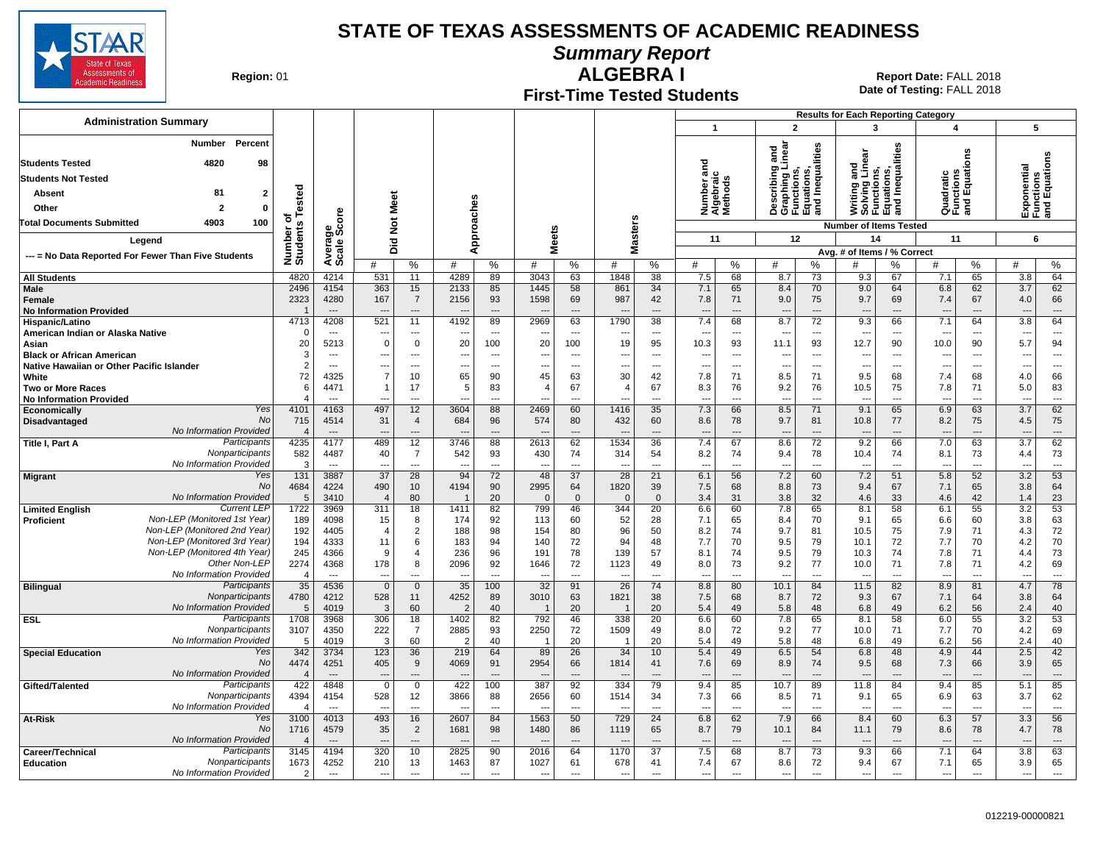

**Summary Report**

**Region: 01** 

#### **First-Time Tested Students ALGEBRA I** 01 **Report Date:** FALL 2018

**Date of Testing:**  FALL 2018

|                                                                |                         |                                  |                                 |                         |                        |                                |                                  |                                |                       |                      |                          |                                |                                                                          |                                | <b>Results for Each Reporting Category</b>                                   |                          |                                 |                                      |                                 |                                         |
|----------------------------------------------------------------|-------------------------|----------------------------------|---------------------------------|-------------------------|------------------------|--------------------------------|----------------------------------|--------------------------------|-----------------------|----------------------|--------------------------|--------------------------------|--------------------------------------------------------------------------|--------------------------------|------------------------------------------------------------------------------|--------------------------|---------------------------------|--------------------------------------|---------------------------------|-----------------------------------------|
| <b>Administration Summary</b>                                  |                         |                                  |                                 |                         |                        |                                |                                  |                                |                       |                      | $\overline{1}$           |                                | $\overline{2}$                                                           |                                | $\overline{\mathbf{3}}$                                                      |                          |                                 | $\overline{\mathbf{4}}$              | 5                               |                                         |
| Percent<br>Number                                              |                         |                                  |                                 |                         |                        |                                |                                  |                                |                       |                      |                          |                                |                                                                          |                                |                                                                              |                          |                                 |                                      |                                 |                                         |
| <b>Students Tested</b><br>4820<br>98                           |                         |                                  |                                 |                         |                        |                                |                                  |                                |                       |                      |                          |                                | and<br>Inear                                                             | Inequalities                   | Writing and<br>Solving Linear<br>Functions,<br>Equations,<br>and Inequalitie | lities                   |                                 | ons                                  |                                 | Exponents<br>Functions<br>and Equations |
| <b>Students Not Tested</b>                                     |                         |                                  |                                 |                         |                        |                                |                                  |                                |                       |                      | and                      |                                | Describing a<br>Graphing Lii<br>Functions,<br>Equations,<br>and Inequali |                                |                                                                              |                          |                                 | Quadratic<br>Functions<br>and Equati |                                 |                                         |
| 81<br>$\overline{2}$<br>Absent                                 |                         |                                  |                                 |                         |                        |                                |                                  |                                |                       |                      |                          | Number<br>Algebrai<br>Methods  |                                                                          |                                |                                                                              |                          |                                 |                                      |                                 |                                         |
| Other<br>$\overline{2}$<br>$\Omega$                            | Tested                  |                                  |                                 |                         |                        |                                |                                  |                                |                       |                      |                          |                                |                                                                          |                                |                                                                              |                          |                                 |                                      |                                 |                                         |
| 100<br>4903<br>Total Documents Submitted                       | ठ                       |                                  | Not Meet                        |                         |                        |                                |                                  |                                |                       |                      |                          |                                |                                                                          |                                |                                                                              |                          |                                 |                                      |                                 |                                         |
|                                                                |                         | ge<br>Score                      |                                 |                         |                        | Approaches                     |                                  |                                |                       | <b>Masters</b>       |                          |                                |                                                                          |                                | <b>Number of Items Tested</b>                                                |                          |                                 |                                      |                                 |                                         |
| Legend                                                         |                         |                                  | Did                             |                         |                        |                                | <b>Meets</b>                     |                                |                       |                      | 11                       |                                | 12                                                                       |                                | 14                                                                           |                          | 11                              |                                      | 6                               |                                         |
| --- = No Data Reported For Fewer Than Five Students            | Number o<br>Students    | Averare<br>Scale                 | #                               | %                       | #                      | %                              | #                                | %                              | #                     | %                    | #                        | %                              | #                                                                        | %                              | Avg. # of Items / % Correct<br>#                                             | %                        | #                               | %                                    | #                               | %                                       |
| <b>All Students</b>                                            | 4820                    | 4214                             | 531                             | 11                      | 4289                   | 89                             | 3043                             | 63                             | 1848                  | 38                   | 7.5                      | 68                             | 8.7                                                                      | 73                             | 9.3                                                                          | 67                       | 7.1                             | 65                                   | 3.8                             | 64                                      |
| Male                                                           | 2496                    | 4154                             | 363                             | 15                      | 2133                   | 85                             | 1445                             | 58                             | 861                   | 34                   | 7.1                      | 65                             | 8.4                                                                      | 70                             | 9.0                                                                          | 64                       | 6.8                             | 62                                   | 3.7                             | 62                                      |
| Female                                                         | 2323                    | 4280                             | 167                             | $\overline{7}$          | 2156                   | 93                             | 1598                             | 69                             | 987                   | 42                   | 7.8                      | 71                             | 9.0                                                                      | 75                             | 9.7                                                                          | 69                       | 7.4                             | 67                                   | 4.0                             | 66                                      |
| <b>No Information Provided</b>                                 |                         | $\overline{\phantom{a}}$         | ---                             | $\hspace{1.5cm} \cdots$ |                        | $\overline{\phantom{a}}$       | $\overline{\phantom{a}}$         | $\overline{a}$                 |                       | ---                  | $\overline{\phantom{a}}$ | $\overline{a}$                 |                                                                          | ---                            | $\overline{\phantom{a}}$                                                     | $\overline{a}$           | $\overline{\phantom{a}}$        | ---                                  | ---                             | $\cdots$                                |
| Hispanic/Latino<br>American Indian or Alaska Native            | 4713<br>$\Omega$        | 4208<br>$\overline{\phantom{a}}$ | 521                             | 11<br>---               | 4192                   | 89<br>$\overline{\phantom{a}}$ | 2969                             | 63<br>$\sim$                   | 1790                  | 38<br>---            | 7.4                      | 68<br>$\overline{\phantom{a}}$ | 8.7<br>$\sim$                                                            | 72<br>$\hspace{0.05cm} \cdots$ | 9.3<br>$\overline{\phantom{a}}$                                              | 66<br>---                | 7.1<br>$\sim$                   | 64<br>---                            | 3.8<br>$\overline{\phantom{a}}$ | 64<br>$\hspace{0.05cm} \cdots$          |
| Asian                                                          | 20                      | 5213                             | $\mathbf 0$                     | $\mathbf 0$             | 20                     | 100                            | 20                               | 100                            | 19                    | 95                   | 10.3                     | 93                             | 11.1                                                                     | 93                             | 12.7                                                                         | 90                       | 10.0                            | 90                                   | 5.7                             | 94                                      |
| <b>Black or African American</b>                               | 3                       | $---$                            | ---                             | $\sim$                  | ---                    | $\sim$                         | ---                              | $\sim$                         | $- -$                 | $\sim$               | ---                      | $---$                          | $\sim$                                                                   | $\overline{\phantom{a}}$       | $\overline{\phantom{a}}$                                                     | $\sim$                   | $\overline{\phantom{a}}$        | $---$                                | ---                             | $\overline{\phantom{a}}$                |
| Native Hawaiian or Other Pacific Islander                      | 2                       | $---$                            | ---                             | $---$                   | $\overline{a}$         | $---$                          | ---                              | $\sim$                         | $\overline{a}$        | $\overline{a}$       | $\overline{a}$           | $---$                          | $\overline{\phantom{a}}$                                                 | $---$                          | $\overline{\phantom{a}}$                                                     | $\overline{\phantom{a}}$ | $\overline{\phantom{a}}$        | $---$                                | $---$                           | $\overline{\phantom{a}}$                |
| White<br><b>Two or More Races</b>                              | 72<br>6                 | 4325<br>4471                     | $\overline{7}$                  | 10<br>17                | 65<br>5                | 90<br>83                       | 45<br>$\overline{4}$             | 63<br>67                       | 30<br>$\overline{4}$  | 42<br>67             | 7.8<br>8.3               | 71<br>76                       | 8.5<br>9.2                                                               | 71<br>76                       | 9.5<br>10.5                                                                  | 68<br>75                 | 7.4<br>7.8                      | 68<br>71                             | 4.0<br>5.0                      | 66<br>83                                |
| <b>No Information Provided</b>                                 | $\boldsymbol{A}$        |                                  |                                 | $\overline{a}$          |                        |                                |                                  | $\overline{a}$                 |                       |                      |                          | $\overline{a}$                 |                                                                          | $\overline{a}$                 | $\overline{a}$                                                               | ---                      | $\sim$                          | $\overline{a}$                       |                                 | $\overline{a}$                          |
| Yes<br>Economically                                            | 4101                    | 4163                             | 497                             | 12                      | 3604                   | 88                             | 2469                             | 60                             | 1416                  | 35                   | 7.3                      | 66                             | 8.5                                                                      | 71                             | 9.1                                                                          | 65                       | 6.9                             | 63                                   | 3.7                             | 62                                      |
| No<br>Disadvantaged                                            | 715                     | 4514                             | 31                              | $\overline{4}$          | 684                    | 96                             | 574                              | 80                             | 432                   | 60                   | 8.6                      | 78                             | 9.7                                                                      | 81                             | 10.8                                                                         | 77                       | 8.2                             | 75                                   | 4.5                             | 75                                      |
| No Information Provided<br>Participants<br>Title I, Part A     | $\overline{4}$<br>4235  | $-$<br>4177                      | 489                             | $\overline{a}$<br>12    | 3746                   | $\sim$<br>88                   | 2613                             | $\overline{a}$<br>62           | 1534                  | $\sim$<br>36         | 7.4                      | $\sim$<br>67                   | 8.6                                                                      | $\overline{a}$<br>72           | $\overline{a}$<br>9.2                                                        | $\sim$<br>66             | 7.0                             | $\sim$<br>63                         | $\overline{a}$<br>3.7           | $\overline{a}$<br>62                    |
| Nonparticipants                                                | 582                     | 4487                             | 40                              | $\overline{7}$          | 542                    | 93                             | 430                              | 74                             | 314                   | 54                   | 8.2                      | 74                             | 9.4                                                                      | 78                             | 10.4                                                                         | 74                       | 8.1                             | 73                                   | 4.4                             | 73                                      |
| No Information Provided                                        | 3                       | $\overline{a}$                   | $\sim$                          | $\overline{a}$          |                        | $\overline{a}$                 | $\overline{\phantom{a}}$         | $\overline{\phantom{a}}$       | $\overline{a}$        | $\overline{a}$       | $\overline{a}$           | $\overline{a}$                 | $\overline{\phantom{a}}$                                                 | $\overline{\phantom{a}}$       | $\overline{a}$                                                               | $\overline{a}$           | $\overline{\phantom{a}}$        | $\overline{a}$                       | $\overline{a}$                  | $\overline{\phantom{a}}$                |
| Yes<br>Migrant                                                 | 131                     | 3887                             | 37                              | 28                      | 94                     | 72                             | 48                               | 37                             | 28                    | 21                   | 6.1                      | 56                             | 7.2                                                                      | 60                             | 7.2                                                                          | 51                       | 5.8                             | 52                                   | 3.2                             | 53                                      |
| No<br>No Information Provided                                  | 4684<br>5               | 4224<br>3410                     | 490<br>$\overline{\mathcal{L}}$ | 10<br>80                | 4194<br>$\overline{1}$ | 90<br>20                       | 2995<br>$\overline{0}$           | 64<br>$\mathbf{0}$             | 1820<br>$\Omega$      | 39<br>$\mathbf{0}$   | 7.5<br>3.4               | 68<br>31                       | 8.8<br>3.8                                                               | 73<br>32                       | 9.4<br>4.6                                                                   | 67<br>33                 | 7.1<br>4.6                      | 65<br>42                             | 3.8<br>1.4                      | 64<br>23                                |
| <b>Current LEP</b><br><b>Limited English</b>                   | 1722                    | 3969                             | 311                             | 18                      | 1411                   | 82                             | 799                              | 46                             | 344                   | 20                   | 6.6                      | 60                             | 7.8                                                                      | 65                             | 8.1                                                                          | 58                       | 6.1                             | 55                                   | 3.2                             | 53                                      |
| Non-LEP (Monitored 1st Year)<br><b>Proficient</b>              | 189                     | 4098                             | 15                              | 8                       | 174                    | 92                             | 113                              | 60                             | 52                    | 28                   | 7.1                      | 65                             | 8.4                                                                      | 70                             | 9.1                                                                          | 65                       | 6.6                             | 60                                   | 3.8                             | 63                                      |
| Non-LEP (Monitored 2nd Year)<br>Non-LEP (Monitored 3rd Year)   | 192                     | 4405                             | $\overline{4}$                  | $\overline{2}$          | 188                    | 98                             | 154                              | 80                             | 96                    | 50                   | 8.2                      | 74                             | 9.7                                                                      | 81                             | 10.5                                                                         | 75                       | 7.9                             | 71                                   | 4.3                             | 72                                      |
| Non-LEP (Monitored 4th Year)                                   | 194<br>245              | 4333<br>4366                     | 11<br>9                         | 6<br>$\overline{4}$     | 183<br>236             | 94<br>96                       | 140<br>191                       | 72<br>78                       | 94<br>139             | 48<br>57             | 7.7<br>8.1               | 70<br>74                       | 9.5<br>9.5                                                               | 79<br>79                       | 10.1<br>10.3                                                                 | 72<br>74                 | 7.7<br>7.8                      | 70<br>71                             | 4.2<br>4.4                      | 70<br>73                                |
| Other Non-LEP                                                  | 2274                    | 4368                             | 178                             | 8                       | 2096                   | 92                             | 1646                             | 72                             | 1123                  | 49                   | 8.0                      | 73                             | 9.2                                                                      | 77                             | 10.0                                                                         | 71                       | 7.8                             | 71                                   | 4.2                             | 69                                      |
| No Information Provided                                        | $\overline{4}$          | $---$                            | ---                             | $\overline{a}$          |                        | $\overline{a}$                 | $\overline{\phantom{a}}$         | $\overline{\phantom{a}}$       |                       | $\overline{a}$       | $\overline{a}$           | $---$                          | $\overline{a}$                                                           | $---$                          | $\overline{\phantom{a}}$                                                     | $\overline{a}$           | $\overline{\phantom{a}}$        | $\overline{a}$                       | $\overline{a}$                  | $\overline{a}$                          |
| Participants<br><b>Bilingual</b>                               | 35                      | 4536                             | $\overline{0}$                  | $\overline{0}$          | 35                     | 100                            | 32                               | 91                             | $\overline{26}$       | 74                   | 8.8                      | 80                             | 10.1                                                                     | 84                             | 11.5                                                                         | 82                       | 8.9                             | 81                                   | 4.7                             | 78                                      |
| Nonparticipants<br>No Information Provided                     | 4780<br>$5\overline{5}$ | 4212<br>4019                     | 528<br>$\mathcal{R}$            | 11<br>60                | 4252<br>$\overline{2}$ | 89<br>40                       | 3010                             | 63<br>20                       | 1821                  | 38<br>20             | 7.5<br>5.4               | 68<br>49                       | 8.7<br>5.8                                                               | 72<br>48                       | 9.3<br>6.8                                                                   | 67<br>49                 | 7.1<br>6.2                      | 64<br>56                             | 3.8<br>2.4                      | 64<br>40                                |
| Participants<br><b>ESL</b>                                     | 1708                    | 3968                             | 306                             | 18                      | 1402                   | 82                             | 792                              | 46                             | 338                   | 20                   | 6.6                      | 60                             | 7.8                                                                      | 65                             | 8.1                                                                          | 58                       | 6.0                             | 55                                   | 3.2                             | 53                                      |
| Nonparticipants                                                | 3107                    | 4350                             | 222                             | $\overline{7}$          | 2885                   | 93                             | 2250                             | 72                             | 1509                  | 49                   | 8.0                      | 72                             | 9.2                                                                      | 77                             | 10.0                                                                         | 71                       | 7.7                             | 70                                   | 4.2                             | 69                                      |
| No Information Provided                                        | 5                       | 4019                             | 3                               | 60                      | $\overline{2}$         | 40                             | $\overline{\mathbf{1}}$          | 20                             |                       | 20                   | 5.4                      | 49                             | 5.8                                                                      | 48                             | 6.8                                                                          | 49                       | 6.2                             | 56                                   | 2.4                             | 40                                      |
| Yes<br><b>Special Education</b><br>No                          | 342<br>4474             | 3734<br>4251                     | 123<br>405                      | 36<br>9                 | 219<br>4069            | 64<br>91                       | 89<br>2954                       | 26<br>66                       | 34<br>1814            | 10<br>41             | 5.4<br>7.6               | 49<br>69                       | 6.5<br>8.9                                                               | 54<br>74                       | 6.8<br>9.5                                                                   | 48<br>68                 | 4.9<br>7.3                      | 44<br>66                             | 2.5<br>3.9                      | 42<br>65                                |
| No Information Provided                                        | $\overline{4}$          | $\overline{a}$                   |                                 | $\overline{a}$          |                        | $\overline{a}$                 |                                  |                                |                       | $\sim$               |                          |                                |                                                                          | $\overline{a}$                 | $\overline{a}$                                                               | $\sim$                   | $\overline{\phantom{a}}$        |                                      | $\overline{a}$                  | $\overline{a}$                          |
| Participants<br>Gifted/Talented                                | 422                     | 4848                             | $\mathbf 0$                     | $\mathbf{0}$            | 422                    | 100                            | 387                              | 92                             | 334                   | 79                   | 9.4                      | 85                             | 10.7                                                                     | 89                             | 11.8                                                                         | 84                       | 9.4                             | 85                                   | 5.1                             | 85                                      |
| Nonparticipants                                                | 4394                    | 4154                             | 528                             | 12                      | 3866                   | 88                             | 2656                             | 60                             | 1514                  | 34                   | 7.3                      | 66                             | 8.5                                                                      | 71                             | 9.1                                                                          | 65                       | 6.9                             | 63                                   | 3.7                             | 62                                      |
| No Information Provided<br>Yes<br>At-Risk                      | $\overline{4}$<br>3100  | $---$<br>4013                    | ---<br>493                      | $\overline{a}$<br>16    | $\overline{a}$<br>2607 | $\overline{a}$<br>84           | $\overline{\phantom{a}}$<br>1563 | $\overline{\phantom{a}}$<br>50 | $\sim$<br>729         | $\overline{a}$<br>24 | $\overline{a}$<br>6.8    | $---$<br>62                    | $\overline{\phantom{a}}$<br>7.9                                          | $\overline{\phantom{a}}$<br>66 | $\overline{\phantom{a}}$<br>8.4                                              | $\overline{a}$<br>60     | $\overline{\phantom{a}}$<br>6.3 | $\overline{a}$<br>57                 | ---<br>3.3                      | $\overline{\phantom{a}}$<br>56          |
| No                                                             | 1716                    | 4579                             | 35                              | $\overline{2}$          | 1681                   | 98                             | 1480                             | 86                             | 1119                  | 65                   | 8.7                      | 79                             | 10.1                                                                     | 84                             | 11.1                                                                         | 79                       | 8.6                             | 78                                   | 4.7                             | 78                                      |
| No Information Provided                                        | $\overline{4}$          |                                  |                                 | ---                     |                        | $\overline{\phantom{a}}$       |                                  |                                |                       |                      |                          | $\overline{a}$                 |                                                                          |                                | $\overline{\phantom{a}}$                                                     |                          |                                 | $---$                                |                                 | $\overline{a}$                          |
| Participants<br>Career/Technical                               | 3145                    | 4194                             | 320                             | 10                      | 2825                   | 90                             | 2016                             | 64                             | 1170                  | 37                   | 7.5                      | 68                             | 8.7                                                                      | 73                             | 9.3                                                                          | 66                       | 7.1                             | 64                                   | 3.8                             | 63                                      |
| Nonparticipants<br><b>Education</b><br>No Information Provided | 1673<br>2               | 4252<br>$---$                    | 210<br>---                      | 13<br>$\overline{a}$    | 1463<br>---            | 87<br>$\overline{a}$           | 1027<br>$\overline{a}$           | 61<br>$\overline{a}$           | 678<br>$\overline{a}$ | 41<br>$\sim$         | 7.4<br>$\overline{a}$    | 67<br>$\overline{a}$           | 8.6<br>$\overline{a}$                                                    | 72<br>$-$                      | 9.4<br>$\overline{\phantom{a}}$                                              | 67<br>$\sim$             | 7.1<br>$\overline{\phantom{a}}$ | 65<br>$---$                          | 3.9<br>$\overline{a}$           | 65<br>$\overline{a}$                    |
|                                                                |                         |                                  |                                 |                         |                        |                                |                                  |                                |                       |                      |                          |                                |                                                                          |                                |                                                                              |                          |                                 |                                      |                                 |                                         |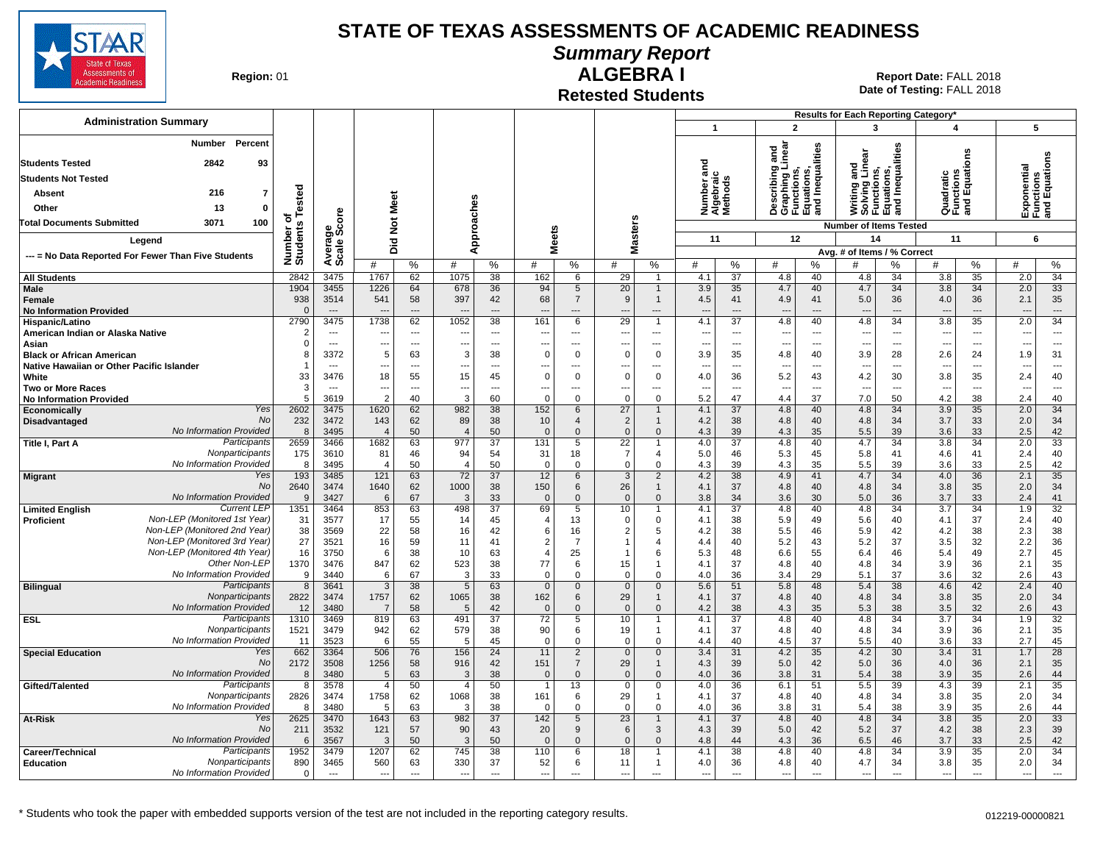

## **Summary Report**

**Region: 01** 

#### **Retested Students ALGEBRA I**

|                                                              |                        |                                  |                                  |                          |                          |                          |                                  |                            |                                |                                |                       |                                |                                                                                 |                                | Results for Each Reporting Category*                                          |                                |                                       |                                |                                           |                                |
|--------------------------------------------------------------|------------------------|----------------------------------|----------------------------------|--------------------------|--------------------------|--------------------------|----------------------------------|----------------------------|--------------------------------|--------------------------------|-----------------------|--------------------------------|---------------------------------------------------------------------------------|--------------------------------|-------------------------------------------------------------------------------|--------------------------------|---------------------------------------|--------------------------------|-------------------------------------------|--------------------------------|
| <b>Administration Summary</b>                                |                        |                                  |                                  |                          |                          |                          |                                  |                            |                                |                                | $\mathbf{1}$          |                                |                                                                                 | $\overline{2}$                 | $\mathbf{3}$                                                                  |                                | $\overline{\mathbf{4}}$               |                                | 5                                         |                                |
| Percent<br>Number<br><b>Students Tested</b><br>2842<br>93    |                        |                                  |                                  |                          |                          |                          |                                  |                            |                                |                                | iber and<br>Ioraic    |                                | inear<br>and                                                                    | Inequalities                   | Writing and<br>Solving Linear<br>Functions,<br>Equations,<br>and Inequalities | lities                         |                                       | δű                             | Exponential<br>Functions<br>and Equations |                                |
| <b>Students Not Tested</b>                                   |                        |                                  |                                  |                          |                          |                          |                                  |                            |                                |                                |                       |                                |                                                                                 |                                |                                                                               |                                |                                       |                                |                                           |                                |
| 216<br>$\overline{7}$<br>Absent                              |                        |                                  |                                  |                          |                          |                          |                                  |                            |                                |                                | umber                 | lgebra<br>lethod:              | escribing<br>Describing<br>Graphing L<br>Functions,<br>Equations,<br>and Inequa |                                |                                                                               |                                | Quadratic<br>Functions<br>and Equatio |                                |                                           |                                |
| 13<br>$\mathbf 0$<br>Other                                   | Tested                 |                                  |                                  |                          |                          |                          |                                  |                            |                                |                                |                       |                                |                                                                                 |                                |                                                                               |                                |                                       |                                |                                           |                                |
| 100<br>3071<br><b>Total Documents Submitted</b>              | ত                      |                                  | Not Meet                         |                          |                          |                          |                                  |                            |                                |                                | z∢ź                   |                                |                                                                                 |                                |                                                                               |                                |                                       |                                |                                           |                                |
|                                                              |                        |                                  |                                  |                          |                          |                          |                                  |                            | asters                         |                                | 11                    |                                | 12                                                                              |                                | <b>Number of Items Tested</b><br>14                                           |                                | 11                                    |                                |                                           | 6                              |
| Legend                                                       |                        |                                  | Did                              |                          | Approaches               |                          | <b>Meets</b>                     |                            | Σ                              |                                |                       |                                |                                                                                 |                                | Avg. # of Items / % Correct                                                   |                                |                                       |                                |                                           |                                |
| --- = No Data Reported For Fewer Than Five Students          | Number of<br>Students  | Average<br>Scale Score           | #                                | %                        | #                        | %                        | #                                | %                          | #                              | %                              | #                     | %                              | #                                                                               | %                              | #                                                                             | %                              | #                                     | %                              | #                                         | %                              |
| <b>All Students</b>                                          | 2842                   | 3475                             | 1767                             | 62                       | 1075                     | 38                       | 162                              | 6                          | 29                             | $\mathbf{1}$                   | 4.1                   | $\overline{37}$                | 4.8                                                                             | 40                             | 4.8                                                                           | 34                             | 3.8                                   | 35                             | 2.0                                       | $\overline{34}$                |
| <b>Male</b>                                                  | 1904                   | 3455                             | 1226                             | 64                       | 678                      | 36                       | 94                               | 5                          | 20                             | $\mathbf{1}$                   | 3.9                   | 35                             | 4.7                                                                             | 40                             | 4.7                                                                           | 34                             | 3.8                                   | 34                             | 2.0                                       | 33                             |
| Female                                                       | 938                    | 3514                             | 541                              | 58                       | 397                      | 42                       | 68                               | $\overline{7}$             | 9                              | $\mathbf{1}$                   | 4.5                   | 41                             | 4.9                                                                             | 41                             | 5.0                                                                           | 36                             | 4.0                                   | 36                             | 2.1                                       | 35                             |
| <b>No Information Provided</b>                               | $\Omega$               | $\sim$                           |                                  | $\overline{a}$           |                          | $\overline{a}$           | $\overline{\phantom{a}}$         | $\overline{a}$             | $\overline{\phantom{a}}$       | $\overline{a}$<br>$\mathbf{1}$ | $\overline{a}$        | $\overline{a}$                 | $\overline{\phantom{a}}$                                                        | $\overline{\phantom{a}}$       | $\overline{\phantom{a}}$                                                      | $\overline{\phantom{a}}$       |                                       | $\sim$                         | $\overline{\phantom{a}}$                  | $\overline{\phantom{a}}$<br>34 |
| Hispanic/Latino<br>American Indian or Alaska Native          | 2790<br>$\overline{2}$ | 3475<br>$---$                    | 1738<br>--                       | 62<br>$\sim$             | 1052                     | 38<br>$---$              | 161<br>$\sim$                    | 6<br>$---$                 | 29<br>$\overline{\phantom{a}}$ | $---$                          | 4.1<br>$\overline{a}$ | 37<br>$\overline{a}$           | 4.8<br>$\overline{\phantom{a}}$                                                 | 40<br>$-$                      | 4.8<br>$\sim$                                                                 | 34<br>$\sim$                   | 3.8<br>$\overline{\phantom{a}}$       | 35<br>$---$                    | 2.0<br>$\overline{\phantom{a}}$           | $\sim$                         |
| Asian                                                        | $\Omega$               | $\overline{\phantom{a}}$         | ---                              | $\overline{\phantom{a}}$ | ---                      | $\overline{\phantom{a}}$ | ---                              | ---                        | $\overline{\phantom{a}}$       | ---                            | ---                   | $\overline{a}$                 | $\overline{\phantom{a}}$                                                        | $\sim$                         | $\overline{\phantom{a}}$                                                      | $\overline{\phantom{a}}$       | $\overline{\phantom{a}}$              | $\overline{\phantom{a}}$       | $\overline{\phantom{a}}$                  | $---$                          |
| <b>Black or African American</b>                             | 8                      | 3372                             | 5                                | 63                       | 3                        | 38                       | $\mathbf 0$                      | $\Omega$                   | $\Omega$                       | 0                              | 3.9                   | 35                             | 4.8                                                                             | 40                             | 3.9                                                                           | 28                             | 2.6                                   | 24                             | 1.9                                       | 31                             |
| Native Hawaiian or Other Pacific Islander                    | -1                     | $---$                            | ---                              | $\overline{\phantom{a}}$ | ---                      | $\overline{a}$           | $\overline{a}$                   | $\sim$                     | $\sim$                         | $\overline{a}$                 | $---$                 | $\overline{a}$                 | $\overline{\phantom{a}}$                                                        | $\sim$                         | $\sim$                                                                        | $\overline{\phantom{a}}$       | $\sim$                                | $\overline{a}$                 | --                                        | $\overline{a}$                 |
| White<br><b>Two or More Races</b>                            | 33<br>3                | 3476<br>$\overline{\phantom{a}}$ | 18<br>---                        | 55<br>---                | 15<br>---                | 45<br>$---$              | $\Omega$<br>---                  | $\Omega$<br>---            | $\Omega$                       | $\mathbf 0$<br>---             | 4.0<br>$\overline{a}$ | 36<br>$\overline{\phantom{a}}$ | 5.2<br>$\overline{\phantom{a}}$                                                 | 43<br>$\overline{\phantom{a}}$ | 4.2                                                                           | 30<br>$\overline{\phantom{a}}$ | 3.8<br>$\overline{\phantom{a}}$       | 35<br>$\overline{\phantom{a}}$ | 2.4<br>$\overline{\phantom{a}}$           | 40<br>$\sim$ $\sim$ $\sim$     |
| <b>No Information Provided</b>                               | 5                      | 3619                             | $\mathcal{P}$                    | 40                       | 3                        | 60                       | $\Omega$                         | $\Omega$                   | $\Omega$                       | $\Omega$                       | 5.2                   | 47                             | 4.4                                                                             | 37                             | 7.0                                                                           | 50                             | 4.2                                   | 38                             | 2.4                                       | 40                             |
| Yes<br>Economically                                          | 2602                   | 3475                             | 1620                             | 62                       | 982                      | 38                       | 152                              | 6                          | 27                             | $\mathbf{1}$                   | 4.1                   | 37                             | 4.8                                                                             | 40                             | 4.8                                                                           | 34                             | 3.9                                   | 35                             | 2.0                                       | 34                             |
| <b>No</b><br>Disadvantaged                                   | 232                    | 3472                             | 143                              | 62                       | 89                       | 38                       | 10                               | $\overline{4}$             | 2                              | $\mathbf{1}$                   | 4.2                   | 38                             | 4.8                                                                             | 40                             | 4.8                                                                           | 34                             | 3.7                                   | 33                             | 2.0                                       | 34                             |
| No Information Provided<br>Participants<br>Title I, Part A   | 8<br>2659              | 3495<br>3466                     | $\overline{\mathcal{L}}$<br>1682 | 50<br>63                 | $\overline{4}$<br>977    | 50<br>$\overline{37}$    | $\mathbf{0}$<br>131              | $\Omega$<br>5              | $\Omega$<br>$\overline{22}$    | $\Omega$                       | 4.3<br>4.0            | 39<br>$\overline{37}$          | 4.3<br>4.8                                                                      | 35<br>40                       | 5.5<br>4.7                                                                    | 39<br>34                       | 3.6<br>3.8                            | 33<br>34                       | 2.5<br>2.0                                | 42<br>$\overline{33}$          |
| Nonparticipants                                              | 175                    | 3610                             | 81                               | 46                       | 94                       | 54                       | 31                               | 18                         | $\overline{7}$                 | 4                              | 5.0                   | 46                             | 5.3                                                                             | 45                             | 5.8                                                                           | 41                             | 4.6                                   | 41                             | 2.4                                       | 40                             |
| No Information Provided                                      | 8                      | 3495                             | $\overline{4}$                   | 50                       | $\overline{4}$           | 50                       | $\Omega$                         | $\mathbf 0$                | $\mathbf 0$                    | $\Omega$                       | 4.3                   | 39                             | 4.3                                                                             | 35                             | 5.5                                                                           | 39                             | 3.6                                   | 33                             | 2.5                                       | 42                             |
| Yes<br><b>Migrant</b>                                        | 193                    | 3485                             | 121                              | 63                       | 72                       | 37                       | 12                               | 6                          | 3                              | $\overline{2}$                 | 4.2                   | 38                             | 4.9                                                                             | 41                             | 4.7                                                                           | 34                             | 4.0                                   | 36                             | 2.1                                       | 35                             |
| No<br>No Information Provided                                | 2640<br>9              | 3474<br>3427                     | 1640<br>6                        | 62<br>67                 | 1000<br>3                | 38<br>33                 | 150<br>$\mathbf 0$               | 6<br>$\Omega$              | 26<br>$\mathbf{0}$             | $\mathbf{1}$<br>$\mathbf{0}$   | 4.1<br>3.8            | 37<br>34                       | 4.8<br>3.6                                                                      | 40<br>30                       | 4.8<br>5.0                                                                    | 34<br>36                       | 3.8<br>3.7                            | 35<br>33                       | 2.0<br>2.4                                | 34<br>41                       |
| <b>Current LEF</b><br><b>Limited English</b>                 | 1351                   | 3464                             | 853                              | 63                       | 498                      | 37                       | 69                               | 5                          | 10                             |                                | 4.1                   | $\overline{37}$                | 4.8                                                                             | 40                             | 4.8                                                                           | 34                             | 3.7                                   | 34                             | 1.9                                       | 32                             |
| Non-LEP (Monitored 1st Year)<br>Proficient                   | 31                     | 3577                             | 17                               | 55                       | 14                       | 45                       | $\overline{4}$                   | 13                         | $\mathbf 0$                    | $\Omega$                       | 4.1                   | 38                             | 5.9                                                                             | 49                             | 5.6                                                                           | 40                             | 4.1                                   | 37                             | 2.4                                       | 40                             |
| Non-LEP (Monitored 2nd Year)                                 | 38                     | 3569                             | 22                               | 58                       | 16                       | 42                       | 6                                | 16                         | 2                              | 5                              | 4.2                   | 38                             | 5.5                                                                             | 46                             | 5.9                                                                           | 42                             | 4.2                                   | 38                             | 2.3                                       | 38                             |
| Non-LEP (Monitored 3rd Year)<br>Non-LEP (Monitored 4th Year) | 27<br>16               | 3521<br>3750                     | 16<br>6                          | 59<br>38                 | 11<br>10                 | 41<br>63                 | $\overline{2}$<br>$\overline{4}$ | 7<br>25                    |                                | 4                              | 4.4<br>5.3            | 40                             | 5.2<br>6.6                                                                      | 43                             | 5.2                                                                           | 37                             | 3.5                                   | 32<br>49                       | 2.2<br>2.7                                | 36<br>45                       |
| Other Non-LEP                                                | 1370                   | 3476                             | 847                              | 62                       | 523                      | 38                       | 77                               | 6                          | 15                             | 6<br>$\mathbf{1}$              | 4.1                   | 48<br>37                       | 4.8                                                                             | 55<br>40                       | 6.4<br>4.8                                                                    | 46<br>34                       | 5.4<br>3.9                            | 36                             | 2.1                                       | 35                             |
| No Information Provided                                      | 9                      | 3440                             | 6                                | 67                       | 3                        | 33                       | $\Omega$                         | $\Omega$                   | $\Omega$                       | $\Omega$                       | 4.0                   | 36                             | 3.4                                                                             | 29                             | 5.1                                                                           | 37                             | 3.6                                   | 32                             | 2.6                                       | 43                             |
| Participants<br><b>Bilingual</b>                             | $\overline{8}$         | 3641                             | $\overline{3}$                   | 38                       | $5\overline{)}$          | 63                       | $\overline{0}$                   | $\mathbf 0$                | $\overline{0}$                 | $\overline{0}$                 | 5.6                   | 51                             | 5.8                                                                             | 48                             | 5.4                                                                           | 38                             | 4.6                                   | 42                             | 2.4                                       | 40                             |
| Nonparticipants<br>No Information Provided                   | 2822                   | 3474                             | 1757                             | 62                       | 1065                     | 38                       | 162                              | 6<br>$\Omega$              | 29                             | $\mathbf{1}$                   | 4.1                   | 37                             | 4.8                                                                             | 40                             | 4.8                                                                           | 34                             | 3.8                                   | 35                             | 2.0                                       | 34                             |
| Participants<br><b>ESL</b>                                   | 12<br>1310             | 3480<br>3469                     | $\overline{7}$<br>819            | 58<br>63                 | 5<br>491                 | 42<br>$\overline{37}$    | $\mathbf 0$<br>$\overline{72}$   | 5                          | $\overline{0}$<br>10           | $\mathbf{0}$                   | 4.2<br>4.1            | 38<br>$\overline{37}$          | 4.3<br>4.8                                                                      | 35<br>40                       | 5.3<br>4.8                                                                    | 38<br>34                       | 3.5<br>3.7                            | 32<br>$\overline{34}$          | 2.6<br>1.9                                | 43<br>$\overline{32}$          |
| Nonparticipants                                              | 1521                   | 3479                             | 942                              | 62                       | 579                      | 38                       | 90                               | 6                          | 19                             | 1                              | 4.1                   | 37                             | 4.8                                                                             | 40                             | 4.8                                                                           | 34                             | 3.9                                   | 36                             | 2.1                                       | 35                             |
| No Information Provided                                      | 11                     | 3523                             | 6                                | 55                       | 5                        | 45                       | $\mathbf 0$                      | $\Omega$                   | $\mathbf 0$                    | $\Omega$                       | 4.4                   | 40                             | 4.5                                                                             | 37                             | 5.5                                                                           | 40                             | 3.6                                   | 33                             | 2.7                                       | 45                             |
| Yes<br><b>Special Education</b>                              | 662                    | 3364                             | 506                              | 76                       | 156                      | 24                       | 11                               | 2                          | $\mathbf{0}$                   | $\mathbf{0}$                   | 3.4                   | 31                             | 4.2                                                                             | 35                             | 4.2                                                                           | 30                             | 3.4                                   | 31                             | 1.7                                       | 28                             |
| No<br>No Information Provided                                | 2172<br>8              | 3508<br>3480                     | 1256<br>5                        | 58<br>63                 | 916<br>3                 | 42<br>38                 | 151<br>$\overline{0}$            | $\overline{7}$<br>$\Omega$ | 29<br>$\Omega$                 | $\mathbf{1}$<br>$\Omega$       | 4.3<br>4.0            | 39<br>36                       | 5.0<br>3.8                                                                      | 42<br>31                       | 5.0<br>5.4                                                                    | 36<br>38                       | 4.0<br>3.9                            | 36<br>35                       | 2.1<br>2.6                                | 35<br>44                       |
| Participants<br>Gifted/Talented                              | 8                      | 3578                             | 4                                | 50                       | $\overline{4}$           | 50                       |                                  | 13                         | $\mathbf 0$                    | $\mathbf 0$                    | 4.0                   | 36                             | 6.1                                                                             | 51                             | 5.5                                                                           | 39                             | 4.3                                   | 39                             | 2.1                                       | 35                             |
| Nonparticipants                                              | 2826                   | 3474                             | 1758                             | 62                       | 1068                     | 38                       | 161                              | 6                          | 29                             | 1                              | 4.1                   | 37                             | 4.8                                                                             | 40                             | 4.8                                                                           | 34                             | 3.8                                   | 35                             | 2.0                                       | 34                             |
| No Information Provided                                      | 8                      | 3480                             | -5                               | 63                       | 3                        | 38                       | $\Omega$                         | $\Omega$                   | $\Omega$                       | $\Omega$                       | 4.0                   | 36                             | 3.8                                                                             | 31                             | 5.4                                                                           | 38                             | 3.9                                   | 35                             | 2.6                                       | 44                             |
| Yes<br>At-Risk<br><b>No</b>                                  | 2625                   | 3470                             | 1643                             | 63                       | 982                      | 37                       | 142                              | 5<br>9                     | $\overline{23}$                | $\mathbf{1}$                   | 4.1                   | 37                             | 4.8                                                                             | 40                             | 4.8                                                                           | 34                             | 3.8                                   | 35                             | 2.0                                       | 33                             |
| No Information Provided                                      | 211<br>6               | 3532<br>3567                     | 121<br>3                         | 57<br>50                 | 90<br>3                  | 43<br>50                 | 20<br>$\Omega$                   | $\Omega$                   | 6<br>$\Omega$                  | 3<br>$\Omega$                  | 4.3<br>4.8            | 39<br>44                       | 5.0<br>4.3                                                                      | 42<br>36                       | 5.2<br>6.5                                                                    | 37<br>46                       | 4.2<br>3.7                            | 38<br>33                       | 2.3<br>2.5                                | 39<br>42                       |
| Participants<br>Career/Technical                             | 1952                   | 3479                             | 1207                             | 62                       | 745                      | 38                       | 110                              | 6                          | 18                             | 1                              | 4.1                   | 38                             | 4.8                                                                             | 40                             | 4.8                                                                           | 34                             | 3.9                                   | 35                             | 2.0                                       | 34                             |
| Nonparticipants<br><b>Education</b>                          | 890                    | 3465                             | 560                              | 63                       | 330                      | 37                       | 52                               | 6                          | 11                             | $\mathbf{1}$                   | 4.0                   | 36                             | 4.8                                                                             | 40                             | 4.7                                                                           | 34                             | 3.8                                   | 35                             | 2.0                                       | 34                             |
| No Information Provided                                      | $\Omega$               | $\overline{\phantom{a}}$         | ---                              | $---$                    | $\overline{\phantom{a}}$ | $\overline{a}$           | ---                              | $---$                      | ---                            | ---                            | ---                   | $\overline{a}$                 | ---                                                                             | $\sim$                         | $\sim$                                                                        | $\sim$                         | $\overline{\phantom{a}}$              | $---$                          | $\overline{\phantom{a}}$                  | $---$                          |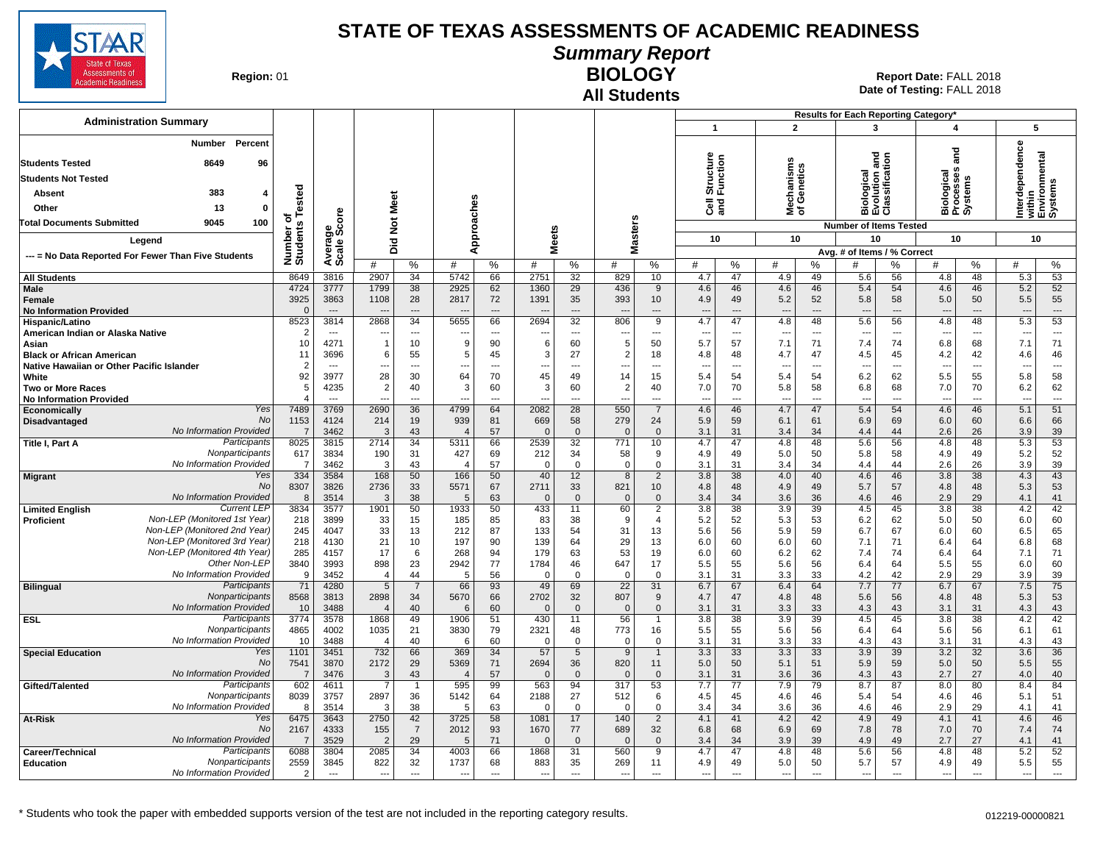

**Summary Report**

**Region: 01** 

#### **All Students BIOLOGY**

|                                                                  |                        |                                  |                                  |                                |                                |                      |                                |                      |                          |                               |                          |                      |                                 |                                | Results for Each Reporting Category*          |                |                                    |                                |                                 |                                    |
|------------------------------------------------------------------|------------------------|----------------------------------|----------------------------------|--------------------------------|--------------------------------|----------------------|--------------------------------|----------------------|--------------------------|-------------------------------|--------------------------|----------------------|---------------------------------|--------------------------------|-----------------------------------------------|----------------|------------------------------------|--------------------------------|---------------------------------|------------------------------------|
| <b>Administration Summary</b>                                    |                        |                                  |                                  |                                |                                |                      |                                |                      |                          |                               | $\overline{1}$           |                      | $\overline{2}$                  |                                | 3                                             |                | $\boldsymbol{4}$                   |                                |                                 | 5                                  |
| <b>Number</b><br>Percent<br>8649<br><b>Students Tested</b><br>96 |                        |                                  |                                  |                                |                                |                      |                                |                      |                          |                               | Structure<br>Function    |                      |                                 |                                | iiological<br>:volution and<br>:lassification |                | and                                |                                | erdependence                    | within<br>Environmental<br>Systems |
| <b>Students Not Tested</b>                                       |                        |                                  |                                  |                                |                                |                      |                                |                      |                          |                               |                          |                      | lechanisms<br>f Genetics        |                                |                                               |                | Biological<br>Processes<br>Systems |                                |                                 |                                    |
|                                                                  |                        |                                  |                                  |                                |                                |                      |                                |                      |                          |                               |                          |                      |                                 |                                |                                               |                |                                    |                                |                                 |                                    |
| 383<br>Absent                                                    | Tested                 |                                  |                                  |                                |                                |                      |                                |                      |                          |                               |                          |                      |                                 |                                |                                               |                |                                    |                                |                                 |                                    |
| 13<br>$\mathbf{0}$<br>Other                                      |                        |                                  |                                  |                                |                                |                      |                                |                      |                          |                               | ලි දි                    |                      | ≊ ঠ                             |                                | Ξúō                                           |                |                                    |                                | Ξ.                              |                                    |
| 100<br><b>Total Documents Submitted</b><br>9045                  | ъ                      | ge<br>Score                      | <b>Not Meet</b>                  |                                |                                |                      |                                |                      |                          |                               |                          |                      |                                 |                                | <b>Number of Items Tested</b>                 |                |                                    |                                |                                 |                                    |
| Legend                                                           | Number of<br>Students  |                                  |                                  |                                |                                | Approaches           | <b>Meets</b>                   |                      | <b>Masters</b>           |                               | 10                       |                      | 10                              |                                | 10                                            |                | 10                                 |                                |                                 | 10                                 |
| --- = No Data Reported For Fewer Than Five Students              |                        | Avera<br>Scale                   | Did                              |                                |                                |                      |                                |                      |                          |                               |                          |                      |                                 |                                | Avg. # of Items / % Correct                   |                |                                    |                                |                                 |                                    |
|                                                                  |                        |                                  | #                                | $\%$                           | #                              | $\%$                 | #                              | %                    | #                        | $\%$                          | #                        | ℅                    | #                               | %                              | #                                             | %              | #                                  | %                              | #                               | $\%$                               |
| <b>All Students</b>                                              | 8649                   | 3816                             | 2907                             | 34                             | 5742                           | 66                   | 2751                           | 32                   | 829                      | 10                            | 4.7                      | 47                   | 4.9                             | 49                             | 5.6                                           | 56             | 4.8                                | 48                             | 5.3                             | 53                                 |
| Male                                                             | 4724                   | 3777                             | 1799                             | 38                             | 2925                           | 62                   | 1360                           | 29                   | 436                      | 9                             | 4.6                      | 46                   | 4.6                             | 46                             | 5.4                                           | 54             | 4.6                                | 46                             | 5.2                             | 52                                 |
| Female<br><b>No Information Provided</b>                         | 3925<br>$\Omega$       | 3863<br>$\overline{\phantom{a}}$ | 1108                             | 28<br>$\overline{\phantom{a}}$ | 2817                           | 72<br>$\overline{a}$ | 1391                           | 35<br>$\overline{a}$ | 393                      | 10 <sup>°</sup><br>---        | 4.9                      | 49<br>---            | 5.2<br>$\overline{\phantom{a}}$ | 52<br>$\overline{\phantom{a}}$ | 5.8                                           | 58<br>---      | 5.0                                | 50<br>$\overline{\phantom{a}}$ | 5.5                             | 55<br>$\overline{a}$               |
| Hispanic/Latino                                                  | 8523                   | 3814                             | 2868                             | 34                             | 5655                           | 66                   | 2694                           | 32                   | 806                      | 9                             | 4.7                      | 47                   | 4.8                             | 48                             | 5.6                                           | 56             | 4.8                                | 48                             | 5.3                             | 53                                 |
| American Indian or Alaska Native                                 | $\overline{2}$         | $---$                            |                                  | $\overline{\phantom{a}}$       |                                | $\overline{a}$       | $\overline{a}$                 | $\overline{a}$       | ---                      | $\overline{a}$                | $\overline{a}$           | $\overline{a}$       | $\overline{\phantom{a}}$        | $\overline{a}$                 |                                               | $\sim$         |                                    | $\overline{a}$                 | $\overline{\phantom{a}}$        | $\sim$                             |
| Asian                                                            | 10                     | 4271                             | $\overline{1}$                   | 10                             | 9                              | 90                   | 6                              | 60                   | -5                       | 50                            | 5.7                      | 57                   | 7.1                             | 71                             | 7.4                                           | 74             | 6.8                                | 68                             | 7.1                             | 71                                 |
| <b>Black or African American</b>                                 | 11                     | 3696                             | 6                                | 55                             | 5                              | 45                   | 3                              | 27                   | $\overline{2}$           | 18                            | 4.8                      | 48                   | 4.7                             | 47                             | 4.5                                           | 45             | 4.2                                | 42                             | 4.6                             | 46                                 |
| Native Hawaiian or Other Pacific Islander<br>White               | $\overline{2}$<br>92   | $---$<br>3977                    | ---<br>28                        | $---$<br>30                    | $\overline{\phantom{a}}$<br>64 | $---$<br>70          | $\overline{\phantom{a}}$<br>45 | $\overline{a}$<br>49 | ---<br>14                | $---$<br>15                   | ---<br>5.4               | $\overline{a}$<br>54 | $\overline{\phantom{a}}$<br>5.4 | $\overline{a}$<br>54           | $\overline{a}$<br>6.2                         | $\sim$<br>62   | ---<br>5.5                         | $\overline{a}$<br>55           | $\overline{\phantom{a}}$<br>5.8 | $\overline{a}$<br>58               |
| <b>Two or More Races</b>                                         | 5                      | 4235                             | $\overline{2}$                   | 40                             | 3                              | 60                   | 3                              | 60                   | $\overline{2}$           | 40                            | 7.0                      | 70                   | 5.8                             | 58                             | 6.8                                           | 68             | 7.0                                | 70                             | 6.2                             | 62                                 |
| <b>No Information Provided</b>                                   |                        | $\overline{a}$                   | ---                              |                                |                                |                      | ---                            | -−∙                  | ---                      |                               | ---                      | ---                  | $\overline{\phantom{a}}$        | ---                            | $\overline{\phantom{a}}$                      |                | ---                                | ---                            | ---                             | $\sim$ $\sim$                      |
| Yes<br>Economically                                              | 7489                   | 3769                             | 2690                             | 36                             | 4799                           | 64                   | 2082                           | $\overline{28}$      | 550                      | $\overline{7}$                | 4.6                      | 46                   | 4.7                             | 47                             | 5.4                                           | 54             | 4.6                                | 46                             | 5.1                             | 51                                 |
| No<br>Disadvantaged<br>No Information Provided                   | 1153                   | 4124                             | 214<br>3                         | 19                             | 939                            | 81                   | 669                            | 58                   | 279                      | 24                            | 5.9                      | 59                   | 6.1                             | 61                             | 6.9                                           | 69             | 6.0                                | 60                             | 6.6                             | 66                                 |
| Participants<br>Title I, Part A                                  | $\overline{7}$<br>8025 | 3462<br>3815                     | 2714                             | 43<br>34                       | 5311                           | 57<br>66             | $\mathbf 0$<br>2539            | $\overline{0}$<br>32 | $\overline{0}$<br>771    | $\mathbf 0$<br>10             | 3.1<br>4.7               | 31<br>47             | 3.4<br>4.8                      | 34<br>48                       | 4.4<br>5.6                                    | 44<br>56       | 2.6<br>4.8                         | 26<br>48                       | 3.9<br>5.3                      | 39<br>53                           |
| Nonparticipants                                                  | 617                    | 3834                             | 190                              | 31                             | 427                            | 69                   | 212                            | 34                   | 58                       | 9                             | 4.9                      | 49                   | 5.0                             | 50                             | 5.8                                           | 58             | 4.9                                | 49                             | 5.2                             | 52                                 |
| No Information Provided                                          | 7                      | 3462                             | -3                               | 43                             | $\overline{\mathbf{4}}$        | 57                   | 0                              | $\mathbf 0$          | $\mathbf 0$              | $\mathbf 0$                   | 3.1                      | 31                   | 3.4                             | 34                             | 4.4                                           | 44             | 2.6                                | 26                             | 3.9                             | 39                                 |
| Yes<br><b>Migrant</b>                                            | 334                    | 3584                             | 168                              | 50                             | 166                            | 50                   | 40                             | 12                   | 8                        | $\overline{2}$                | 3.8                      | 38                   | 4.0                             | 40                             | 4.6                                           | 46             | 3.8                                | 38                             | 4.3                             | 43                                 |
| No<br>No Information Provided                                    | 8307<br>8              | 3826<br>3514                     | 2736<br>3                        | 33<br>38                       | 5571<br>5                      | 67<br>63             | 2711<br>$\mathbf{0}$           | 33<br>$\overline{0}$ | 821<br>$\Omega$          | 10 <sup>°</sup><br>$\Omega$   | 4.8<br>3.4               | 48<br>34             | 4.9<br>3.6                      | 49<br>36                       | 5.7<br>4.6                                    | 57<br>46       | 4.8<br>2.9                         | 48<br>29                       | 5.3<br>4.1                      | 53<br>41                           |
| <b>Current LEP</b><br><b>Limited English</b>                     | 3834                   | 3577                             | 1901                             | 50                             | 1933                           | 50                   | 433                            | 11                   | 60                       | $\overline{2}$                | 3.8                      | 38                   | 3.9                             | 39                             | 4.5                                           | 45             | 3.8                                | $\overline{38}$                | 4.2                             | 42                                 |
| Non-LEP (Monitored 1st Year)<br><b>Proficient</b>                | 218                    | 3899                             | 33                               | 15                             | 185                            | 85                   | 83                             | 38                   | -9                       | 4                             | 5.2                      | 52                   | 5.3                             | 53                             | 6.2                                           | 62             | 5.0                                | 50                             | 6.0                             | 60                                 |
| Non-LEP (Monitored 2nd Year)                                     | 245                    | 4047                             | 33                               | 13                             | 212                            | 87                   | 133                            | 54                   | 31                       | 13                            | 5.6                      | 56                   | 5.9                             | 59                             | 6.7                                           | 67             | 6.0                                | 60                             | 6.5                             | 65                                 |
| Non-LEP (Monitored 3rd Year)<br>Non-LEP (Monitored 4th Year)     | 218                    | 4130                             | 21                               | 10                             | 197                            | 90                   | 139                            | 64                   | 29                       | 13                            | 6.0                      | 60                   | 6.0                             | 60                             | 7.1                                           | 71             | 6.4                                | 64                             | 6.8                             | 68                                 |
| Other Non-LEP                                                    | 285<br>3840            | 4157<br>3993                     | 17<br>898                        | 6<br>23                        | 268<br>2942                    | 94<br>77             | 179<br>1784                    | 63<br>46             | 53<br>647                | 19<br>17                      | 6.0<br>5.5               | 60<br>55             | 6.2<br>5.6                      | 62<br>56                       | 7.4<br>6.4                                    | 74<br>64       | 6.4<br>5.5                         | 64<br>55                       | 7.1<br>6.0                      | 71<br>60                           |
| No Information Provided                                          | 9                      | 3452                             | $\overline{4}$                   | 44                             | 5                              | 56                   | $\mathbf 0$                    | $\mathbf 0$          | $\overline{0}$           | $\mathbf{0}$                  | 3.1                      | 31                   | 3.3                             | 33                             | 4.2                                           | 42             | 2.9                                | 29                             | 3.9                             | 39                                 |
| Participants<br><b>Bilingual</b>                                 | 71                     | 4280                             | $5\overline{)}$                  | $\overline{7}$                 | 66                             | 93                   | 49                             | 69                   | 22                       | 31                            | 6.7                      | 67                   | 6.4                             | 64                             | 7.7                                           | 77             | 6.7                                | 67                             | 7.5                             | 75                                 |
| Nonparticipants                                                  | 8568                   | 3813                             | 2898                             | 34                             | 5670                           | 66                   | 2702                           | 32                   | 807                      | 9                             | 4.7                      | 47                   | 4.8                             | 48                             | 5.6                                           | 56             | 4.8                                | 48                             | 5.3                             | 53                                 |
| No Information Provideo<br>Participants                          | 10<br>3774             | 3488<br>3578                     | $\overline{4}$<br>1868           | 40<br>49                       | 6<br>1906                      | 60<br>51             | $\mathbf 0$<br>430             | $\mathbf 0$<br>11    | $\mathbf 0$<br>56        | $\mathbf 0$<br>$\overline{1}$ | 3.1<br>3.8               | 31<br>38             | 3.3<br>3.9                      | 33<br>39                       | 4.3<br>4.5                                    | 43<br>45       | 3.1<br>3.8                         | 31<br>38                       | 4.3<br>4.2                      | 43<br>42                           |
| <b>ESL</b><br>Nonparticipants                                    | 4865                   | 4002                             | 1035                             | 21                             | 3830                           | 79                   | 2321                           | 48                   | 773                      | 16                            | 5.5                      | 55                   | 5.6                             | 56                             | 6.4                                           | 64             | 5.6                                | 56                             | 6.1                             | 61                                 |
| No Information Provideo                                          | 10                     | 3488                             | $\overline{4}$                   | 40                             | 6                              | 60                   | $\Omega$                       | $\overline{0}$       | $\Omega$                 | $\Omega$                      | 3.1                      | 31                   | 3.3                             | 33                             | 4.3                                           | 43             | 3.1                                | 31                             | 4.3                             | 43                                 |
| <b>Special Education</b><br>Yes                                  | 1101                   | 3451                             | 732                              | 66                             | 369                            | 34                   | 57                             | 5                    | 9                        | $\overline{1}$                | 3.3                      | 33                   | 3.3                             | 33                             | 3.9                                           | 39             | 3.2                                | 32                             | 3.6                             | 36                                 |
| <b>No</b>                                                        | 7541                   | 3870                             | 2172                             | 29                             | 5369                           | 71                   | 2694                           | 36                   | 820                      | 11                            | 5.0                      | 50                   | 5.1                             | 51                             | 5.9                                           | 59             | 5.0                                | 50                             | 5.5                             | 55                                 |
| No Information Provided<br>Participants                          | $\overline{7}$<br>602  | 3476<br>4611                     | $\overline{3}$<br>$\overline{7}$ | 43                             | $\overline{4}$<br>595          | 57<br>99             | $\mathbf{0}$<br>563            | $\mathbf{0}$<br>94   | $\Omega$<br>317          | $\mathbf{0}$<br>53            | 3.1<br>7.7               | 31<br>77             | 3.6<br>7.9                      | 36<br>79                       | 4.3<br>8.7                                    | 43<br>87       | 2.7<br>8.0                         | 27<br>80                       | 4.0<br>8.4                      | 40<br>84                           |
| Gifted/Talented<br>Nonparticipants                               | 8039                   | 3757                             | 2897                             | $\overline{1}$<br>36           | 5142                           | 64                   | 2188                           | 27                   | 512                      | 6                             | 4.5                      | 45                   | 4.6                             | 46                             | 5.4                                           | 54             | 4.6                                | 46                             | 5.1                             | 51                                 |
| No Information Provided                                          | 8                      | 3514                             | 3                                | 38                             | 5                              | 63                   | $\mathbf 0$                    | $\mathbf{0}$         | $\overline{0}$           | 0                             | 3.4                      | 34                   | 3.6                             | 36                             | 4.6                                           | 46             | 2.9                                | 29                             | 4.1                             | 41                                 |
| Yes<br>At-Risk                                                   | 6475                   | 3643                             | 2750                             | 42                             | 3725                           | 58                   | 1081                           | 17                   | 140                      | $\overline{2}$                | 4.1                      | 41                   | 4.2                             | 42                             | 4.9                                           | 49             | 4.1                                | 41                             | 4.6                             | 46                                 |
| No                                                               | 2167                   | 4333                             | 155                              | $\overline{7}$                 | 2012                           | 93                   | 1670                           | 77                   | 689                      | 32                            | 6.8                      | 68                   | 6.9                             | 69                             | 7.8                                           | 78             | 7.0                                | 70                             | 7.4                             | 74                                 |
| No Information Provideo<br>Participants                          | $\overline{7}$<br>6088 | 3529                             | $\overline{2}$                   | 29<br>34                       | 5<br>4003                      | 71<br>66             | $\Omega$<br>1868               | $\overline{0}$<br>31 | $\Omega$<br>560          | $\mathbf{0}$<br>9             | 3.4                      | 34<br>47             | 3.9<br>4.8                      | 39<br>48                       | 4.9<br>5.6                                    | 49<br>56       | 2.7                                | 27<br>48                       | 4.1<br>5.2                      | 41<br>52                           |
| Career/Technical<br>Nonparticipants<br><b>Education</b>          | 2559                   | 3804<br>3845                     | 2085<br>822                      | 32                             | 1737                           | 68                   | 883                            | 35                   | 269                      | 11                            | 4.7<br>4.9               | 49                   | 5.0                             | 50                             | 5.7                                           | 57             | 4.8<br>4.9                         | 49                             | 5.5                             | 55                                 |
| No Information Provided                                          | 2                      | $\cdots$                         | $\overline{\phantom{a}}$         | $\sim$                         | $\overline{\phantom{a}}$       | $\overline{a}$       | $\cdots$                       | ---                  | $\overline{\phantom{a}}$ | ---                           | $\hspace{0.05cm} \ldots$ | $\overline{a}$       | $\overline{\phantom{a}}$        | $\overline{a}$                 | $\overline{\phantom{a}}$                      | $\overline{a}$ | ---                                | $---$                          | ---                             | $\hspace{0.05cm} \ldots$           |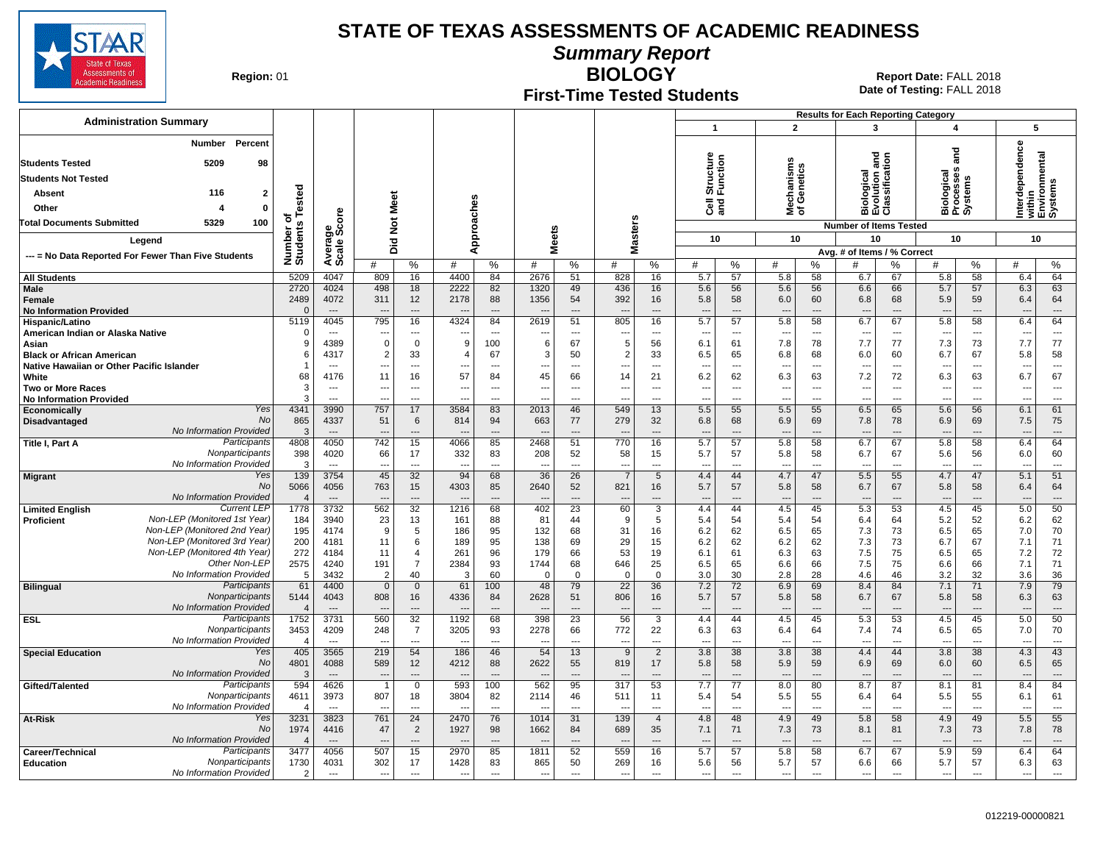

**Summary Report**

**Region: 01** 

#### **First-Time Tested Students**

**BIOLOGY** Report Date: FALL 2018 **Date of Testing:**  FALL 2018

|                                                                |                        |                        |                                 |                                  |                          |                      |                          |                          |                          |                      |                          |                |                                 |                          | <b>Results for Each Reporting Category</b>        |                          |                                    |                |                                                                      |                          |
|----------------------------------------------------------------|------------------------|------------------------|---------------------------------|----------------------------------|--------------------------|----------------------|--------------------------|--------------------------|--------------------------|----------------------|--------------------------|----------------|---------------------------------|--------------------------|---------------------------------------------------|--------------------------|------------------------------------|----------------|----------------------------------------------------------------------|--------------------------|
| <b>Administration Summary</b>                                  |                        |                        |                                 |                                  |                          |                      |                          |                          |                          |                      | $\overline{1}$           |                | $\overline{2}$                  |                          | 3                                                 |                          | 4                                  |                | 5                                                                    |                          |
| Percent<br>Number<br><b>Students Tested</b><br>5209<br>98      |                        |                        |                                 |                                  |                          |                      |                          |                          |                          |                      | Structure<br>Function    |                |                                 |                          | 겯<br>iological<br>:volution and<br>:lassification |                          | and                                |                | erdependence<br>Interdependenc<br>within<br>Environmental<br>Systems |                          |
|                                                                |                        |                        |                                 |                                  |                          |                      |                          |                          |                          |                      |                          |                |                                 |                          |                                                   |                          |                                    |                |                                                                      |                          |
| <b>Students Not Tested</b>                                     |                        |                        |                                 |                                  |                          |                      |                          |                          |                          |                      |                          |                | Mechanisms<br>of Genetics       |                          |                                                   |                          | Biological<br>Processes<br>Systems |                |                                                                      |                          |
| 116<br><b>Absent</b><br>2                                      | Tested                 |                        |                                 |                                  |                          |                      |                          |                          |                          |                      |                          |                |                                 |                          |                                                   |                          |                                    |                |                                                                      |                          |
| Other<br>0                                                     |                        |                        |                                 |                                  |                          |                      |                          |                          |                          |                      | ලි දි                    |                |                                 |                          | ៙៙                                                |                          |                                    |                |                                                                      |                          |
| 5329<br>100<br><b>Fotal Documents Submitted</b>                | ৳                      | ge<br>Score            | Not Meet                        |                                  |                          |                      |                          |                          |                          |                      |                          |                |                                 |                          | <b>Number of Items Tested</b>                     |                          |                                    |                |                                                                      |                          |
| Legend                                                         |                        |                        |                                 |                                  |                          | Approaches           | <b>Meets</b>             |                          | lasters                  |                      | 10                       |                | 10                              |                          | 10                                                |                          | 10                                 |                | 10                                                                   |                          |
|                                                                |                        |                        | Did                             |                                  |                          |                      |                          |                          | Σ                        |                      |                          |                |                                 |                          | Avg. # of Items / % Correct                       |                          |                                    |                |                                                                      |                          |
| --- = No Data Reported For Fewer Than Five Students            | Number o<br>Students   | Averag<br>Scale        | #                               | %                                | #                        | %                    | #                        | %                        | #                        | %                    | #                        | %              | #                               | ℅                        | #                                                 | %                        | #                                  | %              | #                                                                    | $\%$                     |
| <b>All Students</b>                                            | 5209                   | 4047                   | 809                             | 16                               | 4400                     | 84                   | 2676                     | 51                       | 828                      | 16                   | 5.7                      | 57             | 5.8                             | 58                       | 6.7                                               | 67                       | 5.8                                | 58             | 6.4                                                                  | 64                       |
| <b>Male</b>                                                    | 2720                   | 4024                   | 498                             | 18                               | 2222                     | 82                   | 1320                     | 49                       | 436                      | 16                   | 5.6                      | 56             | 5.6                             | 56                       | 6.6                                               | 66                       | 5.7                                | 57             | 6.3                                                                  | 63                       |
| <b>Female</b>                                                  | 2489                   | 4072                   | 311                             | 12                               | 2178                     | 88                   | 1356                     | 54                       | 392                      | 16                   | 5.8                      | 58             | 6.0                             | 60                       | 6.8                                               | 68                       | 5.9                                | 59             | 6.4                                                                  | 64                       |
| <b>No Information Provided</b>                                 | $\Omega$               | ---                    |                                 | $\overline{\phantom{a}}$         |                          | $---$                | $\overline{\phantom{a}}$ | $\overline{a}$           | $\overline{\phantom{a}}$ | ---                  | $---$                    | $\overline{a}$ | $\overline{\phantom{a}}$        | $\overline{\phantom{a}}$ | $\overline{\phantom{a}}$                          | $\overline{\phantom{a}}$ | $\overline{\phantom{a}}$           | ---            | $\overline{a}$                                                       | $\cdots$                 |
| Hispanic/Latino                                                | 5119<br>$\Omega$       | 4045                   | 795                             | 16<br>$---$                      | 4324                     | 84                   | 2619                     | 51                       | 805                      | 16                   | 5.7                      | 57             | 5.8                             | 58                       | 6.7                                               | 67                       | 5.8                                | 58             | 6.4                                                                  | 64<br>$---$              |
| American Indian or Alaska Native<br>Asian                      | 9                      | $---$<br>4389          | $\sim$<br>$\mathbf 0$           | $\mathbf 0$                      | $\sim$<br>9              | $---$<br>100         | $- - -$<br>6             | $---$<br>67              | $\sim$<br>5              | $\overline{a}$<br>56 | $---$<br>6.1             | $---$<br>61    | $\overline{\phantom{a}}$<br>7.8 | $---$<br>78              | $---$<br>7.7                                      | $\sim$<br>77             | $-$<br>7.3                         | $---$<br>73    | $\overline{a}$<br>7.7                                                | 77                       |
| <b>Black or African American</b>                               | 6                      | 4317                   | $\overline{2}$                  | 33                               | Δ                        | 67                   | 3                        | 50                       | 2                        | 33                   | 6.5                      | 65             | 6.8                             | 68                       | 6.0                                               | 60                       | 6.7                                | 67             | 5.8                                                                  | 58                       |
| Native Hawaiian or Other Pacific Islander                      |                        | $---$                  | ---                             | $\overline{\phantom{a}}$         |                          | $---$                | $\overline{\phantom{a}}$ | $- -$                    | $- -$                    | $\overline{a}$       | $--$                     | $\overline{a}$ | $\overline{\phantom{a}}$        | $\overline{a}$           | $\sim$                                            | ---                      | $\overline{\phantom{a}}$           | $\overline{a}$ | $\sim$                                                               | $\overline{a}$           |
| White                                                          | 68                     | 4176                   | 11                              | 16                               | 57                       | 84                   | 45                       | 66                       | 14                       | 21                   | 6.2                      | 62             | 6.3                             | 63                       | 7.2                                               | 72                       | 6.3                                | 63             | 6.7                                                                  | 67                       |
| <b>Two or More Races</b>                                       | 3                      | $---$                  | ---                             | ---                              |                          | $---$                | $\overline{\phantom{a}}$ | $\overline{a}$           | $\overline{\phantom{a}}$ | ---                  | $\overline{\phantom{a}}$ | $\overline{a}$ | $\overline{\phantom{a}}$        | ---                      | $\overline{\phantom{a}}$                          | ---                      | $\overline{\phantom{a}}$           | $\overline{a}$ |                                                                      | ---                      |
| <b>No Information Provided</b><br>Yes                          | 3<br>4341              | $\overline{a}$<br>3990 | 757                             | $\overline{\phantom{a}}$<br>17   |                          | $\overline{a}$<br>83 | Ξ.<br>2013               | $\overline{a}$           |                          | $\overline{a}$<br>13 |                          | $\overline{a}$ | $\overline{\phantom{a}}$        | $\overline{a}$           | $\overline{\phantom{a}}$                          | --                       | $\overline{\phantom{a}}$           | $\overline{a}$ | ---                                                                  | $\overline{a}$<br>61     |
| Economically<br><b>No</b><br><b>Disadvantaged</b>              | 865                    | 4337                   | 51                              | 6                                | 3584<br>814              | 94                   | 663                      | 46<br>77                 | 549<br>279               | 32                   | 5.5<br>6.8               | 55<br>68       | 5.5<br>6.9                      | 55<br>69                 | 6.5<br>7.8                                        | 65<br>78                 | 5.6<br>6.9                         | 56<br>69       | 6.1<br>7.5                                                           | 75                       |
| <b>No Information Provided</b>                                 | 3                      | $\overline{a}$         | $\overline{a}$                  | $---$                            |                          | $---$                | $\overline{\phantom{a}}$ | $\overline{\phantom{a}}$ | $\overline{\phantom{a}}$ | $---$                | $---$                    | $---$          | $\overline{\phantom{a}}$        | $-$                      | $\overline{a}$                                    | ---                      | $\overline{\phantom{a}}$           | $---$          | $\overline{\phantom{a}}$                                             | $---$                    |
| Participants<br>Title I, Part A                                | 4808                   | 4050                   | 742                             | 15                               | 4066                     | 85                   | 2468                     | 51                       | 770                      | 16                   | 5.7                      | 57             | 5.8                             | 58                       | 6.7                                               | 67                       | 5.8                                | 58             | 6.4                                                                  | 64                       |
| Nonparticipants                                                | 398                    | 4020                   | 66                              | 17                               | 332                      | 83                   | 208                      | 52                       | 58                       | 15                   | 5.7                      | 57             | 5.8                             | 58                       | 6.7                                               | 67                       | 5.6                                | 56             | 6.0                                                                  | 60                       |
| No Information Provided                                        | 3                      | $---$                  | ---                             | $---$                            | $\overline{a}$           | $---$                | $\overline{a}$           | $\overline{a}$           | $\overline{a}$           | $---$                | $---$                    | $\overline{a}$ | $\overline{\phantom{a}}$        | $\overline{a}$           | $\overline{a}$                                    | ---                      | $\overline{\phantom{a}}$           | $\overline{a}$ | ---                                                                  | $\overline{a}$           |
| Yes<br><b>Migrant</b><br>No                                    | 139<br>5066            | 3754                   | 45<br>763                       | 32<br>15                         | 94<br>4303               | 68<br>85             | 36<br>2640               | 26<br>52                 | $\overline{7}$<br>821    | 5                    | 4.4                      | 44<br>57       | 4.7                             | 47                       | 5.5<br>6.7                                        | 55<br>67                 | 4.7                                | 47             | 5.1                                                                  | 51<br>64                 |
| No Information Provided                                        | $\overline{4}$         | 4056<br>$\sim$         |                                 | $\overline{a}$                   |                          |                      |                          | $\sim$                   |                          | 16<br>$\overline{a}$ | 5.7                      | ---            | 5.8                             | 58                       | $\overline{\phantom{a}}$                          | $\sim$                   | 5.8                                | 58             | 6.4                                                                  | $\overline{a}$           |
| <b>Current LEP</b><br><b>Limited English</b>                   | 1778                   | 3732                   | 562                             | 32                               | 1216                     | 68                   | 402                      | 23                       | 60                       | 3                    | 4.4                      | 44             | 4.5                             | 45                       | 5.3                                               | 53                       | 4.5                                | 45             | 5.0                                                                  | 50                       |
| Non-LEP (Monitored 1st Year)<br>Proficient                     | 184                    | 3940                   | 23                              | 13                               | 161                      | 88                   | 81                       | 44                       | 9                        | 5                    | 5.4                      | 54             | 5.4                             | 54                       | 6.4                                               | 64                       | 5.2                                | 52             | 6.2                                                                  | 62                       |
| Non-LEP (Monitored 2nd Year)                                   | 195                    | 4174                   | 9                               | 5                                | 186                      | 95                   | 132                      | 68                       | 31                       | 16                   | 6.2                      | 62             | 6.5                             | 65                       | 7.3                                               | 73                       | 6.5                                | 65             | 7.0                                                                  | 70                       |
| Non-LEP (Monitored 3rd Year)<br>Non-LEP (Monitored 4th Year)   | 200                    | 4181                   | 11                              | 6                                | 189                      | 95                   | 138                      | 69                       | 29                       | 15                   | 6.2                      | 62             | 6.2                             | 62                       | 7.3                                               | 73                       | 6.7                                | 67             | 7.1                                                                  | 71                       |
| Other Non-LEP                                                  | 272<br>2575            | 4184<br>4240           | 11<br>191                       | $\overline{4}$<br>$\overline{7}$ | 261<br>2384              | 96<br>93             | 179<br>1744              | 66<br>68                 | 53<br>646                | 19<br>25             | 6.1<br>6.5               | 61<br>65       | 6.3<br>6.6                      | 63<br>66                 | 7.5<br>7.5                                        | 75<br>75                 | 6.5<br>6.6                         | 65<br>66       | 7.2<br>7.1                                                           | 72<br>71                 |
| No Information Provided                                        | 5                      | 3432                   | $\overline{2}$                  | 40                               | 3                        | 60                   | $\Omega$                 | $\Omega$                 | $\Omega$                 | $\Omega$             | 3.0                      | 30             | 2.8                             | 28                       | 4.6                                               | 46                       | 3.2                                | 32             | 3.6                                                                  | 36                       |
| Participants<br><b>Bilingual</b>                               | 61                     | 4400                   | $\mathbf 0$                     | $\mathbf{0}$                     | 61                       | 100                  | 48                       | 79                       | 22                       | 36                   | 7.2                      | 72             | 6.9                             | 69                       | 8.4                                               | 84                       | 7.1                                | 71             | 7.9                                                                  | 79                       |
| Nonparticipants                                                | 5144                   | 4043                   | 808                             | 16                               | 4336                     | 84                   | 2628                     | 51                       | 806                      | 16                   | 5.7                      | 57             | 5.8                             | 58                       | 6.7                                               | 67                       | 5.8                                | 58             | 6.3                                                                  | 63                       |
| No Information Provided                                        |                        | $---$                  | $\overline{\phantom{a}}$        | $---$                            | $\overline{\phantom{a}}$ | $---$                | $\overline{a}$           | $\overline{\phantom{a}}$ | $\overline{\phantom{a}}$ | ---                  | $---$                    | $---$          | $\overline{\phantom{a}}$        | ---                      | $\overline{a}$                                    | $\overline{a}$           | $\overline{\phantom{a}}$           | $\overline{a}$ | $\overline{\phantom{a}}$                                             | $\overline{\phantom{a}}$ |
| Participants<br>ESI.<br>Nonparticipants                        | 1752<br>3453           | 3731<br>4209           | 560<br>248                      | 32<br>$\overline{7}$             | 1192<br>3205             | 68<br>93             | 398<br>2278              | $\overline{23}$<br>66    | 56<br>772                | 3<br>22              | 4.4<br>6.3               | 44<br>63       | 4.5<br>6.4                      | 45<br>64                 | 5.3<br>7.4                                        | 53<br>74                 | 4.5<br>6.5                         | 45<br>65       | 5.0<br>7.0                                                           | 50<br>70                 |
| No Information Provided                                        |                        | $-$                    |                                 | $\overline{a}$                   |                          | $\sim$               |                          | $\sim$                   |                          | $\sim$               |                          | $\sim$         | $\overline{\phantom{a}}$        | $\overline{a}$           | $\overline{\phantom{a}}$                          | ---                      | $\overline{\phantom{a}}$           | $\overline{a}$ |                                                                      | $\overline{a}$           |
| Yes<br><b>Special Education</b>                                | 405                    | 3565                   | 219                             | 54                               | 186                      | 46                   | 54                       | 13                       | 9                        | $\overline{2}$       | 3.8                      | 38             | 3.8                             | 38                       | 4.4                                               | 44                       | 3.8                                | 38             | 4.3                                                                  | 43                       |
| No                                                             | 4801                   | 4088                   | 589                             | 12                               | 4212                     | 88                   | 2622                     | 55                       | 819                      | 17                   | 5.8                      | 58             | 5.9                             | 59                       | 6.9                                               | 69                       | 6.0                                | 60             | 6.5                                                                  | 65                       |
| No Information Provided                                        | 3                      |                        |                                 | ---                              |                          |                      |                          |                          |                          |                      |                          | ---            |                                 |                          | $\overline{a}$                                    | $\overline{a}$           | $\overline{\phantom{a}}$           |                |                                                                      | ---                      |
| Participants<br>Gifted/Talented                                | 594                    | 4626                   |                                 | $\mathbf 0$                      | 593                      | 100                  | 562                      | 95                       | 317                      | 53                   | 7.7                      | 77             | 8.0                             | 80                       | 8.7                                               | 87                       | 8.1                                | 81             | 8.4                                                                  | 84                       |
| Nonparticipants<br>No Information Provided                     | 4611<br>$\overline{4}$ | 3973<br>$---$          | 807<br>$\overline{\phantom{a}}$ | 18<br>$---$                      | 3804<br>$\overline{a}$   | 82<br>$\overline{a}$ | 2114<br>$\overline{a}$   | 46<br>$\overline{a}$     | 511<br>$\overline{a}$    | 11<br>$---$          | 5.4<br>$\overline{a}$    | 54<br>$---$    | 5.5<br>$\overline{a}$           | 55<br>$---$              | 6.4<br>$\overline{\phantom{a}}$                   | 64<br>$\sim$             | 5.5<br>$---$                       | 55<br>$---$    | 6.1<br>$---$                                                         | 61<br>$\overline{a}$     |
| Yes<br>At-Risk                                                 | 3231                   | 3823                   | 761                             | 24                               | 2470                     | 76                   | 1014                     | 31                       | 139                      | $\overline{4}$       | 4.8                      | 48             | 4.9                             | 49                       | 5.8                                               | 58                       | 4.9                                | 49             | 5.5                                                                  | 55                       |
| No                                                             | 1974                   | 4416                   | 47                              | $\overline{2}$                   | 1927                     | 98                   | 1662                     | 84                       | 689                      | 35                   | 7.1                      | 71             | 7.3                             | 73                       | 8.1                                               | 81                       | 7.3                                | 73             | 7.8                                                                  | 78                       |
| No Information Provided                                        |                        | $---$                  |                                 | $---$                            |                          |                      |                          | $\overline{\phantom{a}}$ |                          | $---$                |                          |                |                                 |                          |                                                   | $\overline{a}$           |                                    | $---$          |                                                                      | $\overline{a}$           |
| Participants<br>Career/Technical                               | 3477                   | 4056                   | 507                             | 15                               | 2970                     | 85                   | 1811                     | 52                       | 559                      | 16                   | 5.7                      | 57             | 5.8                             | 58                       | 6.7                                               | 67                       | 5.9                                | 59             | 6.4                                                                  | 64                       |
| Nonparticipants<br><b>Education</b><br>No Information Provided | 1730                   | 4031                   | 302                             | 17<br>$\overline{a}$             | 1428                     | 83                   | 865                      | 50                       | 269                      | 16                   | 5.6                      | 56             | 5.7                             | 57                       | 6.6                                               | 66                       | 5.7                                | 57             | 6.3                                                                  | 63                       |
|                                                                | 2                      | $\cdots$               | $\overline{\phantom{a}}$        |                                  | $\overline{\phantom{a}}$ | $\ldots$             | $\overline{\phantom{a}}$ | ---                      | $---$                    | ---                  | $\overline{\phantom{a}}$ | $---$          | $\overline{\phantom{a}}$        | $\overline{a}$           | ---                                               | ---                      | $\cdots$                           | $\overline{a}$ | ---                                                                  |                          |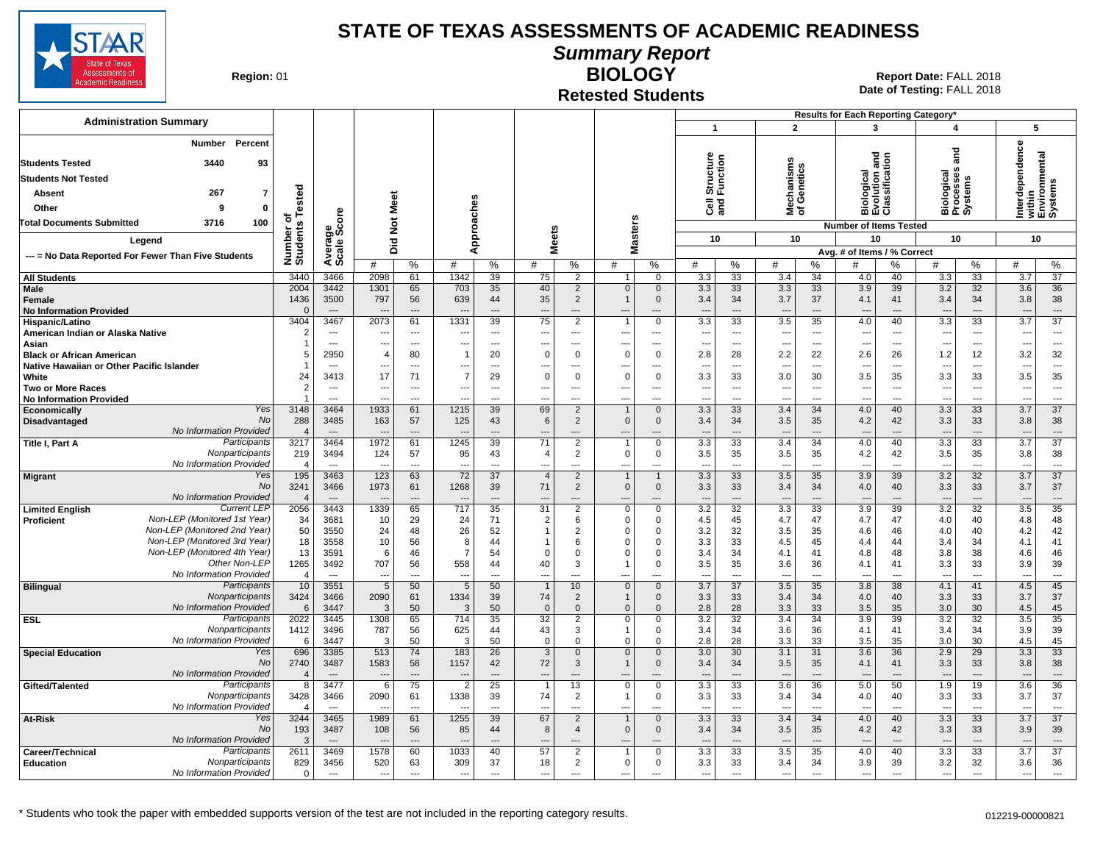

**Summary Report**

**Region: 01** 

#### **Retested Students BIOLOGY**

|                                                              |                                 |                                  |                        |                          |                                  |                          |                                  |                                  |                                  |                                  |                                 |                          |                                 |                                | Results for Each Reporting Category*             |                                |                                 |                                  |                                 |                                    |
|--------------------------------------------------------------|---------------------------------|----------------------------------|------------------------|--------------------------|----------------------------------|--------------------------|----------------------------------|----------------------------------|----------------------------------|----------------------------------|---------------------------------|--------------------------|---------------------------------|--------------------------------|--------------------------------------------------|--------------------------------|---------------------------------|----------------------------------|---------------------------------|------------------------------------|
| <b>Administration Summary</b>                                |                                 |                                  |                        |                          |                                  |                          |                                  |                                  |                                  |                                  | $\mathbf{1}$                    |                          | $\overline{2}$                  |                                | $\mathbf{3}$                                     |                                | 4                               |                                  |                                 | 5                                  |
| Percent<br>Number<br><b>Students Tested</b><br>3440<br>93    |                                 |                                  |                        |                          |                                  |                          |                                  |                                  |                                  |                                  | Structure<br>Function           |                          | lechanisms<br>f Genetics        |                                | logical<br><sup>l</sup> ution and<br>ssification |                                |                                 | and                              | erdependence                    | within<br>Environmental<br>Systems |
| <b>Students Not Tested</b>                                   |                                 |                                  |                        |                          |                                  |                          |                                  |                                  |                                  |                                  |                                 |                          |                                 |                                |                                                  |                                | iological<br>rocesses           |                                  |                                 |                                    |
| 267<br>$\overline{7}$<br>Absent                              |                                 |                                  |                        |                          |                                  |                          |                                  |                                  |                                  |                                  |                                 |                          |                                 |                                |                                                  |                                |                                 | Biologica<br>Processe<br>Systems |                                 |                                    |
| Other<br>$\mathbf{0}$<br>۹                                   | Tested                          |                                  | Meet                   |                          |                                  |                          |                                  |                                  |                                  |                                  | මි දි                           |                          | 릏৳                              |                                | $\frac{8}{2}$ $\frac{2}{3}$ $\frac{8}{3}$        |                                |                                 |                                  |                                 |                                    |
| 100<br><b>Total Documents Submitted</b><br>3716              | ō                               |                                  |                        |                          |                                  |                          |                                  |                                  |                                  |                                  |                                 |                          |                                 |                                | mάō                                              |                                |                                 |                                  | Ē                               |                                    |
|                                                              |                                 |                                  | $\frac{5}{2}$          |                          |                                  | Approaches               | <b>Meets</b>                     |                                  |                                  | <b>Masters</b>                   |                                 |                          |                                 |                                | <b>Number of Items Tested</b>                    |                                |                                 |                                  |                                 |                                    |
| Legend                                                       |                                 |                                  | Did                    |                          |                                  |                          |                                  |                                  |                                  |                                  | 10                              |                          | 10                              |                                | 10                                               |                                | 10                              |                                  |                                 | 10                                 |
| --- = No Data Reported For Fewer Than Five Students          | Number of<br>Students           | Average<br>Scale Score           | #                      | $\%$                     | #                                | %                        | #                                | %                                | #                                | %                                | #                               | %                        | #                               | %                              | Avg. # of Items / % Correct<br>#                 | %                              | #                               | %                                | #                               | %                                  |
| <b>All Students</b><br>Male                                  | 3440<br>2004                    | 3466<br>3442                     | 2098<br>1301           | 61<br>65                 | 1342<br>703                      | 39<br>35                 | 75<br>40                         | 2<br>2                           | $\mathbf{1}$<br>$\mathbf{0}$     | 0<br>$\mathbf{0}$                | 3.3<br>3.3                      | 33<br>33                 | 3.4<br>3.3                      | 34<br>33                       | 4.0<br>3.9                                       | 40<br>39                       | 3.3<br>3.2                      | 33<br>32                         | 3.7<br>3.6                      | $\overline{37}$<br>36              |
| <b>Female</b>                                                | 1436                            | 3500                             | 797                    | 56                       | 639                              | 44                       | 35                               | 2                                | $\overline{1}$                   | $\mathbf 0$                      | 3.4                             | 34                       | 3.7                             | 37                             | 4.1                                              | 41                             | 3.4                             | 34                               | 3.8                             | 38                                 |
| <b>No Information Provided</b>                               | $\Omega$                        | $\overline{\phantom{a}}$         |                        | $\overline{a}$           |                                  | $\overline{a}$           | $\overline{a}$                   | $-$ --                           |                                  |                                  | $\sim$                          | ---                      | ---                             | $\overline{\phantom{a}}$       |                                                  | $\overline{a}$                 | $\overline{\phantom{a}}$        | $\sim$                           | $\sim$                          | $---$                              |
| Hispanic/Latino                                              | 3404                            | 3467                             | 2073                   | 61                       | 1331                             | 39                       | 75                               | $\overline{2}$                   |                                  | 0                                | $\overline{3.3}$                | 33                       | 3.5                             | 35                             | 4.0                                              | 40                             | 3.3                             | 33                               | 3.7                             | $\overline{37}$                    |
| American Indian or Alaska Native                             | $\overline{2}$                  | $---$                            | --                     | $\sim$ $\sim$            | ---                              | $---$                    | $\overline{\phantom{a}}$         | ---                              | $\overline{\phantom{a}}$         | ---                              | $\overline{\phantom{a}}$        | $\overline{a}$           | $\overline{\phantom{a}}$        | $\overline{\phantom{a}}$       | $---$                                            | $\cdots$                       | $\overline{\phantom{a}}$        | $\hspace{0.05cm} \cdots$         | $\overline{\phantom{a}}$        | $---$                              |
| Asian<br><b>Black or African American</b>                    | $\overline{1}$<br>5             | $\sim$<br>2950                   | ---<br>$\overline{4}$  | $\overline{a}$<br>80     | ---<br>$\mathbf{1}$              | $\overline{a}$<br>20     | $\overline{a}$<br>$\Omega$       | $---$<br>$\Omega$                | ---<br>$\mathbf 0$               | $---$<br>$\mathbf 0$             | $\overline{\phantom{a}}$<br>2.8 | $\overline{a}$<br>28     | ---<br>2.2                      | $\sim$<br>22                   | $\overline{a}$<br>2.6                            | $\overline{\phantom{a}}$<br>26 | $---$<br>1.2                    | ---<br>12                        | $\overline{\phantom{a}}$<br>3.2 | $\overline{\phantom{a}}$<br>32     |
| Native Hawaiian or Other Pacific Islander                    | -1                              | $-$                              | ---                    | $\overline{\phantom{a}}$ | ---                              | $\overline{a}$           | $\overline{\phantom{a}}$         | $---$                            | $\overline{\phantom{a}}$         | ---                              | $\overline{\phantom{a}}$        | ---                      | ---                             | $\sim$                         | $\overline{\phantom{a}}$                         | $---$                          | $\overline{\phantom{a}}$        | ---                              | ---                             | $\cdots$                           |
| White                                                        | 24                              | 3413                             | 17                     | 71                       | $\overline{7}$                   | 29                       | $\Omega$                         | $\Omega$                         | $\Omega$                         | $\mathbf 0$                      | 3.3                             | 33                       | 3.0                             | 30                             | 3.5                                              | 35                             | 3.3                             | 33                               | 3.5                             | 35                                 |
| <b>Two or More Races</b>                                     | $\overline{2}$                  | $\overline{\phantom{a}}$         | --                     | $\overline{\phantom{a}}$ |                                  | $\overline{\phantom{a}}$ | ---                              | ---                              | ---                              | ---                              | ---                             | $\overline{\phantom{a}}$ | $\overline{\phantom{a}}$        | $\overline{\phantom{a}}$       | $\overline{\phantom{a}}$                         | ---                            | ---                             | $\scriptstyle\cdots$             | ---                             | $\cdots$                           |
| <b>No Information Provided</b>                               | -1                              | $-$                              | ---                    | $---$                    | $\overline{a}$                   | $\overline{a}$           | $\overline{a}$                   | $\overline{a}$                   | $\overline{a}$                   | ---                              | $\overline{a}$                  | $\overline{a}$           | $\overline{\phantom{a}}$        | $\sim$                         | $\overline{a}$                                   | $---$                          | $---$                           | ---                              | ---                             | $\sim$                             |
| Yes<br>Economically<br>No<br>Disadvantaged                   | 3148<br>288                     | 3464<br>3485                     | 1933<br>163            | 61<br>57                 | 1215<br>125                      | 39<br>43                 | 69<br>6                          | $\overline{2}$<br>$\overline{2}$ | $\mathbf{0}$                     | $\mathbf{0}$<br>$\mathbf 0$      | $\overline{3.3}$<br>3.4         | 33<br>34                 | 3.4<br>3.5                      | 34<br>35                       | 4.0<br>4.2                                       | 40<br>42                       | 3.3<br>3.3                      | 33<br>33                         | 3.7<br>3.8                      | 37<br>38                           |
| No Information Provided                                      | $\overline{4}$                  | $---$                            |                        |                          |                                  |                          |                                  |                                  |                                  |                                  |                                 |                          |                                 |                                |                                                  | $\overline{a}$                 |                                 | ---                              |                                 | $\overline{\phantom{a}}$           |
| Participants<br>Title I, Part A                              | 3217                            | 3464                             | 1972                   | 61                       | 1245                             | 39                       | 71                               | $\overline{2}$                   |                                  | $\mathbf 0$                      | 3.3                             | 33                       | 3.4                             | 34                             | 4.0                                              | 40                             | 3.3                             | 33                               | $\overline{3.7}$                | $\overline{37}$                    |
| Nonparticipants                                              | 219                             | 3494                             | 124                    | 57                       | 95                               | 43                       | $\overline{4}$                   | 2                                | $\Omega$                         | 0                                | 3.5                             | 35                       | 3.5                             | 35                             | 4.2                                              | 42                             | 3.5                             | 35                               | 3.8                             | 38                                 |
| No Information Provided<br>Yes                               | $\overline{\mathcal{A}}$<br>195 | $\overline{a}$<br>3463           | --<br>123              | ---<br>63                | $\overline{a}$<br>72             | ---<br>37                | $\overline{a}$<br>$\overline{4}$ | ---<br>2                         | $\overline{a}$<br>$\overline{1}$ | $\overline{a}$<br>$\overline{1}$ | ---<br>3.3                      | ---<br>33                | $\overline{a}$<br>3.5           | $\overline{\phantom{a}}$<br>35 | $\overline{a}$<br>3.9                            | ---                            | $\overline{a}$<br>3.2           | ---<br>32                        | Ξ.                              | $\overline{\phantom{a}}$<br>37     |
| <b>Migrant</b><br><b>No</b>                                  | 3241                            | 3466                             | 1973                   | 61                       | 1268                             | 39                       | 71                               | $\overline{2}$                   | $\mathbf 0$                      | $\mathbf 0$                      | 3.3                             | 33                       | 3.4                             | 34                             | 4.0                                              | 39<br>40                       | 3.3                             | 33                               | 3.7<br>3.7                      | 37                                 |
| No Information Provided                                      | $\overline{4}$                  | $---$                            | ---                    | $---$                    | $\overline{\phantom{a}}$         | $---$                    | $\overline{\phantom{a}}$         | $\overline{\phantom{a}}$         | $\overline{a}$                   | $---$                            | $---$                           | $---$                    | $\overline{\phantom{a}}$        | $---$                          | $\overline{\phantom{a}}$                         | $---$                          | $---$                           | $\overline{\phantom{a}}$         | ---                             | $---$                              |
| <b>Current LEP</b><br><b>Limited English</b>                 | 2056                            | 3443                             | 1339                   | 65                       | 717                              | 35                       | $\overline{31}$                  | $\overline{2}$                   | $\mathbf 0$                      | 0                                | 3.2                             | 32                       | 3.3                             | 33                             | 3.9                                              | 39                             | 3.2                             | 32                               | 3.5                             | 35                                 |
| Non-LEP (Monitored 1st Year)<br>Proficient                   | 34                              | 3681                             | 10                     | 29                       | 24                               | 71                       | $\overline{2}$                   | 6                                | $\Omega$                         | 0                                | 4.5                             | 45                       | 4.7                             | 47                             | 4.7                                              | 47                             | 4.0                             | 40                               | 4.8                             | 48                                 |
| Non-LEP (Monitored 2nd Year)<br>Non-LEP (Monitored 3rd Year) | 50<br>18                        | 3550<br>3558                     | 24<br>10               | 48<br>56                 | 26<br>8                          | 52<br>44                 | $\overline{1}$                   | 2<br>6                           | $\Omega$<br>$\Omega$             | 0<br>0                           | 3.2<br>3.3                      | 32<br>33                 | 3.5<br>4.5                      | 35<br>45                       | 4.6<br>4.4                                       | 46<br>44                       | 4.0<br>3.4                      | 40<br>34                         | 4.2<br>4.1                      | 42<br>41                           |
| Non-LEP (Monitored 4th Year)                                 | 13                              | 3591                             | 6                      | 46                       | $\overline{7}$                   | 54                       | $\Omega$                         | $\Omega$                         | $\Omega$                         | $\mathbf 0$                      | 3.4                             | 34                       | 4.1                             | 41                             | 4.8                                              | 48                             | 3.8                             | 38                               | 4.6                             | 46                                 |
| Other Non-LEP                                                | 1265                            | 3492                             | 707                    | 56                       | 558                              | 44                       | 40                               | 3                                |                                  | $\mathbf 0$                      | 3.5                             | 35                       | 3.6                             | 36                             | 4.1                                              | 41                             | 3.3                             | 33                               | 3.9                             | 39                                 |
| No Information Provided                                      | 4                               | $---$                            | $\overline{a}$         | $\overline{a}$           | $\overline{a}$                   | $\overline{a}$           | $\overline{a}$                   | $\overline{a}$                   | ---                              | ---                              | $\overline{a}$                  | $\overline{a}$           | $\overline{\phantom{a}}$        | $\overline{\phantom{a}}$       | $\overline{\phantom{a}}$                         | $\overline{a}$                 | $\overline{\phantom{a}}$        | $\overline{a}$                   | $\overline{\phantom{a}}$        | $\sim$                             |
| Participants<br><b>Bilingual</b>                             | 10                              | 3551                             | 5                      | 50                       | 5                                | 50                       | $\overline{1}$                   | 10                               | $\Omega$                         | $\mathbf 0$                      | 3.7                             | 37                       | 3.5                             | 35                             | 3.8                                              | 38                             | 4.1                             | 41                               | 4.5                             | 45                                 |
| Nonparticipants<br>No Information Provided                   | 3424<br>6                       | 3466<br>3447                     | 2090<br>3              | 61<br>50                 | 1334<br>3                        | 39<br>50                 | 74<br>$\mathbf{0}$               | 2<br>$\Omega$                    | $\mathbf 1$<br>$\Omega$          | $\mathbf 0$<br>$\Omega$          | 3.3<br>2.8                      | 33<br>28                 | 3.4<br>3.3                      | 34<br>33                       | 4.0<br>3.5                                       | 40<br>35                       | 3.3<br>3.0                      | 33<br>30                         | 3.7<br>4.5                      | 37<br>45                           |
| Participants<br><b>ESL</b>                                   | 2022                            | 3445                             | 1308                   | 65                       | 714                              | 35                       | $\overline{32}$                  | $\overline{2}$                   | $\mathbf 0$                      | 0                                | $\overline{3.2}$                | $\overline{32}$          | 3.4                             | 34                             | 3.9                                              | 39                             | 3.2                             | $\overline{32}$                  | 3.5                             | 35                                 |
| Nonparticipants                                              | 1412                            | 3496                             | 787                    | 56                       | 625                              | 44                       | 43                               | 3                                | -1                               | 0                                | 3.4                             | 34                       | 3.6                             | 36                             | 4.1                                              | 41                             | 3.4                             | 34                               | 3.9                             | 39                                 |
| No Information Provided                                      | 6                               | 3447                             | 3                      | 50                       | 3                                | 50                       | $\Omega$                         | $\Omega$                         | $\Omega$                         | $\Omega$                         | 2.8                             | 28                       | 3.3                             | 33                             | 3.5                                              | 35                             | 3.0                             | 30                               | 4.5                             | 45                                 |
| Yes<br><b>Special Education</b><br><b>No</b>                 | 696                             | 3385                             | 513                    | 74                       | 183                              | 26<br>42                 | 3                                | $\mathbf{0}$                     | $\mathbf{0}$                     | $\mathbf 0$                      | 3.0                             | 30                       | 3.1                             | 31<br>35                       | 3.6                                              | 36                             | 2.9                             | 29<br>33                         | 3.3                             | 33                                 |
| <b>No Information Provided</b>                               | 2740<br>$\overline{4}$          | 3487<br>$---$                    | 1583<br>$\overline{a}$ | 58<br>$---$              | 1157<br>$\overline{\phantom{a}}$ | $\overline{a}$           | 72<br>$\overline{\phantom{a}}$   | 3<br>$\overline{\phantom{a}}$    | $\overline{a}$                   | $\mathbf 0$<br>$---$             | 3.4<br>$\overline{a}$           | 34<br>$\overline{a}$     | 3.5<br>---                      | $\overline{\phantom{a}}$       | 4.1<br>$\overline{a}$                            | 41<br>$---$                    | 3.3<br>$\overline{\phantom{a}}$ | $\overline{a}$                   | 3.8<br>$\overline{\phantom{a}}$ | 38<br>$\overline{a}$               |
| Participants<br>Gifted/Talented                              | 8                               | 3477                             | 6                      | 75                       | $\overline{2}$                   | 25                       | $\overline{1}$                   | 13                               | $\Omega$                         | 0                                | 3.3                             | 33                       | 3.6                             | 36                             | 5.0                                              | 50                             | 1.9                             | 19                               | 3.6                             | 36                                 |
| Nonparticipants                                              | 3428                            | 3466                             | 2090                   | 61                       | 1338                             | 39                       | 74                               | 2                                |                                  | $\mathbf 0$                      | 3.3                             | 33                       | 3.4                             | 34                             | 4.0                                              | 40                             | 3.3                             | 33                               | 3.7                             | 37                                 |
| No Information Provided                                      | $\overline{4}$                  | $\overline{a}$                   |                        | $\overline{a}$           |                                  | $\overline{a}$           | $\overline{a}$                   | ---                              | $\overline{a}$                   | $\overline{a}$                   | ---                             | ---                      | $\overline{a}$                  | $\overline{\phantom{a}}$       | $\overline{a}$                                   | $\overline{a}$                 | $\overline{a}$                  | $\overline{a}$                   | ---                             | $\overline{\phantom{a}}$           |
| Yes<br>At-Risk<br><b>No</b>                                  | 3244                            | 3465                             | 1989                   | 61                       | 1255                             | 39                       | 67                               | 2                                | $\overline{1}$                   | $\mathbf 0$                      | 3.3                             | 33                       | 3.4                             | 34                             | 4.0                                              | 40                             | 3.3                             | 33                               | 3.7                             | 37                                 |
| No Information Provided                                      | 193<br>-3                       | 3487<br>$\overline{\phantom{a}}$ | 108                    | 56                       | 85                               | 44<br>---                | 8                                | $\overline{4}$                   | $\mathbf{0}$                     | $\mathbf 0$                      | 3.4                             | 34<br>---                | 3.5<br>$\overline{\phantom{a}}$ | 35<br>$\overline{\phantom{a}}$ | 4.2                                              | 42                             | 3.3                             | 33<br>---                        | 3.9                             | 39<br>$\hspace{0.05cm} \cdots$     |
| Participants<br>Career/Technical                             | 2611                            | 3469                             | 1578                   | 60                       | 1033                             | 40                       | 57                               | $\overline{2}$                   | -1                               | $\mathbf 0$                      | 3.3                             | 33                       | 3.5                             | 35                             | 4.0                                              | 40                             | 3.3                             | 33                               | 3.7                             | $\overline{37}$                    |
| Nonparticipants<br>Education                                 | 829                             | 3456                             | 520                    | 63                       | 309                              | 37                       | 18                               | 2                                | $\mathbf 0$                      | 0                                | 3.3                             | 33                       | 3.4                             | 34                             | 3.9                                              | 39                             | 3.2                             | 32                               | 3.6                             | 36                                 |
| No Information Provided                                      | 0                               | $\overline{\phantom{a}}$         | $\overline{a}$         | $\overline{a}$           | $\overline{\phantom{a}}$         | $\overline{a}$           | $\overline{a}$                   | $\overline{a}$                   | $\overline{a}$                   | ---                              | $\overline{a}$                  | $\overline{a}$           | ---                             | $\overline{\phantom{a}}$       | $\overline{\phantom{a}}$                         | $\overline{\phantom{a}}$       | $\overline{\phantom{a}}$        | ---                              | $\overline{\phantom{a}}$        | $---$                              |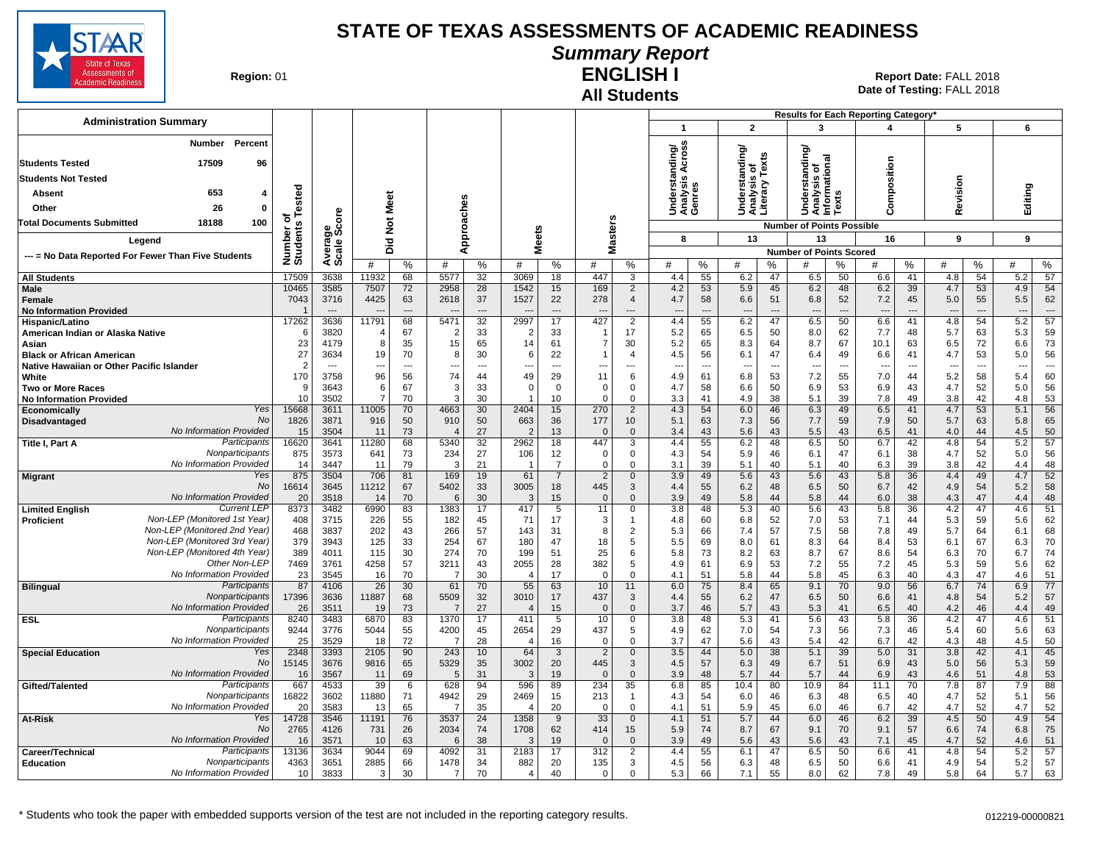

#### **Summary Report**

**Region: 01** 

#### **All Students ENGLISH I**

| <b>Administration Summary</b>                                                     |                       |                    |                                   |                      |                                  |                      |                        |                      |                       |                                  |                                 |                                |                                 |                      | Results for Each Reporting Category'   |              |                       |                      |                       |                      |                                 |                                |
|-----------------------------------------------------------------------------------|-----------------------|--------------------|-----------------------------------|----------------------|----------------------------------|----------------------|------------------------|----------------------|-----------------------|----------------------------------|---------------------------------|--------------------------------|---------------------------------|----------------------|----------------------------------------|--------------|-----------------------|----------------------|-----------------------|----------------------|---------------------------------|--------------------------------|
|                                                                                   |                       |                    |                                   |                      |                                  |                      |                        |                      |                       |                                  | $\mathbf{1}$                    |                                | $\overline{2}$                  |                      | 3                                      |              | 4                     |                      | 5                     |                      | 6                               |                                |
| Percent<br>Number                                                                 |                       |                    |                                   |                      |                                  |                      |                        |                      |                       |                                  | ding/<br>vcross                 |                                | ৯                               |                      |                                        |              |                       |                      |                       |                      |                                 |                                |
| <b>Students Tested</b><br>17509<br>96                                             |                       |                    |                                   |                      |                                  |                      |                        |                      |                       |                                  |                                 |                                | $\frac{1}{2}$                   | Texts                | lding<br>tional                        |              |                       |                      |                       |                      |                                 |                                |
| <b>Students Not Tested</b>                                                        |                       |                    |                                   |                      |                                  |                      |                        |                      |                       |                                  | ⋖<br>w                          |                                | <u>ធិ៍ o</u>                    |                      | ۰<br>을<br><b>SP</b>                    |              | Composition           |                      |                       |                      |                                 |                                |
| 653<br>Absent<br>4                                                                |                       |                    |                                   |                      |                                  |                      |                        |                      |                       |                                  | nderst<br>nalysi:<br>enres      |                                | ës<br>S                         | ζιε,                 | Inders<br>nalysi<br>forma              |              |                       |                      | Revision              |                      | Editing                         |                                |
| 26<br>Other<br>0                                                                  | ested                 |                    | Meet                              |                      |                                  |                      |                        |                      |                       |                                  |                                 |                                | ទី ខ្ចី <u>ទិ</u><br>១ ៩ ១      |                      |                                        |              |                       |                      |                       |                      |                                 |                                |
| <b>Total Documents Submitted</b><br>18188<br>100                                  |                       | ge<br>Score        |                                   |                      |                                  |                      |                        |                      |                       |                                  | うそう                             |                                | ∢⊂                              |                      | 드<br>∢⊂                                |              |                       |                      |                       |                      |                                 |                                |
|                                                                                   |                       |                    | $\frac{5}{2}$                     |                      |                                  | Approaches           | eets                   |                      |                       | <b>Masters</b>                   | 8                               |                                |                                 |                      | <b>Number of Points Possible</b><br>13 |              |                       |                      | 9                     |                      | 9                               |                                |
| Legend                                                                            |                       |                    | $\overline{2}$<br>ه               |                      |                                  |                      | ž                      |                      |                       |                                  |                                 |                                | 13                              |                      | <b>Number of Points Scored</b>         |              | 16                    |                      |                       |                      |                                 |                                |
| --- = No Data Reported For Fewer Than Five Students                               | Number of<br>Students | Average<br>Scale 3 | #                                 | %                    | #                                | %                    | #                      | %                    | #                     | %                                | #                               | %                              | #                               | %                    | #                                      | ℅            | #                     | %                    | #                     | %                    | #                               | %                              |
| <b>All Students</b>                                                               | 17509                 | 3638               | 11932                             | 68                   | 5577                             | 32                   | 3069                   | 18                   | 447                   | 3                                | 4.4                             | 55                             | 6.2                             | 47                   | 6.5                                    | 50           | 6.6                   | 41                   | 4.8                   | 54                   | 5.2                             | 57                             |
| Male                                                                              | 10465                 | 3585               | 7507                              | 72                   | 2958                             | 28                   | 1542                   | 15                   | 169                   | 2                                | 4.2                             | 53                             | 5.9                             | 45                   | 6.2                                    | 48           | 6.2                   | 39                   | 4.7                   | 53                   | 4.9                             | 54                             |
| Female                                                                            | 7043                  | 3716               | 4425                              | 63<br>$\overline{a}$ | 2618                             | 37<br>$\overline{a}$ | 1527                   | 22                   | 278                   | $\overline{4}$                   | 4.7                             | 58<br>$\overline{\phantom{a}}$ | 6.6                             | 51                   | 6.8                                    | 52           | 7.2                   | 45                   | 5.0                   | 55                   | 5.5                             | 62<br>$\overline{a}$           |
| <b>No Information Provided</b><br>Hispanic/Latino                                 | 17262                 | $---$<br>3636      | $\overline{\phantom{a}}$<br>11791 | 68                   | $\overline{\phantom{a}}$<br>5471 | $\overline{32}$      | 2997                   | $---$<br>17          | ---<br>427            | ---<br>$\overline{2}$            | $---$<br>4.4                    | 55                             | $\overline{\phantom{a}}$<br>6.2 | $\overline{a}$<br>47 | $\overline{\phantom{a}}$<br>6.5        | $---$<br>50  | $---$<br>6.6          | $\overline{a}$<br>41 | $\overline{a}$<br>4.8 | $\overline{a}$<br>54 | $\overline{\phantom{a}}$<br>5.2 | $\overline{57}$                |
| American Indian or Alaska Native                                                  |                       | 3820               | 4                                 | 67                   | $\overline{2}$                   | 33                   | $\overline{2}$         | 33                   |                       | 17                               | 5.2                             | 65                             | 6.5                             | 50                   | 8.0                                    | 62           | 7.7                   | 48                   | 5.7                   | 63                   | 5.3                             | 59                             |
| Asian                                                                             | 23                    | 4179               | 8                                 | 35                   | 15                               | 65                   | 14                     | 61                   | -7                    | 30                               | 5.2                             | 65                             | 8.3                             | 64                   | 8.7                                    | 67           | 10.1                  | 63                   | 6.5                   | 72                   | 6.6                             | 73                             |
| <b>Black or African American</b>                                                  | 27<br>2               | 3634<br>$\sim$     | 19                                | 70<br>$\overline{a}$ | 8                                | 30<br>$\overline{a}$ | 6                      | 22<br>$---$          |                       | $\overline{4}$<br>$\overline{a}$ | 4.5                             | 56<br>$\overline{a}$           | 6.1<br>$\overline{\phantom{a}}$ | 47<br>$\overline{a}$ | 6.4<br>$\overline{\phantom{a}}$        | 49<br>$\sim$ | 6.6<br>$\overline{a}$ | 41<br>$\overline{a}$ | 4.7                   | 53                   | 5.0<br>$\overline{\phantom{a}}$ | 56<br>$\overline{\phantom{a}}$ |
| Native Hawaiian or Other Pacific Islander<br>White                                | 170                   | 3758               | ---<br>96                         | 56                   | ---<br>74                        | 44                   | $\sim$<br>49           | 29                   | ---<br>11             | 6                                | $\overline{\phantom{a}}$<br>4.9 | 61                             | 6.8                             | 53                   | 7.2                                    | 55           | 7.0                   | 44                   | ---<br>5.2            | ---<br>58            | 5.4                             | 60                             |
| <b>Two or More Races</b>                                                          | <sub>9</sub>          | 3643               | 6                                 | 67                   | 3                                | 33                   | $\mathbf 0$            | $\Omega$             | $\Omega$              | $\mathbf 0$                      | 4.7                             | 58                             | 6.6                             | 50                   | 6.9                                    | 53           | 6.9                   | 43                   | 4.7                   | 52                   | 5.0                             | 56                             |
| <b>No Information Provided</b>                                                    | 10                    | 3502               | $\overline{7}$                    | 70                   | 3                                | 30                   |                        | 10                   | $\Omega$              | $\mathbf 0$                      | 3.3                             | 41                             | 4.9                             | 38                   | 5.1                                    | 39           | 7.8                   | 49                   | 3.8                   | 42                   | 4.8                             | 53                             |
| Yes<br>Economically                                                               | 15668                 | 3611               | 11005                             | 70                   | 4663                             | 30                   | 2404                   | 15                   | 270                   | $\overline{2}$                   | 4.3                             | 54                             | 6.0                             | 46                   | 6.3                                    | 49           | 6.5                   | 41                   | 4.7                   | 53                   | 5.1                             | 56                             |
| No<br>Disadvantaged<br>No Information Provided                                    | 1826<br>15            | 3871<br>3504       | 916<br>11                         | 50<br>73             | 910<br>$\overline{4}$            | 50<br>27             | 663<br>$\overline{2}$  | 36<br>13             | 177<br>$\overline{0}$ | 10<br>$\mathbf 0$                | 5.1<br>3.4                      | 63<br>43                       | 7.3<br>5.6                      | 56<br>43             | 7.7<br>5.5                             | 59<br>43     | 7.9<br>6.5            | 50<br>41             | 5.7<br>4.0            | 63<br>44             | 5.8<br>4.5                      | 65<br>50                       |
| Participants<br>Title I, Part A                                                   | 16620                 | 3641               | 11280                             | 68                   | 5340                             | 32                   | 2962                   | 18                   | 447                   | 3                                | 4.4                             | 55                             | 6.2                             | 48                   | 6.5                                    | 50           | 6.7                   | 42                   | 4.8                   | 54                   | 5.2                             | 57                             |
| Nonparticipants                                                                   | 875                   | 3573               | 641                               | 73                   | 234                              | 27                   | 106                    | 12                   | $\mathbf 0$           | $\mathbf 0$                      | 4.3                             | 54                             | 5.9                             | 46                   | 6.1                                    | 47           | 6.1                   | 38                   | 4.7                   | 52                   | 5.0                             | 56                             |
| No Information Provided                                                           | 14                    | 3447               | 11                                | 79                   | 3                                | 21                   |                        | $\overline{7}$       | $\Omega$              | $\Omega$                         | 3.1                             | 39                             | 5.1                             | 40                   | 5.1                                    | 40           | 6.3                   | 39                   | 3.8                   | 42                   | 4.4                             | 48                             |
| Yes<br><b>Migrant</b><br>No                                                       | 875<br>16614          | 3504<br>3645       | 706<br>11212                      | 81<br>67             | 169<br>5402                      | 19<br>33             | 61<br>3005             | $\overline{7}$<br>18 | $\overline{2}$<br>445 | $\mathbf 0$<br>$\mathbf{3}$      | 3.9<br>4.4                      | 49<br>55                       | 5.6<br>6.2                      | 43<br>48             | 5.6<br>6.5                             | 43<br>50     | 5.8<br>6.7            | 36<br>42             | 4.4<br>4.9            | 49<br>54             | 4.7<br>5.2                      | 52<br>58                       |
| No Information Provided                                                           | 20                    | 3518               | 14                                | 70                   | 6                                | 30                   | 3                      | 15                   | $\Omega$              | $\overline{0}$                   | 3.9                             | 49                             | 5.8                             | 44                   | 5.8                                    | 44           | 6.0                   | 38                   | 4.3                   | 47                   | 4.4                             | 48                             |
| <b>Current LEF</b><br><b>Limited English</b>                                      | 8373                  | 3482               | 6990                              | 83                   | 1383                             | 17                   | 417                    | 5                    | 11                    | $\mathbf 0$                      | 3.8                             | 48                             | 5.3                             | 40                   | 5.6                                    | 43           | 5.8                   | 36                   | 4.2                   | 47                   | 4.6                             | 51                             |
| Non-LEP (Monitored 1st Year)<br><b>Proficient</b><br>Non-LEP (Monitored 2nd Year) | 408                   | 3715               | 226                               | 55                   | 182                              | 45                   | 71                     | 17                   | 3                     | $\overline{1}$                   | 4.8                             | 60                             | 6.8                             | 52                   | 7.0                                    | 53           | 7.1                   | 44                   | 5.3                   | 59                   | 5.6                             | 62                             |
| Non-LEP (Monitored 3rd Year)                                                      | 468<br>379            | 3837<br>3943       | 202<br>125                        | 43<br>33             | 266<br>254                       | 57<br>67             | 143<br>180             | 31<br>47             | 8<br>18               | $\overline{2}$<br>5              | 5.3<br>5.5                      | 66<br>69                       | 7.4<br>8.0                      | 57<br>61             | 7.5<br>8.3                             | 58<br>64     | 7.8<br>8.4            | 49<br>53             | 5.7<br>6.1            | 64<br>67             | 6.1<br>6.3                      | 68<br>70                       |
| Non-LEP (Monitored 4th Year)                                                      | 389                   | 4011               | 115                               | 30                   | 274                              | 70                   | 199                    | 51                   | 25                    | 6                                | 5.8                             | 73                             | 8.2                             | 63                   | 8.7                                    | 67           | 8.6                   | 54                   | 6.3                   | 70                   | 6.7                             | 74                             |
| Other Non-LEF                                                                     | 7469                  | 3761               | 4258                              | 57                   | 3211                             | 43                   | 2055                   | 28                   | 382                   | 5                                | 4.9                             | 61                             | 6.9                             | 53                   | 7.2                                    | 55           | 7.2                   | 45                   | 5.3                   | 59                   | 5.6                             | 62                             |
| No Information Provided                                                           | 23                    | 3545               | 16                                | 70                   | -7                               | 30                   |                        | 17                   | $\Omega$              | $\mathbf 0$                      | 4.1                             | 51                             | 5.8                             | 44                   | 5.8                                    | 45           | 6.3                   | 40                   | 4.3                   | 47                   | 4.6                             | 51                             |
| Participants<br><b>Bilingual</b><br>Nonparticipants                               | 87<br>17396           | 4106<br>3636       | 26<br>11887                       | 30<br>68             | 61<br>5509                       | 70<br>32             | 55                     | 63<br>17             | 10<br>437             | 11<br>$\mathbf{3}$               | 6.0                             | 75<br>55                       | 8.4<br>6.2                      | 65<br>47             | 9.1<br>6.5                             | 70<br>50     | 9.0                   | 56<br>41             | 6.7                   | 74<br>54             | 6.9<br>5.2                      | 77<br>57                       |
| No Information Provided                                                           | 26                    | 3511               | 19                                | 73                   | $\overline{7}$                   | 27                   | 3010                   | 15                   | $\overline{0}$        | $\overline{0}$                   | 4.4<br>3.7                      | 46                             | 5.7                             | 43                   | 5.3                                    | 41           | 6.6<br>6.5            | 40                   | 4.8<br>4.2            | 46                   | 4.4                             | 49                             |
| Participants<br><b>ESL</b>                                                        | 8240                  | 3483               | 6870                              | 83                   | 1370                             | 17                   | 411                    | 5                    | 10                    | $\mathbf 0$                      | 3.8                             | 48                             | 5.3                             | 41                   | 5.6                                    | 43           | 5.8                   | 36                   | 4.2                   | 47                   | 4.6                             | 51                             |
| Nonparticipants                                                                   | 9244                  | 3776               | 5044                              | 55                   | 4200                             | 45                   | 2654                   | 29                   | 437                   | 5                                | 4.9                             | 62                             | 7.0                             | 54                   | 7.3                                    | 56           | 7.3                   | 46                   | 5.4                   | 60                   | 5.6                             | 63                             |
| No Information Provided<br>Yes<br><b>Special Education</b>                        | 25<br>2348            | 3529<br>3393       | 18<br>2105                        | 72<br>90             | -7<br>243                        | 28<br>10             | $\overline{4}$<br>64   | 16<br>3              | $\mathbf 0$<br>2      | $\Omega$<br>$\mathbf 0$          | 3.7<br>3.5                      | 47<br>44                       | 5.6<br>5.0                      | 43<br>38             | 5.4<br>5.1                             | 42<br>39     | 6.7<br>5.0            | 42<br>31             | 4.3<br>3.8            | 48<br>42             | 4.5<br>4.1                      | 50<br>45                       |
| <b>No</b>                                                                         | 15145                 | 3676               | 9816                              | 65                   | 5329                             | 35                   | 3002                   | 20                   | 445                   | 3                                | 4.5                             | 57                             | 6.3                             | 49                   | 6.7                                    | 51           | 6.9                   | 43                   | 5.0                   | 56                   | 5.3                             | 59                             |
| No Information Provided                                                           | 16                    | 3567               | 11                                | 69                   | 5                                | 31                   | 3                      | 19                   | $\Omega$              | $\overline{0}$                   | 3.9                             | 48                             | 5.7                             | 44                   | 5.7                                    | 44           | 6.9                   | 43                   | 4.6                   | 51                   | 4.8                             | 53                             |
| Participants<br>Gifted/Talented                                                   | 667                   | 4533               | 39                                | 6                    | 628                              | 94                   | 596                    | 89                   | 234                   | 35                               | 6.8                             | 85                             | 10.4                            | 80                   | 10.9                                   | 84           | 11.1                  | 70                   | 7.8                   | 87                   | 7.9                             | 88                             |
| Nonparticipants<br>No Information Provided                                        | 16822<br>20           | 3602<br>3583       | 11880<br>13                       | 71<br>65             | 4942<br>$\overline{7}$           | 29<br>35             | 2469<br>$\overline{4}$ | 15<br>20             | 213<br>$\Omega$       | $\mathbf{1}$<br>$\mathbf 0$      | 4.3<br>4.1                      | 54<br>51                       | 6.0<br>5.9                      | 46<br>45             | 6.3<br>6.0                             | 48<br>46     | 6.5<br>6.7            | 40<br>42             | 4.7<br>4.7            | 52<br>52             | 5.1<br>4.7                      | 56<br>52                       |
| Yes<br><b>At-Risk</b>                                                             | 14728                 | 3546               | 11191                             | 76                   | 3537                             | 24                   | 1358                   | 9                    | 33                    | $\mathbf 0$                      | 4.1                             | 51                             | 5.7                             | 44                   | 6.0                                    | 46           | 6.2                   | 39                   | 4.5                   | 50                   | 4.9                             | 54                             |
| No                                                                                | 2765                  | 4126               | 731                               | 26                   | 2034                             | 74                   | 1708                   | 62                   | 414                   | 15                               | 5.9                             | 74                             | 8.7                             | 67                   | 9.1                                    | 70           | 9.1                   | 57                   | 6.6                   | 74                   | 6.8                             | 75                             |
| No Information Provided                                                           | 16                    | 3571               | 10                                | 63                   | 6                                | 38                   | 3                      | 19                   | $\Omega$              | $\overline{0}$                   | 3.9                             | 49                             | 5.6                             | 43                   | 5.6                                    | 43           | 7.1                   | 45                   | 4.7                   | 52                   | 4.6                             | 51                             |
| <b>Participants</b><br>Career/Technical<br>Nonparticipants                        | 13136                 | 3634               | 9044                              | 69                   | 4092                             | 31                   | 2183                   | 17                   | 312                   | 2                                | 4.4                             | 55                             | 6.1                             | 47                   | 6.5                                    | 50           | 6.6                   | 41                   | 4.8                   | 54                   | 5.2                             | 57                             |
| <b>Education</b><br>No Information Provided                                       | 4363<br>10            | 3651<br>3833       | 2885<br>3                         | 66<br>30             | 1478<br>$\overline{7}$           | 34<br>70             | 882<br>$\overline{4}$  | 20<br>40             | 135<br>$\mathbf 0$    | 3<br>$\mathbf 0$                 | 4.5<br>5.3                      | 56<br>66                       | 6.3<br>7.1                      | 48<br>55             | 6.5<br>8.0                             | 50<br>62     | 6.6<br>7.8            | 41<br>49             | 4.9<br>5.8            | 54<br>64             | 5.2<br>5.7                      | 57<br>63                       |
|                                                                                   |                       |                    |                                   |                      |                                  |                      |                        |                      |                       |                                  |                                 |                                |                                 |                      |                                        |              |                       |                      |                       |                      |                                 |                                |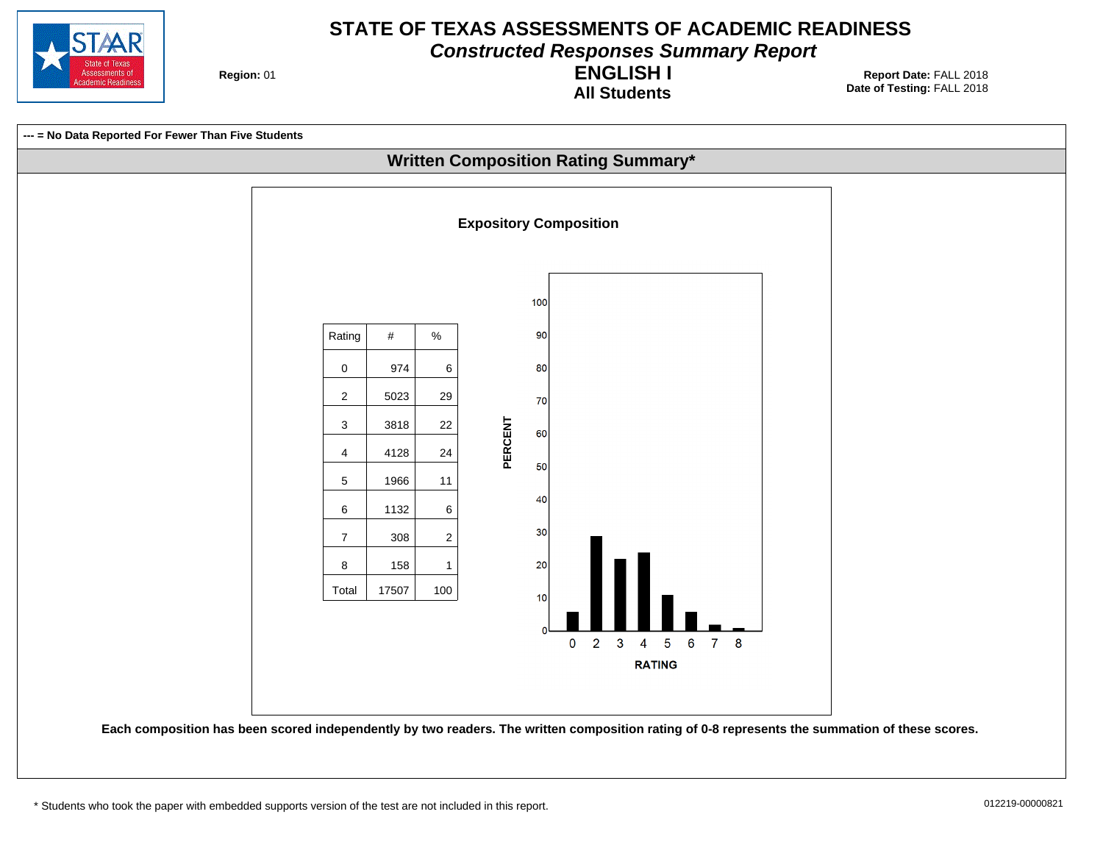

**Constructed Responses Summary Report**

**Region: 01** 

**All Students ENGLISH I**

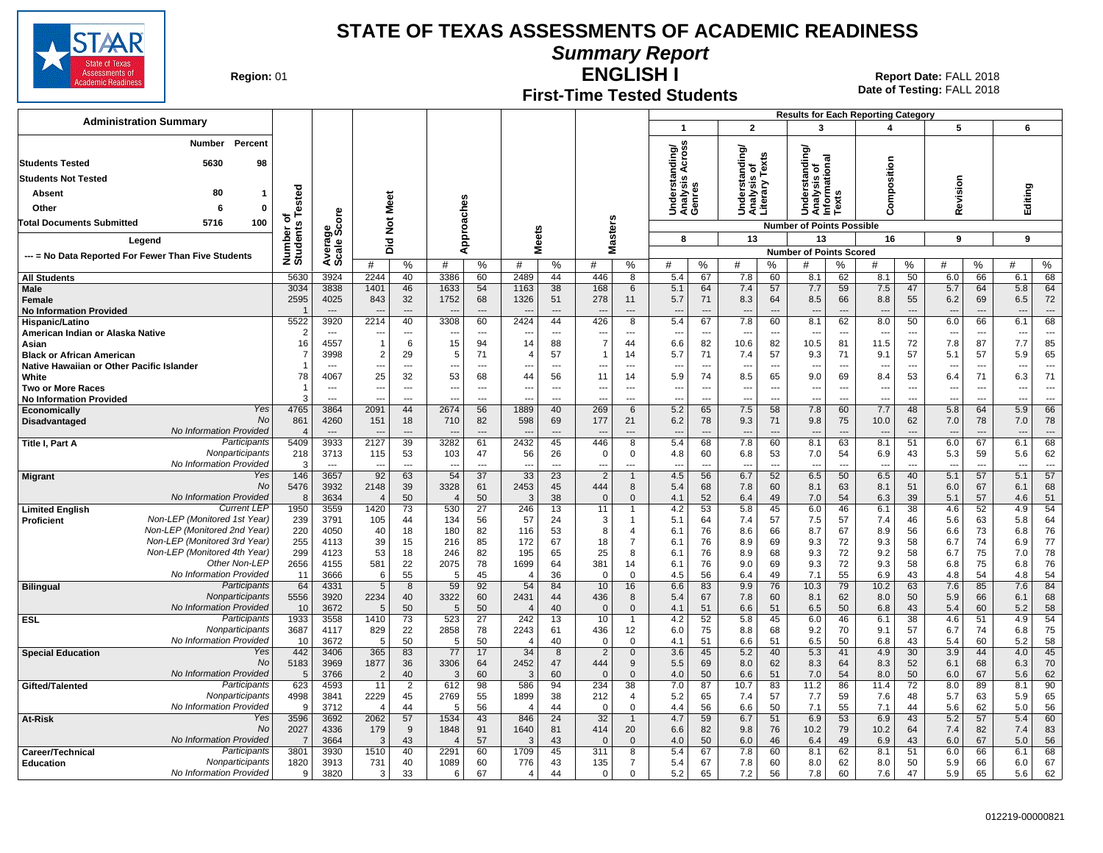

**Summary Report**

**Region: 01** 

# **First-Time Tested Students**

**ENGLISH I** 01 **Report Date:** FALL 2018 **Date of Testing:**  FALL 2018

| <b>Administration Summary</b>                                                              |                        |                                            |                                 |                                            |                                 |                      |                                     |                      |                       |                                 |                                             |                                 |                                                 |                                            |                                               |                                       | <b>Results for Each Reporting Category</b> |                                                      |                                       |                                 |                                 |                                   |
|--------------------------------------------------------------------------------------------|------------------------|--------------------------------------------|---------------------------------|--------------------------------------------|---------------------------------|----------------------|-------------------------------------|----------------------|-----------------------|---------------------------------|---------------------------------------------|---------------------------------|-------------------------------------------------|--------------------------------------------|-----------------------------------------------|---------------------------------------|--------------------------------------------|------------------------------------------------------|---------------------------------------|---------------------------------|---------------------------------|-----------------------------------|
|                                                                                            |                        |                                            |                                 |                                            |                                 |                      |                                     |                      |                       |                                 | $\overline{1}$                              |                                 | $\overline{2}$                                  |                                            | 3                                             |                                       | 4                                          |                                                      | 5                                     |                                 | 6                               |                                   |
| Percent<br><b>Number</b>                                                                   |                        |                                            |                                 |                                            |                                 |                      |                                     |                      |                       |                                 | cross                                       |                                 |                                                 |                                            | টা                                            |                                       |                                            |                                                      |                                       |                                 |                                 |                                   |
| <b>Students Tested</b><br>5630<br>98                                                       |                        |                                            |                                 |                                            |                                 |                      |                                     |                      |                       |                                 | Understanding/<br>Analysis Across<br>Genres |                                 | Understanding/<br>Analysis of<br>Literary Texts | is or<br>"Texts                            | ᠊ᢛ                                            |                                       |                                            |                                                      |                                       |                                 |                                 |                                   |
| <b>Students Not Tested</b>                                                                 |                        |                                            |                                 |                                            |                                 |                      |                                     |                      |                       |                                 |                                             |                                 |                                                 |                                            | iandi<br>ō                                    |                                       | omposition                                 |                                                      |                                       |                                 |                                 |                                   |
| 80<br>Absent<br>-1                                                                         |                        |                                            |                                 |                                            |                                 |                      |                                     |                      |                       |                                 |                                             |                                 |                                                 |                                            | Jnderstar<br>\nalysis o<br>nformatic<br>`exts |                                       |                                            |                                                      | evision                               |                                 | Editing                         |                                   |
| Other<br>6<br>$\mathbf 0$                                                                  | ested                  |                                            | Meet                            |                                            |                                 |                      |                                     |                      |                       |                                 |                                             |                                 |                                                 |                                            |                                               |                                       |                                            |                                                      |                                       |                                 |                                 |                                   |
|                                                                                            | ۴                      | င်္                                        |                                 |                                            |                                 |                      |                                     |                      |                       |                                 |                                             |                                 |                                                 |                                            | うそら                                           |                                       | c١                                         |                                                      | ≃                                     |                                 |                                 |                                   |
| <b>Total Documents Submitted</b><br>5716<br>100                                            |                        | క్టిన్ల                                    | $\rm \frac{5}{2}$               |                                            |                                 |                      |                                     |                      |                       | asters                          |                                             |                                 |                                                 |                                            | <b>Number of Points Possible</b>              |                                       |                                            |                                                      |                                       |                                 |                                 |                                   |
| Legend                                                                                     |                        |                                            | Did                             |                                            | Approaches                      |                      | <b>Meets</b>                        |                      |                       |                                 | 8                                           |                                 | 13                                              |                                            | 13                                            |                                       | 16                                         |                                                      | 9                                     |                                 | 9                               |                                   |
| --- = No Data Reported For Fewer Than Five Students                                        | Number of<br>Students  | Averare                                    |                                 |                                            |                                 |                      |                                     |                      | ż                     |                                 |                                             |                                 |                                                 |                                            | <b>Number of Points Scored</b>                |                                       | #                                          |                                                      |                                       |                                 | #                               |                                   |
| <b>All Students</b>                                                                        | 5630                   | 3924                                       | 2244                            | %<br>40                                    | #<br>3386                       | %<br>60              | #<br>2489                           | %<br>44              | #<br>446              | $\%$<br>8                       | #<br>5.4                                    | %<br>67                         | #<br>7.8                                        | %<br>60                                    | #<br>8.1                                      | %<br>62                               | 8.1                                        | %<br>50                                              | #<br>6.0                              | %<br>66                         | 6.1                             | %<br>68                           |
| Male                                                                                       | 3034                   | 3838                                       | 1401                            | 46                                         | 1633                            | 54                   | 1163                                | 38                   | 168                   | 6                               | 5.1                                         | 64                              | 7.4                                             | 57                                         | 7.7                                           | 59                                    | 7.5                                        | 47                                                   | 5.7                                   | 64                              | 5.8                             | 64                                |
| Female                                                                                     | 2595                   | 4025                                       | 843                             | 32                                         | 1752                            | 68                   | 1326                                | 51                   | 278                   | 11                              | 5.7                                         | 71                              | 8.3                                             | 64                                         | 8.5                                           | 66                                    | 8.8                                        | 55                                                   | 6.2                                   | 69                              | 6.5                             | 72                                |
| <b>No Information Provided</b>                                                             |                        | $\overline{a}$                             | --                              | $---$                                      | $\overline{\phantom{a}}$        | ---                  |                                     | $\overline{a}$       |                       | ---                             | $\overline{\phantom{a}}$                    | ---                             | $\overline{\phantom{a}}$                        | $\overline{a}$                             | $\overline{\phantom{a}}$                      |                                       | $\overline{\phantom{a}}$                   | $\overline{\phantom{a}}$                             | $\overline{\phantom{a}}$              | ---                             | ---                             |                                   |
| Hispanic/Latino                                                                            | 5522<br>$\overline{2}$ | 3920<br>$\overline{\phantom{a}}$           | 2214<br>--                      | 40<br>$\overline{\phantom{a}}$             | 3308                            | 60<br>---            | 2424                                | 44<br>---            | 426                   | 8<br>---                        | 5.4<br>$\overline{\phantom{a}}$             | 67                              | 7.8<br>$\overline{\phantom{a}}$                 | 60<br>---                                  | 8.1                                           | 62<br>---                             | 8.0                                        | 50<br>---                                            | 6.0<br>---                            | 66<br>---                       | 6.1<br>$\overline{\phantom{a}}$ | 68                                |
| American Indian or Alaska Native<br>Asian                                                  | 16                     | 4557                                       | $\overline{1}$                  | 6                                          | 15                              | 94                   | 14                                  | 88                   | ---<br>$\overline{7}$ | 44                              | 6.6                                         | 82                              | 10.6                                            | 82                                         | 10.5                                          | 81                                    | 11.5                                       | 72                                                   | 7.8                                   | 87                              | 7.7                             | 85                                |
| <b>Black or African American</b>                                                           | $\overline{7}$         | 3998                                       | $\overline{2}$                  | 29                                         | 5                               | 71                   | $\overline{4}$                      | 57                   |                       | 14                              | 5.7                                         | 71                              | 7.4                                             | 57                                         | 9.3                                           | 71                                    | 9.1                                        | 57                                                   | 5.1                                   | 57                              | 5.9                             | 65                                |
| Native Hawaiian or Other Pacific Islander                                                  | -1                     | $\overline{a}$                             | ---                             | $\overline{\phantom{a}}$                   | ---                             | $\overline{a}$       | ---                                 | $\overline{a}$       | ---                   | ---                             | ---                                         | $\overline{a}$                  | ---                                             | ---                                        | ---                                           | $\overline{a}$                        | ---                                        | $\overline{\phantom{a}}$                             | ---                                   | $\overline{\phantom{a}}$        | ---                             | $\overline{a}$                    |
| White                                                                                      | 78                     | 4067                                       | 25                              | 32                                         | 53                              | 68                   | 44                                  | 56                   | 11                    | 14                              | 5.9                                         | 74                              | 8.5                                             | 65                                         | 9.0                                           | 69                                    | 8.4                                        | 53                                                   | 6.4                                   | 71                              | 6.3                             | 71                                |
| <b>Two or More Races</b><br><b>No Information Provided</b>                                 | -1<br>3                | $\overline{\phantom{a}}$<br>$\overline{a}$ | ---<br>---                      | $\overline{\phantom{a}}$<br>$\overline{a}$ | ---<br>$\overline{\phantom{a}}$ | ---<br>$---$         | $\overline{\phantom{a}}$<br>$- - -$ | $\sim$<br>$---$      | ---<br>---            | $\overline{\phantom{a}}$<br>--- | ---<br>---                                  | $\overline{\phantom{a}}$<br>--- | $\overline{\phantom{a}}$<br>---                 | $\overline{\phantom{a}}$<br>$\overline{a}$ | $\overline{\phantom{a}}$<br>$\overline{a}$    | $\ddotsc$<br>$\overline{\phantom{a}}$ | $\overline{\phantom{a}}$<br>$\sim$         | $\overline{\phantom{a}}$<br>$\overline{\phantom{a}}$ | $\ddotsc$<br>$\overline{\phantom{a}}$ | ---<br>$\overline{\phantom{a}}$ | ---<br>$\sim$                   | $\overline{\phantom{a}}$<br>$---$ |
| Yes<br>Economically                                                                        | 4765                   | 3864                                       | 2091                            | 44                                         | 2674                            | 56                   | 1889                                | 40                   | 269                   | 6                               | 5.2                                         | 65                              | 7.5                                             | 58                                         | 7.8                                           | 60                                    | 7.7                                        | 48                                                   | 5.8                                   | 64                              | 5.9                             | 66                                |
| No<br>Disadvantaged                                                                        | 861                    | 4260                                       | 151                             | 18                                         | 710                             | 82                   | 598                                 | 69                   | 177                   | 21                              | 6.2                                         | 78                              | 9.3                                             | 71                                         | 9.8                                           | 75                                    | 10.0                                       | 62                                                   | 7.0                                   | 78                              | 7.0                             | 78                                |
| No Information Provided                                                                    |                        |                                            |                                 | $\overline{a}$                             |                                 |                      |                                     |                      |                       | ---                             |                                             |                                 |                                                 | $\overline{a}$                             |                                               |                                       |                                            | ---                                                  |                                       | $\overline{\phantom{a}}$        | ---                             | $---$                             |
| Participants<br>Title I, Part A<br>Nonparticipants                                         | 5409                   | 3933                                       | 2127                            | 39                                         | 3282                            | 61                   | 2432                                | 45                   | 446<br>$\Omega$       | $\overline{8}$                  | 5.4                                         | 68                              | 7.8                                             | 60                                         | 8.1                                           | 63                                    | 8.1                                        | 51                                                   | 6.0                                   | 67                              | 6.1                             | 68                                |
| No Information Provided                                                                    | 218<br>-3              | 3713<br>$\overline{\phantom{a}}$           | 115<br>$\overline{\phantom{a}}$ | 53<br>$\overline{\phantom{a}}$             | 103<br>$\overline{a}$           | 47<br>$\overline{a}$ | 56<br>$\sim$                        | 26<br>$\overline{a}$ | ---                   | 0<br>---                        | 4.8<br>---                                  | 60<br>$\overline{a}$            | 6.8<br>$\overline{\phantom{a}}$                 | 53<br>$\overline{a}$                       | 7.0<br>$\overline{a}$                         | 54<br>$\overline{a}$                  | 6.9<br>$\overline{a}$                      | 43<br>$\overline{a}$                                 | 5.3<br>$\overline{a}$                 | 59<br>$\overline{a}$            | 5.6<br>$\overline{a}$           | 62<br>$\overline{a}$              |
| Yes<br><b>Migrant</b>                                                                      | 146                    | 3657                                       | 92                              | 63                                         | 54                              | 37                   | 33                                  | 23                   | $\overline{2}$        | $\mathbf{1}$                    | 4.5                                         | 56                              | 6.7                                             | 52                                         | 6.5                                           | 50                                    | 6.5                                        | 40                                                   | 5.1                                   | 57                              | 5.1                             | 57                                |
| No                                                                                         | 5476                   | 3932                                       | 2148                            | 39                                         | 3328                            | 61                   | 2453                                | 45                   | 444                   | 8                               | 5.4                                         | 68                              | 7.8                                             | 60                                         | 8.1                                           | 63                                    | 8.1                                        | 51                                                   | 6.0                                   | 67                              | 6.1                             | 68                                |
| No Information Provided                                                                    | 8                      | 3634                                       | $\overline{4}$                  | 50                                         | $\overline{4}$                  | 50                   | 3                                   | 38                   | $\mathbf{0}$          | $\Omega$                        | 4.1                                         | 52                              | 6.4                                             | 49                                         | 7.0                                           | 54                                    | 6.3                                        | 39                                                   | 5.1                                   | 57                              | 4.6                             | 51                                |
| <b>Current LEP</b><br><b>Limited English</b><br>Non-LEP (Monitored 1st Year)<br>Proficient | 1950<br>239            | 3559<br>3791                               | 1420<br>105                     | 73<br>44                                   | 530<br>134                      | 27<br>56             | 246<br>57                           | 13<br>24             | 11<br>3               | $\mathbf{1}$<br>$\overline{1}$  | 4.2<br>5.1                                  | 53<br>64                        | 5.8<br>7.4                                      | 45<br>57                                   | 6.0<br>7.5                                    | 46<br>57                              | 6.1<br>7.4                                 | 38<br>46                                             | 4.6<br>5.6                            | 52<br>63                        | 4.9<br>5.8                      | 54<br>64                          |
| Non-LEP (Monitored 2nd Year)                                                               | 220                    | 4050                                       | 40                              | 18                                         | 180                             | 82                   | 116                                 | 53                   | 8                     | 4                               | 6.1                                         | 76                              | 8.6                                             | 66                                         | 8.7                                           | 67                                    | 8.9                                        | 56                                                   | 6.6                                   | 73                              | 6.8                             | 76                                |
| Non-LEP (Monitored 3rd Year)                                                               | 255                    | 4113                                       | 39                              | 15                                         | 216                             | 85                   | 172                                 | 67                   | 18                    | $\overline{7}$                  | 6.1                                         | 76                              | 8.9                                             | 69                                         | 9.3                                           | 72                                    | 9.3                                        | 58                                                   | 6.7                                   | 74                              | 6.9                             | 77                                |
| Non-LEP (Monitored 4th Year)                                                               | 299                    | 4123                                       | 53                              | 18                                         | 246                             | 82                   | 195                                 | 65                   | 25                    | 8                               | 6.1                                         | 76                              | 8.9                                             | 68                                         | 9.3                                           | 72                                    | 9.2                                        | 58                                                   | 6.7                                   | 75                              | 7.0                             | 78                                |
| Other Non-LEF<br>No Information Provided                                                   | 2656<br>11             | 4155<br>3666                               | 581<br>6                        | 22<br>55                                   | 2075<br>5                       | 78<br>45             | 1699<br>$\overline{4}$              | 64<br>36             | 381<br>$\Omega$       | 14<br>$\mathbf 0$               | 6.1<br>4.5                                  | 76<br>56                        | 9.0<br>6.4                                      | 69<br>49                                   | 9.3<br>7.1                                    | 72<br>55                              | 9.3<br>6.9                                 | 58<br>43                                             | 6.8<br>4.8                            | 75<br>54                        | 6.8<br>4.8                      | 76<br>54                          |
| Participants<br><b>Bilingual</b>                                                           | 64                     | 4331                                       | $5\phantom{.0}$                 | 8                                          | 59                              | 92                   | 54                                  | 84                   | 10                    | 16                              | 6.6                                         | 83                              | 9.9                                             | 76                                         | 10.3                                          | 79                                    | 10.2                                       | 63                                                   | 7.6                                   | 85                              | 7.6                             | 84                                |
| Nonparticipants                                                                            | 5556                   | 3920                                       | 2234                            | 40                                         | 3322                            | 60                   | 2431                                | 44                   | 436                   | 8                               | 5.4                                         | 67                              | 7.8                                             | 60                                         | 8.1                                           | 62                                    | 8.0                                        | 50                                                   | 5.9                                   | 66                              | 6.1                             | 68                                |
| No Information Provided                                                                    | 10                     | 3672                                       | 5                               | 50                                         | 5                               | 50                   | $\overline{4}$                      | 40                   | $\Omega$              | $\Omega$                        | 4.1                                         | 51                              | 6.6                                             | 51                                         | 6.5                                           | 50                                    | 6.8                                        | 43                                                   | 5.4                                   | 60                              | 5.2                             | 58                                |
| Participants<br><b>ESL</b><br>Nonparticipants                                              | 1933<br>3687           | 3558<br>4117                               | 1410                            | 73<br>22                                   | 523<br>2858                     | 27<br>78             | 242                                 | 13                   | 10                    | $\overline{1}$<br>12            | 4.2                                         | 52<br>75                        | 5.8                                             | 45<br>68                                   | 6.0                                           | 46<br>70                              | 6.1<br>9.1                                 | 38<br>57                                             | 4.6<br>6.7                            | 51<br>74                        | 4.9<br>6.8                      | 54<br>75                          |
| No Information Provided                                                                    | 10                     | 3672                                       | 829<br>5                        | 50                                         | -5                              | 50                   | 2243                                | 61<br>40             | 436<br>$\Omega$       | 0                               | 6.0<br>4.1                                  | 51                              | 8.8<br>6.6                                      | 51                                         | 9.2<br>6.5                                    | 50                                    | 6.8                                        | 43                                                   | 5.4                                   | 60                              | 5.2                             | 58                                |
| Yes<br><b>Special Education</b>                                                            | 442                    | 3406                                       | 365                             | 83                                         | 77                              | 17                   | 34                                  | 8                    |                       | $\mathbf 0$                     | 3.6                                         | 45                              | 5.2                                             | 40                                         | 5.3                                           | 41                                    | 4.9                                        | 30                                                   | 3.9                                   | 44                              | 4.0                             | 45                                |
| No                                                                                         | 5183                   | 3969                                       | 1877                            | 36                                         | 3306                            | 64                   | 2452                                | 47                   | 444                   | 9                               | 5.5                                         | 69                              | 8.0                                             | 62                                         | 8.3                                           | 64                                    | 8.3                                        | 52                                                   | 6.1                                   | 68                              | 6.3                             | 70                                |
| No Information Provided                                                                    | 5                      | 3766                                       | $\overline{2}$                  | 40                                         | 3                               | 60                   | 3                                   | 60                   | $\mathbf{0}$          | $\mathbf{0}$                    | 4.0                                         | 50                              | 6.6                                             | 51                                         | 7.0                                           | 54                                    | 8.0                                        | 50                                                   | 6.0                                   | 67                              | 5.6                             | 62                                |
| Participants<br>Gifted/Talented<br>Nonparticipants                                         | 623<br>4998            | 4593<br>3841                               | 11<br>2229                      | $\overline{2}$<br>45                       | 612<br>2769                     | 98<br>55             | 586<br>1899                         | 94<br>38             | 234<br>212            | 38<br>4                         | 7.0<br>5.2                                  | 87<br>65                        | 10.7<br>7.4                                     | 83<br>57                                   | 11.2<br>7.7                                   | 86<br>59                              | 11.4<br>7.6                                | 72<br>48                                             | 8.0<br>5.7                            | 89<br>63                        | 8.1<br>5.9                      | 90<br>65                          |
| No Information Provided                                                                    | $\mathbf{Q}$           | 3712                                       | $\overline{4}$                  | 44                                         | 5                               | 56                   | $\overline{4}$                      | 44                   | $\Omega$              | 0                               | 4.4                                         | 56                              | 6.6                                             | 50                                         | 7.1                                           | 55                                    | 7.1                                        | 44                                                   | 5.6                                   | 62                              | 5.0                             | 56                                |
| Yes<br>At-Risk                                                                             | 3596                   | 3692                                       | 2062                            | 57                                         | 1534                            | 43                   | 846                                 | 24                   | 32                    | $\mathbf{1}$                    | 4.7                                         | 59                              | 6.7                                             | 51                                         | 6.9                                           | 53                                    | 6.9                                        | 43                                                   | 5.2                                   | 57                              | 5.4                             | 60                                |
| No                                                                                         | 2027                   | 4336                                       | 179                             | 9                                          | 1848                            | 91                   | 1640                                | 81                   | 414                   | 20                              | 6.6                                         | 82                              | 9.8                                             | 76                                         | 10.2                                          | 79                                    | 10.2                                       | 64                                                   | 7.4                                   | 82                              | 7.4                             | 83                                |
| No Information Provided                                                                    | -7                     | 3664                                       | 3                               | 43                                         | $\overline{4}$                  | 57                   | 3                                   | 43                   | $\sqrt{ }$            | $\mathbf{0}$                    | 4.0                                         | 50                              | 6.0                                             | 46                                         | 6.4                                           | 49                                    | 6.9                                        | 43                                                   | 6.0                                   | 67                              | 5.0                             | 56                                |
| Participants<br>Career/Technical<br>Nonparticipants<br><b>Education</b>                    | 3801<br>1820           | 3930<br>3913                               | 1510<br>731                     | 40<br>40                                   | 2291<br>1089                    | 60<br>60             | 1709<br>776                         | 45<br>43             | 311<br>135            | 8<br>$\overline{7}$             | 5.4<br>5.4                                  | 67<br>67                        | 7.8<br>7.8                                      | 60<br>60                                   | 8.1<br>8.0                                    | 62<br>62                              | 8.1<br>8.0                                 | 51<br>50                                             | 6.0<br>5.9                            | 66<br>66                        | 6.1<br>6.0                      | 68<br>67                          |
| No Information Provided                                                                    | 9                      | 3820                                       | 3                               | 33                                         | 6                               | 67                   | 4                                   | 44                   | $\Omega$              | $\Omega$                        | 5.2                                         | 65                              | 7.2                                             | 56                                         | 7.8                                           | 60                                    | 7.6                                        | 47                                                   | 5.9                                   | 65                              | 5.6                             | 62                                |
|                                                                                            |                        |                                            |                                 |                                            |                                 |                      |                                     |                      |                       |                                 |                                             |                                 |                                                 |                                            |                                               |                                       |                                            |                                                      |                                       |                                 |                                 |                                   |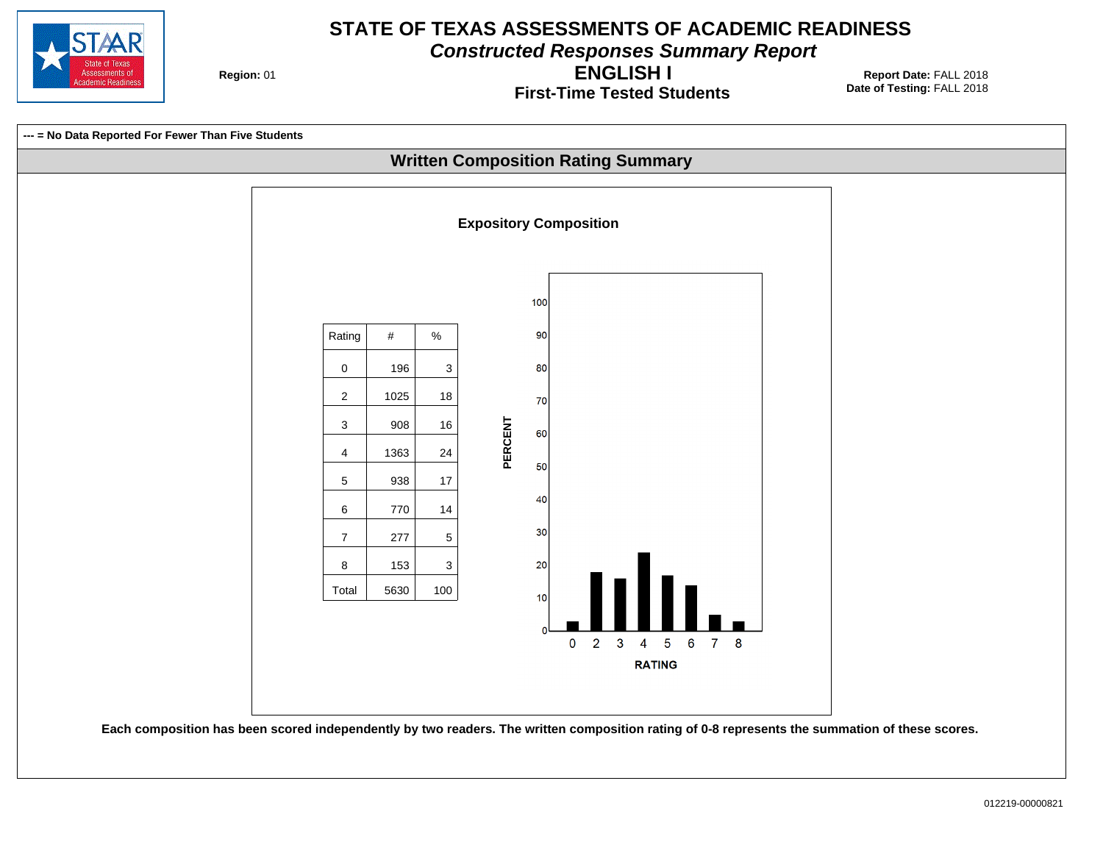

**Constructed Responses Summary Report**

**Region: 01** 

**First-Time Tested Students ENGLISH I**

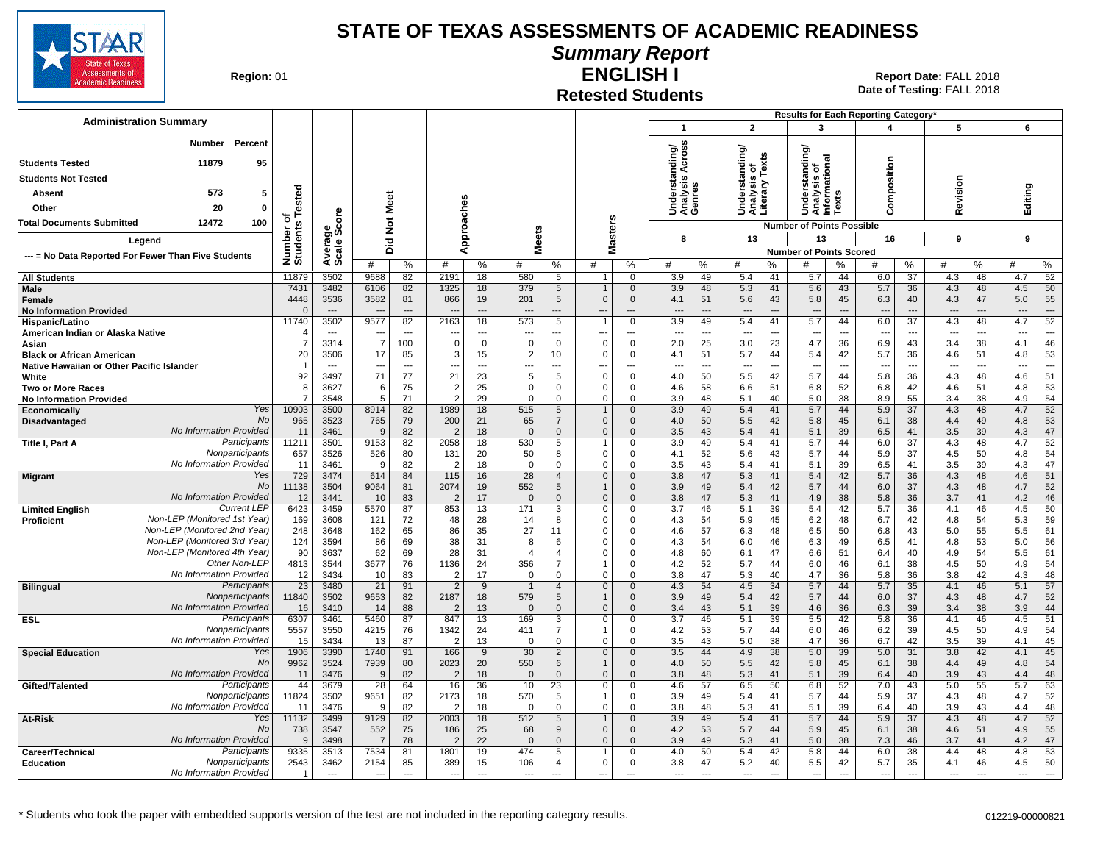

## **Summary Report**

**Region: 01** 

#### **Retested Students ENGLISH I**

|                                                              |                      |                |                                  |                          |                                  |                |                          |                                  |                             |                            |                               |                          |                                  |                       |                                  |                                | Results for Each Reporting Category' |                          |                                 |                      |                       |                          |
|--------------------------------------------------------------|----------------------|----------------|----------------------------------|--------------------------|----------------------------------|----------------|--------------------------|----------------------------------|-----------------------------|----------------------------|-------------------------------|--------------------------|----------------------------------|-----------------------|----------------------------------|--------------------------------|--------------------------------------|--------------------------|---------------------------------|----------------------|-----------------------|--------------------------|
| <b>Administration Summary</b>                                |                      |                |                                  |                          |                                  |                |                          |                                  |                             |                            | $\overline{1}$                |                          | $\overline{2}$                   |                       | 3                                |                                | 4                                    |                          | 5                               |                      | 6                     |                          |
| Percent<br>Number<br><b>Students Tested</b><br>11879<br>95   |                      |                |                                  |                          |                                  |                |                          |                                  |                             |                            | tanding/<br>is Across         |                          | tanding/                         | Texts                 | tanding                          |                                |                                      |                          |                                 |                      |                       |                          |
|                                                              |                      |                |                                  |                          |                                  |                |                          |                                  |                             |                            |                               |                          | ৳                                |                       | $\circ$                          | <b>Rad</b>                     | Composition                          |                          |                                 |                      |                       |                          |
| <b>Students Not Tested</b>                                   |                      |                |                                  |                          |                                  |                |                          |                                  |                             |                            | S                             |                          | Understa<br>Analysis<br>Literary |                       | ērsi                             | Analysis<br>nformatio<br>Texts |                                      |                          | Revision                        |                      |                       |                          |
| 573<br>5<br>Absent                                           | of<br>s Tested       |                |                                  | Meet                     |                                  |                |                          |                                  |                             |                            | Underst<br>Analysis<br>Genres |                          |                                  |                       | Ž                                |                                |                                      |                          |                                 |                      | Editing               |                          |
| 20<br>Other<br>$\mathbf{0}$                                  |                      |                |                                  |                          |                                  |                |                          |                                  |                             |                            |                               |                          |                                  |                       | うそミド                             |                                |                                      |                          |                                 |                      |                       |                          |
| 12472<br>100<br><b>Total Documents Submitted</b>             |                      | ge<br>Score    |                                  | $\frac{5}{2}$            |                                  | Approaches     |                          |                                  |                             | <b>Masters</b>             |                               |                          |                                  |                       | <b>Number of Points Possible</b> |                                |                                      |                          |                                 |                      |                       |                          |
| Legend                                                       |                      |                |                                  | $\overline{2}$           |                                  |                | <b>Meets</b>             |                                  |                             |                            | 8                             |                          | 13                               |                       | 13                               |                                | 16                                   |                          | 9                               |                      | 9                     |                          |
|                                                              | Number o<br>Students | Avera<br>Scale |                                  | ۵                        |                                  |                |                          |                                  |                             |                            |                               |                          |                                  |                       | <b>Number of Points Scored</b>   |                                |                                      |                          |                                 |                      |                       |                          |
| --- = No Data Reported For Fewer Than Five Students          |                      |                | #                                | %                        | #                                | %              | #                        | %                                | #                           | $\%$                       | #                             | $\%$                     | #                                | %                     | #                                | ℅                              | #                                    | $\%$                     | #                               | %                    | #                     | ℅                        |
| <b>All Students</b>                                          | 11879                | 3502           | 9688                             | 82                       | 2191                             | 18             | 580                      | 5                                |                             | $\overline{0}$             | 3.9                           | 49                       | 5.4                              | 41                    | 5.7                              | 44                             | 6.0                                  | $\overline{37}$          | 4.3                             | 48                   | 4.7                   | 52                       |
| Male                                                         | 7431                 | 3482           | 6106                             | 82                       | 1325                             | 18             | 379                      | 5                                | $\mathbf{1}$                | $\overline{0}$             | 3.9                           | 48                       | 5.3                              | 41                    | 5.6                              | 43                             | 5.7                                  | 36                       | 4.3                             | 48                   | 4.5                   | 50                       |
| Female                                                       | 4448                 | 3536           | 3582                             | 81                       | 866                              | 19             | 201                      | 5                                | $\mathbf 0$                 | $\overline{0}$             | 4.1                           | 51                       | 5.6                              | 43                    | 5.8                              | 45                             | 6.3                                  | 40                       | 4.3                             | 47                   | 5.0                   | 55                       |
| <b>No Information Provided</b>                               | 11740                | $---$<br>3502  | $\overline{\phantom{a}}$<br>9577 | $\overline{a}$<br>82     | $\overline{\phantom{a}}$<br>2163 | $---$<br>18    | 573                      | $---$<br>5                       | ---                         | $\cdots$<br>$\mathbf 0$    | $---$<br>3.9                  | $---$<br>49              | $---$<br>5.4                     | $\overline{a}$<br>41  | $\overline{\phantom{a}}$<br>5.7  | $---$<br>44                    | $---$<br>6.0                         | $---$<br>$\overline{37}$ | $\overline{\phantom{a}}$<br>4.3 | $\overline{a}$<br>48 | $\overline{a}$<br>4.7 | $---$<br>52              |
| Hispanic/Latino<br>American Indian or Alaska Native          |                      | $---$          | $\overline{\phantom{a}}$         | $\overline{\phantom{a}}$ | $\overline{\phantom{a}}$         | $---$          | $- - -$                  | $\hspace{0.05cm} \ldots$         | ---                         | $\overline{a}$             | $\sim$                        | $\overline{\phantom{a}}$ | $---$                            | ---                   | $\overline{\phantom{a}}$         | $\overline{\phantom{a}}$       | $\overline{\phantom{a}}$             | $\overline{\phantom{a}}$ | ---                             | $\cdots$             | ---                   | $\overline{\phantom{a}}$ |
| Asian                                                        |                      | 3314           | $\overline{7}$                   | 100                      | $\Omega$                         | $\mathbf 0$    | $\mathbf 0$              | $\mathbf 0$                      | $\Omega$                    | $\overline{0}$             | 2.0                           | 25                       | 3.0                              | 23                    | 4.7                              | 36                             | 6.9                                  | 43                       | 3.4                             | 38                   | 4.1                   | 46                       |
| <b>Black or African American</b>                             | 20                   | 3506           | 17                               | 85                       | 3                                | 15             | $\overline{2}$           | 10                               | $\Omega$                    | $\mathbf 0$                | 4.1                           | 51                       | 5.7                              | 44                    | 5.4                              | 42                             | 5.7                                  | 36                       | 4.6                             | 51                   | 4.8                   | 53                       |
| Native Hawaiian or Other Pacific Islander                    | -1                   |                | $\overline{\phantom{a}}$         | ---                      | ---                              | $\overline{a}$ |                          | $\overline{a}$                   | -−∙                         | ---                        |                               | ---                      | $\overline{\phantom{a}}$         | $\overline{a}$        | $\overline{\phantom{a}}$         | $\sim$                         |                                      | $\overline{\phantom{a}}$ |                                 | ---                  | $\overline{a}$        | $\overline{\phantom{a}}$ |
| White                                                        | 92                   | 3497           | 71                               | 77                       | 21                               | 23             | 5                        | 5                                | $\Omega$                    | $\mathsf 0$                | 4.0                           | 50                       | 5.5                              | 42                    | 5.7                              | 44                             | 5.8                                  | 36                       | 4.3                             | 48                   | 4.6                   | 51                       |
| <b>Two or More Races</b>                                     | 8<br>$\overline{7}$  | 3627           | 6                                | 75                       | $\overline{2}$<br>$\overline{2}$ | 25             | $\mathbf 0$              | 0<br>$\Omega$                    | $\Omega$<br>$\Omega$        | $\mathsf 0$<br>$\Omega$    | 4.6                           | 58                       | 6.6                              | 51                    | 6.8                              | 52                             | 6.8                                  | 42                       | 4.6                             | 51                   | 4.8                   | 53                       |
| <b>No Information Provided</b><br>Yes<br>Economically        | 10903                | 3548<br>3500   | 5<br>8914                        | 71<br>82                 | 1989                             | 29<br>18       | $\mathbf 0$<br>515       | 5                                |                             | $\mathbf 0$                | 3.9<br>3.9                    | 48<br>49                 | 5.1<br>5.4                       | 40<br>41              | 5.0<br>5.7                       | 38<br>44                       | 8.9<br>5.9                           | 55<br>37                 | 3.4<br>4.3                      | 38<br>48             | 4.9<br>4.7            | 54<br>52                 |
| <b>No</b><br>Disadvantaged                                   | 965                  | 3523           | 765                              | 79                       | 200                              | 21             | 65                       | $\overline{7}$                   | $\Omega$                    | $\mathbf 0$                | 4.0                           | 50                       | 5.5                              | 42                    | 5.8                              | 45                             | 6.1                                  | 38                       | 4.4                             | 49                   | 4.8                   | 53                       |
| No Information Provided                                      | 11                   | 3461           | 9                                | 82                       |                                  | 18             | $\Omega$                 | $\Omega$                         | $\Omega$                    | $\mathbf{0}$               | 3.5                           | 43                       | 5.4                              | 41                    | 5.1                              | 39                             | 6.5                                  | 41                       | 3.5                             | 39                   | 4.3                   | 47                       |
| Participants<br><b>Title I, Part A</b>                       | 11211                | 3501           | 9153                             | 82                       | 2058                             | 18             | 530                      | 5                                | $\mathbf{1}$                | 0                          | 3.9                           | 49                       | 5.4                              | 41                    | 5.7                              | 44                             | 6.0                                  | 37                       | 4.3                             | 48                   | 4.7                   | 52                       |
| Nonparticipants                                              | 657                  | 3526           | 526                              | 80                       | 131                              | 20             | 50                       | 8                                | $\mathbf 0$                 | $\mathbf 0$                | 4.1                           | 52                       | 5.6                              | 43                    | 5.7                              | 44                             | 5.9                                  | 37                       | 4.5                             | 50                   | 4.8                   | 54                       |
| No Information Provided<br>Yes                               | 11                   | 3461           | 9                                | 82                       | $\overline{2}$                   | 18             | $\Omega$                 | $\Omega$                         | $\mathbf 0$<br>$\mathbf{0}$ | $\mathbf 0$                | 3.5                           | 43                       | 5.4                              | 41                    | 5.1                              | 39                             | 6.5                                  | 41                       | 3.5                             | 39                   | 4.3                   | 47                       |
| <b>Migrant</b><br><b>No</b>                                  | 729<br>11138         | 3474<br>3504   | 614<br>9064                      | 84<br>81                 | 115<br>2074                      | 16<br>19       | 28<br>552                | $\overline{4}$<br>5              | $\mathbf{1}$                | $\mathbf 0$<br>$\mathbf 0$ | 3.8<br>3.9                    | 47<br>49                 | 5.3<br>5.4                       | 41<br>42              | 5.4<br>5.7                       | 42<br>44                       | 5.7<br>6.0                           | 36<br>37                 | 4.3<br>4.3                      | 48<br>48             | 4.6<br>4.7            | 51<br>52                 |
| No Information Provided                                      | 12                   | 3441           | 10                               | 83                       | $\overline{2}$                   | 17             | $\mathbf{0}$             | $\mathbf 0$                      | $\mathbf{0}$                | $\mathbf 0$                | 3.8                           | 47                       | 5.3                              | 41                    | 4.9                              | 38                             | 5.8                                  | 36                       | 3.7                             | 41                   | 4.2                   | 46                       |
| <b>Current LEP</b><br><b>Limited English</b>                 | 6423                 | 3459           | 5570                             | 87                       | 853                              | 13             | 171                      | 3                                | $\mathbf 0$                 | $\mathbf 0$                | 3.7                           | 46                       | 5.1                              | 39                    | 5.4                              | 42                             | 5.7                                  | 36                       | 4.1                             | 46                   | 4.5                   | 50                       |
| Non-LEP (Monitored 1st Year)<br><b>Proficient</b>            | 169                  | 3608           | 121                              | 72                       | 48                               | 28             | 14                       | 8                                | $\Omega$                    | 0                          | 4.3                           | 54                       | 5.9                              | 45                    | 6.2                              | 48                             | 6.7                                  | 42                       | 4.8                             | 54                   | 5.3                   | 59                       |
| Non-LEP (Monitored 2nd Year)                                 | 248                  | 3648           | 162                              | 65                       | 86                               | 35             | 27                       | 11                               | $\Omega$                    | 0                          | 4.6                           | 57                       | 6.3                              | 48                    | 6.5                              | 50                             | 6.8                                  | 43                       | 5.0                             | 55                   | 5.5                   | 61                       |
| Non-LEP (Monitored 3rd Year)<br>Non-LEP (Monitored 4th Year) | 124<br>90            | 3594           | 86<br>62                         | 69                       | 38<br>28                         | 31<br>31       | 8<br>$\overline{4}$      | 6                                | $\Omega$<br>$\Omega$        | $\mathbf 0$                | 4.3                           | 54                       | 6.0                              | 46<br>47              | 6.3                              | 49                             | 6.5                                  | 41<br>40                 | 4.8                             | 53                   | 5.0                   | 56                       |
| Other Non-LEF                                                | 4813                 | 3637<br>3544   | 3677                             | 69<br>76                 | 1136                             | 24             | 356                      | $\overline{4}$<br>$\overline{7}$ | 1                           | $\mathbf 0$<br>$\mathsf 0$ | 4.8<br>4.2                    | 60<br>52                 | 6.1<br>5.7                       | 44                    | 6.6<br>6.0                       | 51<br>46                       | 6.4<br>6.1                           | 38                       | 4.9<br>4.5                      | 54<br>50             | 5.5<br>4.9            | 61<br>54                 |
| No Information Provided                                      | 12                   | 3434           | 10                               | 83                       | $\overline{2}$                   | 17             | $\mathbf 0$              | $\Omega$                         | $\Omega$                    | $\overline{0}$             | 3.8                           | 47                       | 5.3                              | 40                    | 4.7                              | 36                             | 5.8                                  | 36                       | 3.8                             | 42                   | 4.3                   | 48                       |
| Participants<br><b>Bilingual</b>                             | 23                   | 3480           | 21                               | 91                       | $\overline{2}$                   | 9              |                          | $\overline{4}$                   | $\mathbf{0}$                | $\mathbf 0$                | 4.3                           | 54                       | 4.5                              | 34                    | 5.7                              | 44                             | 5.7                                  | 35                       | 4.1                             | 46                   | 5.1                   | 57                       |
| Nonparticipants                                              | 11840                | 3502           | 9653                             | 82                       | 2187                             | 18             | 579                      | 5                                | $\mathbf{1}$                | $\mathbf 0$                | 3.9                           | 49                       | 5.4                              | 42                    | 5.7                              | 44                             | 6.0                                  | 37                       | 4.3                             | 48                   | 4.7                   | 52                       |
| No Information Provided                                      | 16                   | 3410           | 14                               | 88                       | $\overline{2}$                   | 13             | $\Omega$                 | $\Omega$                         | $\Omega$                    | $\mathbf{0}$               | 3.4                           | 43                       | 5.1                              | 39                    | 4.6                              | 36                             | 6.3                                  | 39                       | 3.4                             | 38                   | 3.9                   | 44                       |
| Participants<br><b>ESL</b><br>Nonparticipants                | 6307<br>5557         | 3461<br>3550   | 5460<br>4215                     | 87<br>76                 | 847<br>1342                      | 13<br>24       | 169<br>411               | 3<br>$\overline{7}$              | 0<br>-1                     | 0<br>$\mathbf 0$           | 3.7<br>4.2                    | 46<br>53                 | 5.1<br>5.7                       | $\overline{39}$<br>44 | 5.5<br>6.0                       | 42<br>46                       | 5.8<br>6.2                           | $\overline{36}$<br>39    | 4.1<br>4.5                      | 46<br>50             | 4.5<br>4.9            | 51<br>54                 |
| No Information Provided                                      | 15                   | 3434           | 13                               | 87                       | $\overline{2}$                   | 13             | $\Omega$                 | $\Omega$                         | $\Omega$                    | $\mathbf 0$                | 3.5                           | 43                       | 5.0                              | 38                    | 4.7                              | 36                             | 6.7                                  | 42                       | 3.5                             | 39                   | 4.1                   | 45                       |
| Yes<br><b>Special Education</b>                              | 1906                 | 3390           | 1740                             | 91                       | 166                              | 9              | 30                       | $\overline{2}$                   | $\mathbf 0$                 | $\mathsf{O}$               | 3.5                           | 44                       | 4.9                              | 38                    | 5.0                              | 39                             | 5.0                                  | 31                       | 3.8                             | 42                   | 4.1                   | 45                       |
| <b>No</b>                                                    | 9962                 | 3524           | 7939                             | 80                       | 2023                             | 20             | 550                      | 6                                | $\mathbf{1}$                | $\overline{0}$             | 4.0                           | 50                       | 5.5                              | 42                    | 5.8                              | 45                             | 6.1                                  | 38                       | 4.4                             | 49                   | 4.8                   | 54                       |
| No Information Provided                                      | 11                   | 3476           | 9                                | 82                       | $\overline{2}$                   | 18             | $\mathbf{0}$             | $\Omega$                         | $\mathbf{0}$                | $\mathbf 0$                | 3.8                           | 48                       | 5.3                              | 41                    | 5.1                              | 39                             | 6.4                                  | 40                       | 3.9                             | 43                   | 4.4                   | 48                       |
| Participants<br>Gifted/Talented                              | 44                   | 3679           | 28                               | 64                       | 16                               | 36             | 10                       | 23                               | $\Omega$                    | $\mathbf 0$                | 4.6                           | 57                       | 6.5                              | 50                    | 6.8                              | 52                             | 7.0                                  | 43                       | 5.0                             | 55                   | 5.7                   | 63                       |
| Nonparticipants<br>No Information Provided                   | 11824<br>11          | 3502<br>3476   | 9651<br>9                        | 82<br>82                 | 2173<br>2                        | 18<br>18       | 570<br>0                 | 5<br>0                           | $\mathbf{1}$<br>$\Omega$    | 0<br>$\mathbf 0$           | 3.9<br>3.8                    | 49<br>48                 | 5.4<br>5.3                       | 41<br>41              | 5.7<br>5.1                       | 44<br>39                       | 5.9<br>6.4                           | 37<br>40                 | 4.3<br>3.9                      | 48<br>43             | 4.7<br>4.4            | 52<br>48                 |
| Yes<br>At-Risk                                               | 11132                | 3499           | 9129                             | 82                       | 2003                             | 18             | 512                      | $5\overline{)}$                  | $\mathbf{1}$                | $\overline{0}$             | 3.9                           | 49                       | 5.4                              | 41                    | 5.7                              | 44                             | 5.9                                  | $\overline{37}$          | 4.3                             | 48                   | 4.7                   | 52                       |
| No                                                           | 738                  | 3547           | 552                              | 75                       | 186                              | 25             | 68                       | 9                                | $\Omega$                    | $\mathbf 0$                | 4.2                           | 53                       | 5.7                              | 44                    | 5.9                              | 45                             | 6.1                                  | 38                       | 4.6                             | 51                   | 4.9                   | 55                       |
| No Information Provided                                      | q                    | 3498           | 7                                | 78                       | $\mathcal{P}$                    | 22             | $\Omega$                 | $\mathbf{0}$                     | $\Omega$                    | $\mathbf{0}$               | 3.9                           | 49                       | 5.3                              | 41                    | 5.0                              | 38                             | 7.3                                  | 46                       | 3.7                             | 41                   | 4.2                   | 47                       |
| Participants<br>Career/Technical                             | 9335                 | 3513           | 7534                             | 81                       | 1801                             | 19             | 474                      | 5                                | 1                           | $\mathbf 0$                | 4.0                           | 50                       | 5.4                              | 42                    | 5.8                              | 44                             | 6.0                                  | 38                       | 4.4                             | 48                   | 4.8                   | 53                       |
| Nonparticipants<br><b>Education</b>                          | 2543                 | 3462           | 2154                             | 85                       | 389                              | 15             | 106                      | $\overline{4}$                   | $\Omega$                    | $\mathbf 0$                | 3.8                           | 47                       | 5.2                              | 40                    | 5.5                              | 42                             | 5.7                                  | 35                       | 4.1                             | 46                   | 4.5                   | 50                       |
| No Information Provided                                      | $\overline{1}$       | $\sim$         | $\overline{\phantom{a}}$         | $\overline{a}$           | $\sim$                           | $\sim$         | $\overline{\phantom{a}}$ | $\overline{a}$                   | ---                         | $\overline{a}$             | $\sim$                        | $\overline{a}$           | $\sim$                           | $\overline{a}$        | $\overline{\phantom{a}}$         | $\overline{a}$                 | $\sim$                               | $\overline{a}$           | ---                             | $\overline{a}$       | ---                   | ---                      |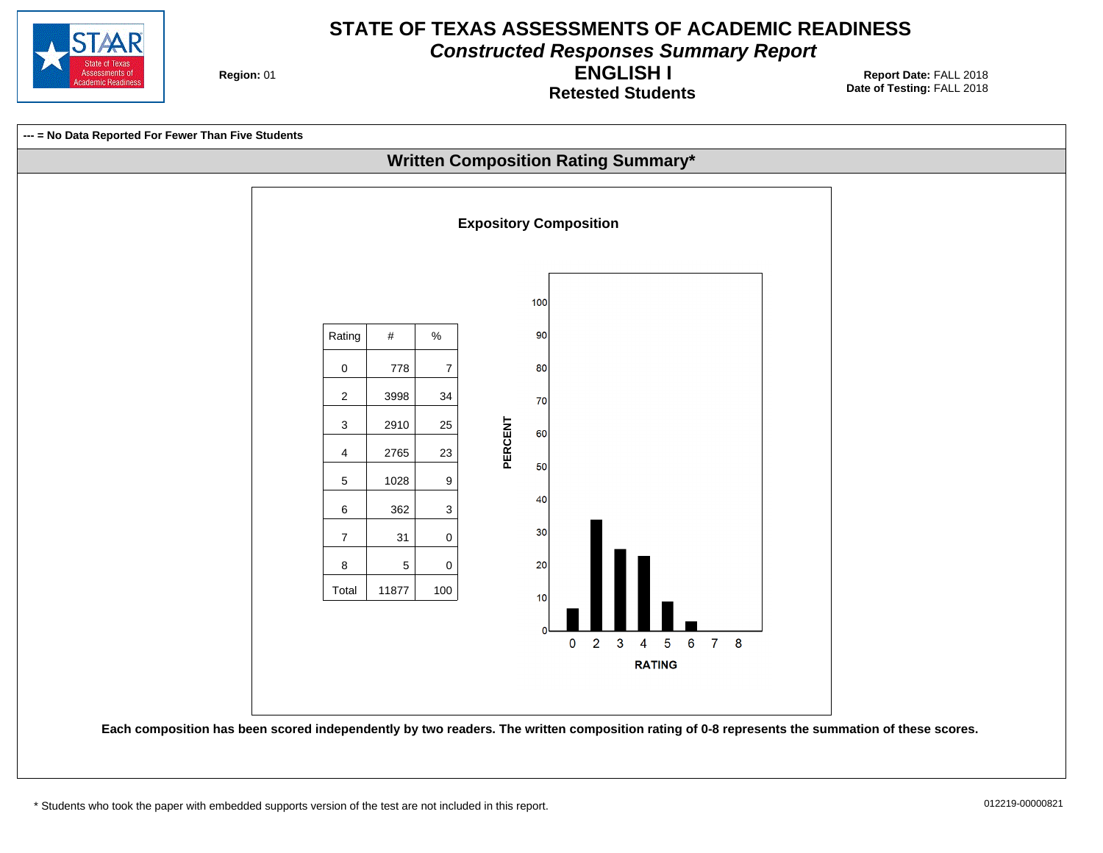

**Constructed Responses Summary Report**

**Region: 01** 

**Retested Students ENGLISH I**

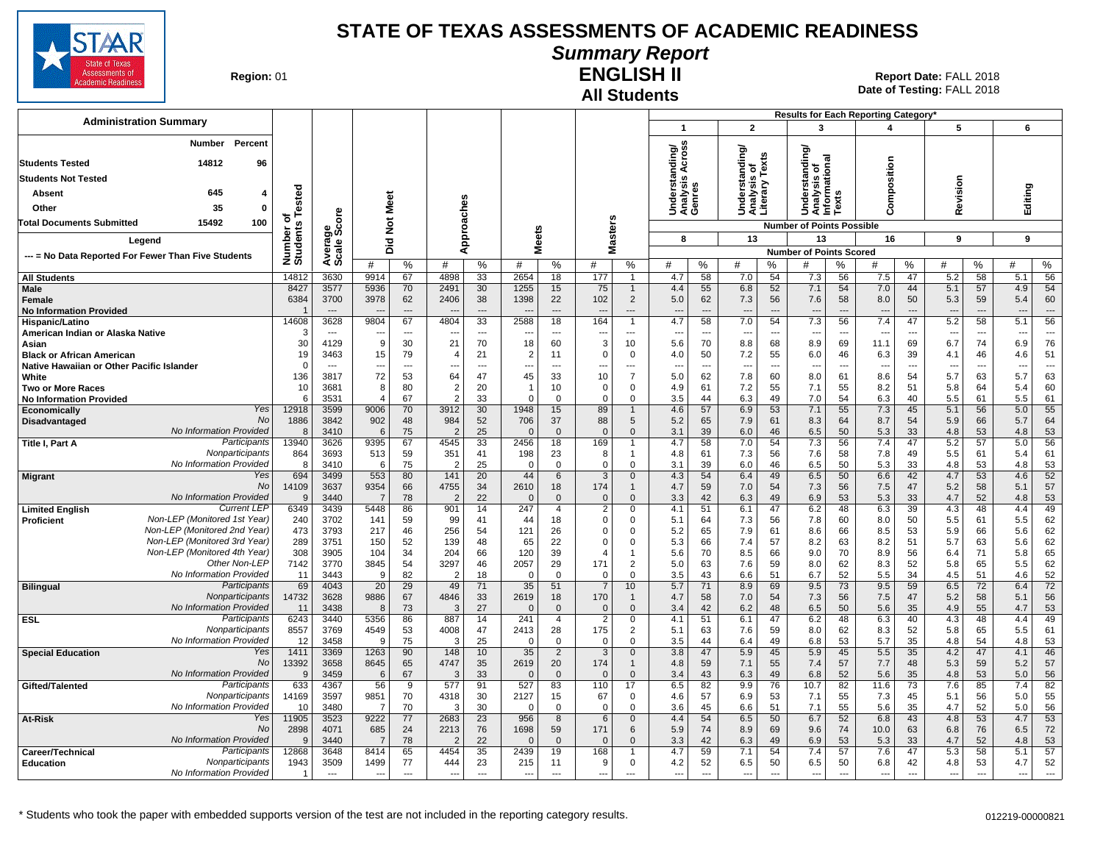

# **Summary Report**

**Region: 01** 

#### **All Students ENGLISH II**

| <b>Administration Summary</b>                                |                              |                        |                       |                          |                                  |                |                                  |                          |                       |                                  |                               |                          |                                          |                      |                                                          |                                | Results for Each Reporting Category' |                          |                                 |                      |            |                                |
|--------------------------------------------------------------|------------------------------|------------------------|-----------------------|--------------------------|----------------------------------|----------------|----------------------------------|--------------------------|-----------------------|----------------------------------|-------------------------------|--------------------------|------------------------------------------|----------------------|----------------------------------------------------------|--------------------------------|--------------------------------------|--------------------------|---------------------------------|----------------------|------------|--------------------------------|
|                                                              |                              |                        |                       |                          |                                  |                |                                  |                          |                       |                                  | $\mathbf{1}$                  |                          | $\overline{2}$                           |                      | 3                                                        |                                | 4                                    |                          | 5                               |                      | 6          |                                |
| Percent<br>Number                                            |                              |                        |                       |                          |                                  |                |                                  |                          |                       |                                  | iding/<br>\cross              |                          |                                          |                      | ৯                                                        |                                |                                      |                          |                                 |                      |            |                                |
| <b>Students Tested</b><br>14812<br>96                        |                              |                        |                       |                          |                                  |                |                                  |                          |                       |                                  |                               |                          | nding/                                   | Texts                | tanding<br>Understanding<br>Analysis of<br>Informational |                                |                                      |                          |                                 |                      |            |                                |
| <b>Students Not Tested</b>                                   |                              |                        |                       |                          |                                  |                |                                  |                          |                       |                                  | ⋖<br>es<br>S                  |                          | Understand<br>Analysis of<br>Literary Te |                      |                                                          |                                | Composition                          |                          |                                 |                      |            |                                |
| 645<br>Absent<br>4                                           |                              |                        |                       |                          |                                  |                |                                  |                          |                       |                                  | Underst<br>Analysis<br>Genres |                          |                                          |                      |                                                          | n                              |                                      |                          | Revision                        |                      | Editing    |                                |
| 35<br>Other<br>0                                             |                              |                        | Meet                  |                          |                                  |                |                                  |                          |                       |                                  |                               |                          |                                          |                      |                                                          | ä                              |                                      |                          |                                 |                      |            |                                |
| 15492<br>100<br><b>Total Documents Submitted</b>             |                              |                        |                       |                          |                                  |                |                                  |                          |                       |                                  |                               |                          | $\Rightarrow$                            |                      |                                                          |                                |                                      |                          |                                 |                      |            |                                |
|                                                              |                              |                        | $\breve{\mathbf{z}}$  |                          | Approaches                       |                | <b>Meets</b>                     |                          |                       | <b>Masters</b>                   |                               |                          |                                          |                      | <b>Number of Points Possible</b>                         |                                |                                      |                          |                                 |                      |            |                                |
| Legend                                                       |                              |                        | $\overline{2}$<br>ه   |                          |                                  |                |                                  |                          |                       |                                  | 8                             |                          | 13                                       |                      | 13                                                       |                                | 16                                   |                          | 9                               |                      | 9          |                                |
| --- = No Data Reported For Fewer Than Five Students          | Number of<br>Students Tested | Average<br>Scale Score | #                     | %                        | #                                | %              | #                                | %                        | #                     | %                                | #                             | %                        | #                                        | %                    | <b>Number of Points Scored</b>                           | ℅                              | #                                    | %                        | #                               | %                    | #          | ℅                              |
| <b>All Students</b>                                          | 14812                        | 3630                   | 9914                  | 67                       | 4898                             | 33             | 2654                             | 18                       | 177                   | $\overline{1}$                   | 4.7                           | 58                       | 7.0                                      | 54                   | 7.3                                                      | 56                             | 7.5                                  | 47                       | 5.2                             | 58                   | 5.1        | 56                             |
| <b>Male</b>                                                  | 8427                         | 3577                   | 5936                  | 70                       | 2491                             | 30             | 1255                             | 15                       | 75                    | $\overline{1}$                   | 4.4                           | 55                       | 6.8                                      | 52                   | 7.1                                                      | 54                             | 7.0                                  | 44                       | 5.1                             | 57                   | 4.9        | 54                             |
| Female                                                       | 6384                         | 3700                   | 3978                  | 62                       | 2406                             | 38             | 1398                             | 22                       | 102                   | $\overline{2}$                   | 5.0                           | 62                       | 7.3                                      | 56                   | 7.6                                                      | 58                             | 8.0                                  | 50                       | 5.3                             | 59                   | 5.4        | 60                             |
| <b>No Information Provided</b><br>Hispanic/Latino            | 14608                        | $---$<br>3628          | 9804                  | $\overline{a}$<br>67     | $\overline{\phantom{a}}$<br>4804 | $---$<br>33    | $\overline{\phantom{a}}$<br>2588 | $---$<br>18              | $---$<br>164          | ---<br>$\overline{1}$            | $---$<br>4.7                  | $---$<br>58              | $\overline{\phantom{a}}$<br>7.0          | $\overline{a}$<br>54 | $\overline{\phantom{a}}$<br>7.3                          | $\overline{\phantom{a}}$<br>56 | $\overline{\phantom{a}}$<br>7.4      | $---$<br>47              | $\overline{\phantom{a}}$<br>5.2 | $\overline{a}$<br>58 | ---<br>5.1 | $\overline{a}$<br>56           |
| American Indian or Alaska Native                             |                              | ---                    |                       | $\overline{\phantom{a}}$ |                                  | ---            |                                  | $\overline{\phantom{a}}$ | ---                   | $\overline{\phantom{a}}$         |                               | $\overline{\phantom{a}}$ | ---                                      | ---                  |                                                          | $\overline{\phantom{a}}$       |                                      | $\overline{\phantom{a}}$ | $\overline{\phantom{a}}$        | ---                  | ---        | $\overline{a}$                 |
| Asian                                                        | 30                           | 4129                   | 9                     | 30                       | 21                               | 70             | 18                               | 60                       | 3                     | 10                               | 5.6                           | 70                       | 8.8                                      | 68                   | 8.9                                                      | 69                             | 11.1                                 | 69                       | 6.7                             | 74                   | 6.9        | 76                             |
| <b>Black or African American</b>                             | 19                           | 3463                   | 15                    | 79                       |                                  | 21             | $\overline{2}$                   | 11                       | $\Omega$              | $\mathbf 0$                      | 4.0                           | 50                       | 7.2                                      | 55                   | 6.0                                                      | 46                             | 6.3                                  | 39                       | 4.1                             | 46                   | 4.6        | 51                             |
| Native Hawaiian or Other Pacific Islander<br>White           | $\Omega$                     | $\sim$                 | $\overline{a}$<br>72  | $\overline{a}$<br>53     | ---<br>64                        | $---$<br>47    | ---<br>45                        | $\overline{a}$           | ---<br>10             | $\overline{a}$<br>$\overline{7}$ | $\overline{a}$<br>5.0         | $\sim$                   | $\overline{\phantom{a}}$<br>7.8          | $\overline{a}$<br>60 | ---<br>8.0                                               | $\overline{\phantom{a}}$<br>61 | $\sim$                               | $---$<br>54              | $\overline{\phantom{a}}$        | $\overline{a}$<br>63 | ---<br>5.7 | $\overline{\phantom{a}}$<br>63 |
| <b>Two or More Races</b>                                     | 136<br>10                    | 3817<br>3681           | 8                     | 80                       | $\overline{2}$                   | 20             | 1                                | 33<br>10                 | $\Omega$              | $\mathbf 0$                      | 4.9                           | 62<br>61                 | 7.2                                      | 55                   | 7.1                                                      | 55                             | 8.6<br>8.2                           | 51                       | 5.7<br>5.8                      | 64                   | 5.4        | 60                             |
| <b>No Information Provided</b>                               | -6                           | 3531                   | $\overline{4}$        | 67                       | $\overline{2}$                   | 33             | $\Omega$                         | $\Omega$                 | $\Omega$              | $\mathbf 0$                      | 3.5                           | 44                       | 6.3                                      | 49                   | 7.0                                                      | 54                             | 6.3                                  | 40                       | 5.5                             | 61                   | 5.5        | 61                             |
| Yes<br>Economically                                          | 12918                        | 3599                   | 9006                  | 70                       | 3912                             | 30             | 1948                             | 15                       | 89                    | $\overline{1}$                   | 4.6                           | 57                       | 6.9                                      | 53                   | 7.1                                                      | 55                             | 7.3                                  | 45                       | 5.1                             | 56                   | 5.0        | 55                             |
| No<br>Disadvantaged                                          | 1886                         | 3842                   | 902                   | 48                       | 984                              | 52             | 706                              | 37                       | 88                    | 5                                | 5.2                           | 65                       | 7.9                                      | 61                   | 8.3                                                      | 64                             | 8.7                                  | 54                       | 5.9                             | 66                   | 5.7        | 64                             |
| No Information Provided<br>Participants<br>Title I, Part A   | 8<br>13940                   | 3410<br>3626           | 6<br>9395             | 75<br>67                 | $\overline{2}$<br>4545           | 25<br>33       | $\overline{0}$<br>2456           | $\mathbf 0$<br>18        | $\overline{0}$<br>169 | $\mathbf 0$                      | 3.1<br>4.7                    | 39<br>58                 | 6.0<br>7.0                               | 46<br>54             | 6.5<br>7.3                                               | 50<br>56                       | 5.3<br>7.4                           | 33<br>47                 | 4.8<br>5.2                      | 53<br>57             | 4.8<br>5.0 | 53<br>56                       |
| Nonparticipants                                              | 864                          | 3693                   | 513                   | 59                       | 351                              | 41             | 198                              | 23                       | 8                     | $\mathbf{1}$                     | 4.8                           | 61                       | 7.3                                      | 56                   | 7.6                                                      | 58                             | 7.8                                  | 49                       | 5.5                             | 61                   | 5.4        | 61                             |
| No Information Provided                                      | 8                            | 3410                   | 6                     | 75                       |                                  | 25             | $\mathbf 0$                      | $\Omega$                 | $\mathbf 0$           | $\mathbf 0$                      | 3.1                           | 39                       | 6.0                                      | 46                   | 6.5                                                      | 50                             | 5.3                                  | 33                       | 4.8                             | 53                   | 4.8        | 53                             |
| Yes<br><b>Migrant</b>                                        | 694                          | 3499                   | 553                   | 80                       | 141                              | 20             | 44                               | 6                        | 3                     | $\mathsf{O}\xspace$              | 4.3                           | 54                       | 6.4                                      | 49                   | 6.5                                                      | 50                             | 6.6                                  | 42                       | 4.7                             | 53                   | 4.6        | 52                             |
| No<br>No Information Provided                                | 14109<br>-9                  | 3637<br>3440           | 9354<br>7             | 66<br>78                 | 4755<br>$\overline{2}$           | 34<br>22       | 2610<br>$\Omega$                 | 18<br>$\mathbf{0}$       | 174<br>$\mathbf 0$    | $\mathbf{1}$<br>$\mathbf{0}$     | 4.7<br>3.3                    | 59<br>42                 | 7.0<br>6.3                               | 54<br>49             | 7.3<br>6.9                                               | 56<br>53                       | 7.5<br>5.3                           | 47<br>33                 | 5.2<br>4.7                      | 58<br>52             | 5.1<br>4.8 | 57<br>53                       |
| <b>Current LEP</b><br><b>Limited English</b>                 | 6349                         | 3439                   | 5448                  | 86                       | 901                              | 14             | 247                              | $\overline{4}$           | $\overline{2}$        | $\mathbf 0$                      | 4.1                           | 51                       | 6.1                                      | 47                   | 6.2                                                      | 48                             | 6.3                                  | 39                       | 4.3                             | 48                   | 4.4        | 49                             |
| Non-LEP (Monitored 1st Year)<br>Proficient                   | 240                          | 3702                   | 141                   | 59                       | 99                               | 41             | 44                               | 18                       | $\mathbf 0$           | $\mathbf 0$                      | 5.1                           | 64                       | 7.3                                      | 56                   | 7.8                                                      | 60                             | 8.0                                  | 50                       | 5.5                             | 61                   | 5.5        | 62                             |
| Non-LEP (Monitored 2nd Year)                                 | 473                          | 3793                   | 217                   | 46                       | 256                              | 54             | 121                              | 26                       | 0                     | 0                                | 5.2                           | 65                       | 7.9                                      | 61                   | 8.6                                                      | 66                             | 8.5                                  | 53                       | 5.9                             | 66                   | 5.6        | 62                             |
| Non-LEP (Monitored 3rd Year)<br>Non-LEP (Monitored 4th Year) | 289                          | 3751                   | 150                   | 52                       | 139                              | 48             | 65                               | 22                       | $\Omega$              | $\Omega$                         | 5.3                           | 66                       | 7.4                                      | 57                   | 8.2                                                      | 63                             | 8.2                                  | 51                       | 5.7                             | 63                   | 5.6        | 62                             |
| Other Non-LEP                                                | 308<br>7142                  | 3905<br>3770           | 104<br>3845           | 34<br>54                 | 204<br>3297                      | 66<br>46       | 120<br>2057                      | 39<br>29                 | 4<br>171              | $\overline{1}$<br>2              | 5.6<br>5.0                    | 70<br>63                 | 8.5<br>7.6                               | 66<br>59             | 9.0<br>8.0                                               | 70<br>62                       | 8.9<br>8.3                           | 56<br>52                 | 6.4<br>5.8                      | 71<br>65             | 5.8<br>5.5 | 65<br>62                       |
| No Information Provided                                      | 11                           | 3443                   | 9                     | 82                       | $\overline{2}$                   | 18             | $\Omega$                         | $\mathbf 0$              | $\mathbf 0$           | $\mathbf 0$                      | 3.5                           | 43                       | 6.6                                      | 51                   | 6.7                                                      | 52                             | 5.5                                  | 34                       | 4.5                             | 51                   | 4.6        | 52                             |
| Participants<br><b>Bilingual</b>                             | 69                           | 4043                   | 20                    | 29                       | 49                               | 71             | 35                               | 51                       | $\overline{7}$        | 10 <sup>1</sup>                  | 5.7                           | 71                       | 8.9                                      | 69                   | 9.5                                                      | 73                             | 9.5                                  | 59                       | 6.5                             | 72                   | 6.4        | 72                             |
| Nonparticipants                                              | 14732                        | 3628                   | 9886                  | 67                       | 4846                             | 33             | 2619                             | 18                       | 170                   | $\overline{1}$                   | 4.7                           | 58                       | 7.0                                      | 54                   | 7.3                                                      | 56                             | 7.5                                  | 47                       | 5.2                             | 58                   | 5.1        | 56                             |
| No Information Provided<br>Participants<br><b>ESL</b>        | 11<br>6243                   | 3438<br>3440           | 8<br>5356             | 73<br>86                 | 3<br>887                         | 27<br>14       | $\Omega$<br>241                  | $\Omega$<br>4            | 0<br>$\overline{2}$   | $\mathbf{0}$<br>0                | 3.4<br>4.1                    | 42<br>51                 | 6.2<br>6.1                               | 48<br>47             | 6.5<br>6.2                                               | 50<br>48                       | 5.6<br>6.3                           | 35<br>40                 | 4.9<br>4.3                      | 55<br>48             | 4.7<br>4.4 | 53<br>49                       |
| Nonparticipants                                              | 8557                         | 3769                   | 4549                  | 53                       | 4008                             | 47             | 2413                             | 28                       | 175                   | 2                                | 5.1                           | 63                       | 7.6                                      | 59                   | 8.0                                                      | 62                             | 8.3                                  | 52                       | 5.8                             | 65                   | 5.5        | 61                             |
| No Information Provided                                      | 12                           | 3458                   | q                     | 75                       | 3                                | 25             | $\mathbf 0$                      | $\Omega$                 | $\Omega$              | $\Omega$                         | 3.5                           | 44                       | 6.4                                      | 49                   | 6.8                                                      | 53                             | 5.7                                  | 35                       | 4.8                             | 54                   | 4.8        | 53                             |
| Yes<br><b>Special Education</b>                              | 1411                         | 3369                   | 1263                  | 90                       | 148                              | 10             | 35                               | $\overline{2}$           | 3                     | $\mathbf 0$                      | 3.8                           | 47                       | 5.9                                      | 45                   | 5.9                                                      | 45                             | 5.5                                  | 35                       | 4.2                             | 47                   | 4.1        | 46                             |
| <b>No</b>                                                    | 13392                        | 3658                   | 8645                  | 65                       | 4747                             | 35             | 2619                             | 20                       | 174                   | $\mathbf{1}$                     | 4.8                           | 59                       | 7.1                                      | 55                   | 7.4                                                      | 57                             | 7.7                                  | 48                       | 5.3                             | 59                   | 5.2        | 57                             |
| No Information Provided<br>Participants<br>Gifted/Talented   | 9<br>633                     | 3459<br>4367           | 6<br>56               | 67<br>9                  | 3<br>577                         | 33<br>91       | $\Omega$<br>527                  | $\Omega$<br>83           | $\overline{0}$<br>110 | $\mathbf{0}$<br>17               | 3.4<br>6.5                    | 43<br>82                 | 6.3<br>9.9                               | 49<br>76             | 6.8<br>10.7                                              | 52<br>82                       | 5.6<br>11.6                          | 35<br>73                 | 4.8<br>7.6                      | 53<br>85             | 5.0<br>7.4 | 56<br>82                       |
| Nonparticipants                                              | 14169                        | 3597                   | 9851                  | 70                       | 4318                             | 30             | 2127                             | 15                       | 67                    | $\mathbf 0$                      | 4.6                           | 57                       | 6.9                                      | 53                   | 7.1                                                      | 55                             | 7.3                                  | 45                       | 5.1                             | 56                   | 5.0        | 55                             |
| No Information Provided                                      | 10                           | 3480                   | $\overline{7}$        | 70                       | 3                                | 30             | $\Omega$                         | $\Omega$                 | $\mathbf{0}$          | $\mathbf 0$                      | 3.6                           | 45                       | 6.6                                      | 51                   | 7.1                                                      | 55                             | 5.6                                  | 35                       | 4.7                             | 52                   | 5.0        | 56                             |
| Yes<br><b>At-Risk</b>                                        | 11905                        | 3523                   | 9222                  | 77                       | 2683                             | 23             | 956                              | 8                        | 6                     | $\mathbf 0$                      | 4.4                           | 54                       | 6.5                                      | 50                   | 6.7                                                      | 52                             | 6.8                                  | 43                       | 4.8                             | 53                   | 4.7        | 53                             |
| <b>No</b><br>No Information Provided                         | 2898<br>$\mathbf{Q}$         | 4071<br>3440           | 685<br>$\overline{7}$ | 24<br>78                 | 2213                             | 76<br>22       | 1698<br>$\Omega$                 | 59<br>$\Omega$           | 171<br>$\Omega$       | 6<br>$\Omega$                    | 5.9<br>3.3                    | 74<br>42                 | 8.9<br>6.3                               | 69<br>49             | 9.6<br>6.9                                               | 74<br>53                       | 10.0<br>5.3                          | 63<br>33                 | 6.8<br>4.7                      | 76<br>52             | 6.5<br>4.8 | 72<br>53                       |
| <b>Participants</b><br>Career/Technical                      | 12868                        | 3648                   | 8414                  | 65                       | 4454                             | 35             | 2439                             | 19                       | 168                   | $\mathbf 1$                      | 4.7                           | 59                       | 7.1                                      | 54                   | 7.4                                                      | 57                             | 7.6                                  | 47                       | 5.3                             | 58                   | 5.1        | 57                             |
| Nonparticipants<br><b>Education</b>                          | 1943                         | 3509                   | 1499                  | 77                       | 444                              | 23             | 215                              | 11                       | g                     | $\mathbf 0$                      | 4.2                           | 52                       | 6.5                                      | 50                   | 6.5                                                      | 50                             | 6.8                                  | 42                       | 4.8                             | 53                   | 4.7        | 52                             |
| No Information Provided                                      | $\overline{\mathbf{1}}$      | $-$                    | $\overline{a}$        | $\sim$                   | $\overline{a}$                   | $\overline{a}$ | $\sim$                           | $\overline{a}$           | ---                   | $\sim$                           | $\overline{a}$                | $\overline{a}$           | $\overline{\phantom{a}}$                 | $\overline{a}$       | $\overline{a}$                                           | $\sim$                         | $\overline{\phantom{a}}$             | $\overline{\phantom{a}}$ | $\overline{\phantom{a}}$        | $\overline{a}$       | ---        | $\overline{\phantom{a}}$       |
|                                                              |                              |                        |                       |                          |                                  |                |                                  |                          |                       |                                  |                               |                          |                                          |                      |                                                          |                                |                                      |                          |                                 |                      |            |                                |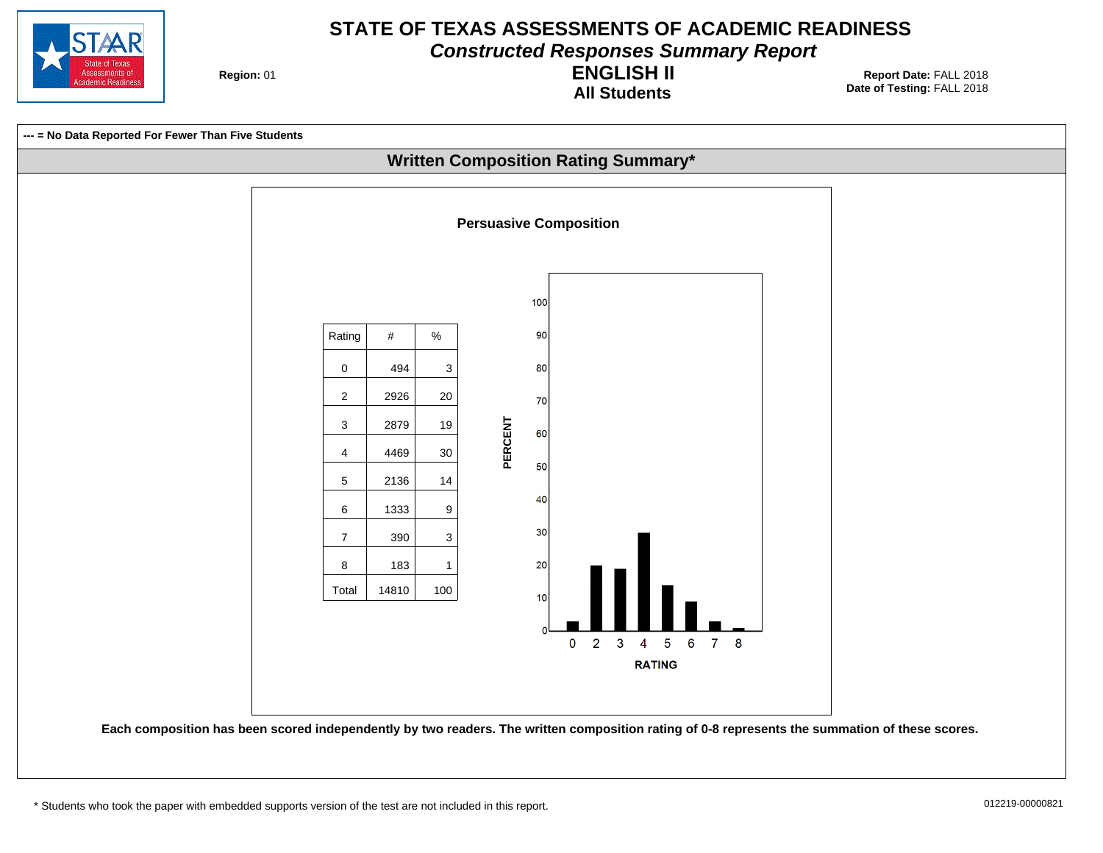

**Constructed Responses Summary Report**

**Region: 01** 

**All Students ENGLISH II**

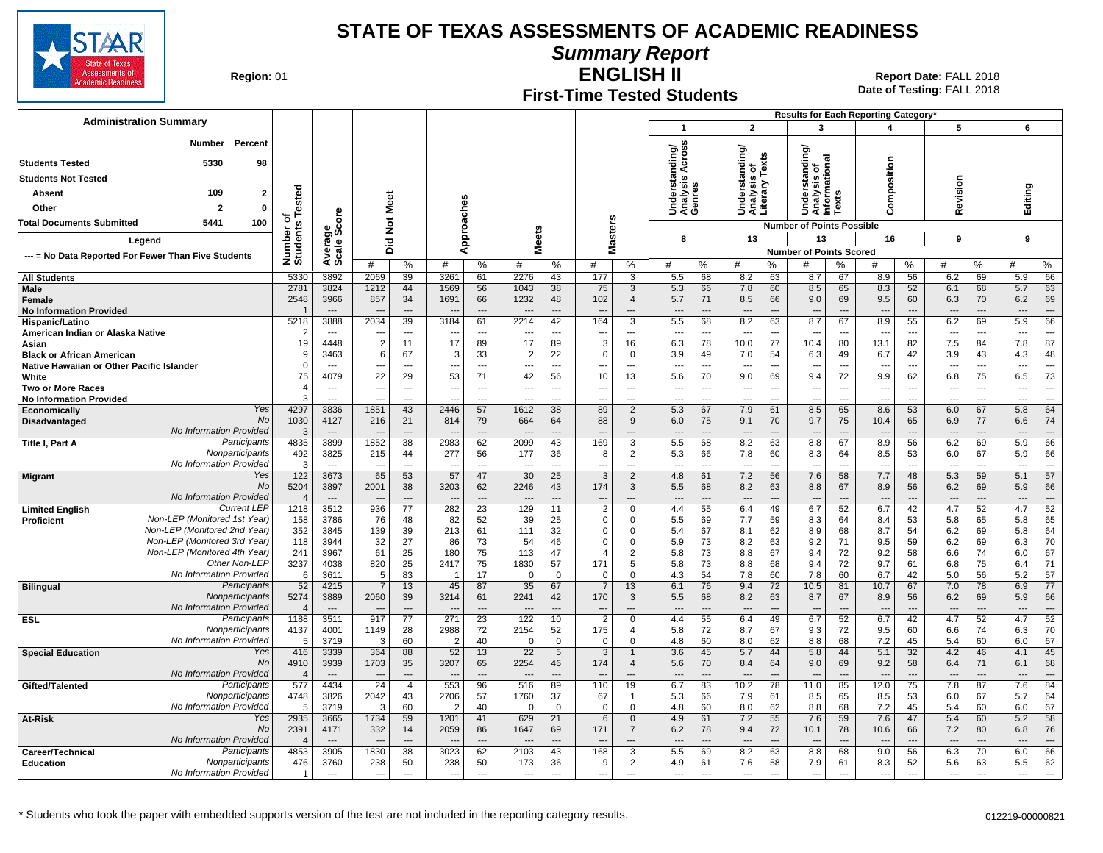

**Summary Report**

**Region: 01** 

#### **First-Time Tested Students ENGLISH II**

| <b>Administration Summary</b>                                                 |                         |                                  |                                  |                       |                     |                                |                          |                                |                      |                            |                                                       |                                |                                                 |                      |                                        |                                | <b>Results for Each Reporting Category</b> |                |                                 |                                |                                 |                                |
|-------------------------------------------------------------------------------|-------------------------|----------------------------------|----------------------------------|-----------------------|---------------------|--------------------------------|--------------------------|--------------------------------|----------------------|----------------------------|-------------------------------------------------------|--------------------------------|-------------------------------------------------|----------------------|----------------------------------------|--------------------------------|--------------------------------------------|----------------|---------------------------------|--------------------------------|---------------------------------|--------------------------------|
|                                                                               |                         |                                  |                                  |                       |                     |                                |                          |                                |                      |                            | $\mathbf 1$                                           |                                | $\overline{2}$                                  |                      | 3                                      |                                | 4                                          |                | 5                               |                                | 6                               |                                |
| Percent<br>Number                                                             |                         |                                  |                                  |                       |                     |                                |                          |                                |                      |                            | Across<br>Jnderstanding/<br>\nalysis Across<br>cenres |                                | Understanding/<br>Analysis of<br>Literary Texts |                      |                                        |                                |                                            |                |                                 |                                |                                 |                                |
| 5330<br><b>Students Tested</b><br>98                                          |                         |                                  |                                  |                       |                     |                                |                          |                                |                      |                            |                                                       |                                |                                                 |                      | tanding<br>চ<br>ত<br>ত                 |                                | omposition                                 |                |                                 |                                |                                 |                                |
| <b>Students Not Tested</b>                                                    |                         |                                  |                                  |                       |                     |                                |                          |                                |                      |                            |                                                       |                                |                                                 |                      | Unders<br>  Analysis c<br>  Informatic |                                |                                            |                |                                 |                                |                                 |                                |
| 109<br>$\mathbf{2}$<br>Absent                                                 | <b>Tested</b>           |                                  |                                  |                       |                     |                                |                          |                                |                      |                            |                                                       |                                |                                                 |                      |                                        |                                |                                            |                | evision                         |                                | Editing                         |                                |
| Other<br>$\mathbf{0}$<br>2                                                    |                         |                                  | Meet                             |                       |                     |                                |                          |                                |                      |                            |                                                       |                                |                                                 |                      |                                        |                                |                                            |                |                                 |                                |                                 |                                |
| 100<br><b>Total Documents Submitted</b><br>5441                               | ठ                       |                                  |                                  |                       |                     |                                |                          |                                |                      |                            | ⊃ ⋖ ७                                                 |                                |                                                 |                      |                                        |                                | $\epsilon$                                 |                | ∝                               |                                |                                 |                                |
|                                                                               |                         | ige<br>Score                     | $\check{\mathbf{z}}$             |                       |                     |                                |                          |                                |                      |                            | 8                                                     |                                | 13                                              |                      | <b>Number of Points Possible</b><br>13 |                                | 16                                         |                | 9                               |                                | 9                               |                                |
| Legend                                                                        | Number o<br>Students    | Averag<br>Scale                  | Did                              |                       |                     | Approaches                     | <b>Meets</b>             |                                |                      | Masters                    |                                                       |                                |                                                 |                      | <b>Number of Points Scored</b>         |                                |                                            |                |                                 |                                |                                 |                                |
| --- = No Data Reported For Fewer Than Five Students                           |                         |                                  | #                                | %                     | #                   | %                              | #                        | %                              | #                    | %                          | #                                                     | %                              | #                                               | %                    | #                                      | %                              | #                                          | %              | #                               | %                              | #                               | %                              |
| <b>All Students</b>                                                           | 5330                    | 3892                             | 2069                             | 39                    | 3261                | 61                             | 2276                     | 43                             | 177                  | 3                          | 5.5                                                   | 68                             | 8.2                                             | 63                   | 8.7                                    | 67                             | 8.9                                        | 56             | 6.2                             | 69                             | 5.9                             | 66                             |
| <b>Male</b><br>Female                                                         | 2781<br>2548            | 3824<br>3966                     | 1212<br>857                      | 44<br>34              | 1569<br>1691        | 56<br>66                       | 1043<br>1232             | 38<br>48                       | 75<br>102            | 3<br>$\overline{4}$        | 5.3<br>5.7                                            | 66<br>71                       | 7.8<br>8.5                                      | 60<br>66             | 8.5<br>9.0                             | 65<br>69                       | 8.3<br>9.5                                 | 52<br>60       | 6.1<br>6.3                      | 68<br>70                       | 5.7<br>6.2                      | 63<br>69                       |
| <b>No Information Provided</b>                                                |                         | $\overline{\phantom{a}}$         |                                  | $\overline{a}$        |                     |                                |                          |                                |                      | ---                        | $\sim$                                                |                                |                                                 | $---$                |                                        |                                |                                            | ---            |                                 |                                |                                 | $---$                          |
| Hispanic/Latino                                                               | 5218                    | 3888                             | 2034                             | 39                    | 3184                | 61                             | 2214                     | 42                             | 164                  | 3                          | 5.5                                                   | 68                             | 8.2                                             | 63                   | 8.7                                    | 67                             | 8.9                                        | 55             | 6.2                             | 69                             | 5.9                             | 66                             |
| American Indian or Alaska Native                                              | 2                       | $-$                              | ---                              | $---$                 | $\sim$              | $---$                          | $- - -$                  | $---$                          | ---                  | ---                        | $\sim$                                                | $\sim$                         | $\sim$                                          | $---$                | $\overline{a}$                         | $---$                          | $---$                                      | $---$          | $\sim$                          | $\sim$                         | $\sim$                          | $---$                          |
| Asian                                                                         | 19                      | 4448                             | $\overline{2}$                   | 11                    | 17                  | 89                             | 17                       | 89                             | 3                    | 16                         | 6.3                                                   | 78                             | 10.0                                            | 77                   | 10.4                                   | 80                             | 13.1                                       | 82             | 7.5                             | 84                             | 7.8                             | 87                             |
| <b>Black or African American</b><br>Native Hawaiian or Other Pacific Islander | <b>c</b><br>$\Omega$    | 3463<br>$\overline{a}$           | 6<br>---                         | 67<br>$\overline{a}$  | 3<br>$\overline{a}$ | 33<br>$\overline{a}$           | 2<br>---                 | 22<br>$\overline{a}$           | $\Omega$<br>---      | $\Omega$<br>$\overline{a}$ | 3.9<br>$\overline{a}$                                 | 49<br>$\overline{\phantom{a}}$ | 7.0<br>$\overline{\phantom{a}}$                 | 54<br>$\overline{a}$ | 6.3<br>$\overline{a}$                  | 49<br>$\overline{a}$           | 6.7<br>$\overline{\phantom{a}}$            | 42<br>---      | 3.9<br>$\overline{\phantom{a}}$ | 43<br>$\overline{\phantom{a}}$ | 4.3<br>$\overline{\phantom{a}}$ | 48<br>$\overline{\phantom{a}}$ |
| White                                                                         | 75                      | 4079                             | 22                               | 29                    | 53                  | 71                             | 42                       | 56                             | 10                   | 13                         | 5.6                                                   | 70                             | 9.0                                             | 69                   | 9.4                                    | 72                             | 9.9                                        | 62             | 6.8                             | 75                             | 6.5                             | 73                             |
| <b>Two or More Races</b>                                                      | $\overline{4}$          | ---                              | ---                              | $\overline{a}$        | $\overline{a}$      | ---                            |                          | $\overline{\phantom{a}}$       | ---                  | ---                        | ---                                                   | $\overline{\phantom{a}}$       | $\overline{\phantom{a}}$                        | $\overline{a}$       | $\overline{a}$                         | $\overline{a}$                 | ---                                        | $\overline{a}$ | ---                             | $\overline{a}$                 |                                 | $\overline{\phantom{a}}$       |
| <b>No Information Provided</b>                                                |                         | ---                              |                                  | ---                   |                     | $\overline{a}$                 |                          | $\overline{a}$                 |                      | ---                        | $\overline{a}$                                        | ---                            | $\overline{\phantom{a}}$                        | $\overline{a}$       | $\overline{a}$                         | ---                            |                                            | ---            | ---                             | $\overline{a}$                 |                                 | $\overline{a}$                 |
| <b>Yes</b><br><b>Economically</b><br><b>No</b>                                | 4297                    | 3836                             | 1851                             | 43                    | 2446                | 57                             | 1612                     | 38                             | 89                   | $\overline{2}$             | 5.3                                                   | 67                             | 7.9                                             | 61                   | 8.5                                    | 65                             | 8.6                                        | 53             | 6.0                             | 67                             | 5.8                             | 64                             |
| Disadvantaged<br>No Information Provided                                      | 1030<br>3               | 4127<br>$---$                    | 216                              | 21<br>$\overline{a}$  | 814                 | 79<br>$---$                    | 664                      | 64<br>$\overline{\phantom{a}}$ | 88<br>$\overline{a}$ | 9<br>$\overline{a}$        | 6.0<br>$\overline{\phantom{a}}$                       | 75<br>$\overline{a}$           | 9.1<br>---                                      | 70<br>$---$          | 9.7<br>$\overline{\phantom{a}}$        | 75<br>$- - -$                  | 10.4<br>$---$                              | 65<br>$---$    | 6.9<br>$\overline{\phantom{a}}$ | 77<br>$\overline{a}$           | 6.6<br>$\overline{\phantom{a}}$ | 74<br>$---$                    |
| Participants<br>Title I, Part A                                               | 4835                    | 3899                             | 1852                             | 38                    | 2983                | 62                             | 2099                     | 43                             | 169                  | $\overline{3}$             | 5.5                                                   | 68                             | 8.2                                             | 63                   | 8.8                                    | 67                             | 8.9                                        | 56             | 6.2                             | 69                             | 5.9                             | 66                             |
| Nonparticipants                                                               | 492                     | 3825                             | 215                              | 44                    | 277                 | 56                             | 177                      | 36                             | 8                    | $\overline{2}$             | 5.3                                                   | 66                             | 7.8                                             | 60                   | 8.3                                    | 64                             | 8.5                                        | 53             | 6.0                             | 67                             | 5.9                             | 66                             |
| No Information Provided                                                       | $\cdot$                 | $\sim$                           | ---                              | $\overline{a}$        | $\overline{a}$      | $\overline{a}$                 | --                       | $\overline{a}$                 | ---                  | ---                        | $\overline{a}$                                        | ---                            | $\overline{\phantom{a}}$                        | $\overline{a}$       | $\overline{a}$                         | $\overline{a}$                 | $\overline{a}$                             | ---            | $\overline{\phantom{a}}$        |                                | $\overline{\phantom{a}}$        | $\overline{a}$                 |
| Yes<br><b>Migrant</b><br>No                                                   | 122                     | 3673                             | 65                               | 53                    | 57                  | 47                             | 30                       | 25                             | 3                    | $\overline{2}$             | 4.8                                                   | 61                             | 7.2                                             | 56                   | 7.6                                    | 58                             | 7.7                                        | 48             | 5.3                             | 59                             | 5.1                             | 57                             |
| No Information Provided                                                       | 5204<br>$\overline{4}$  | 3897<br>$---$                    | 2001                             | 38<br>$\overline{a}$  | 3203                | 62<br>$\overline{\phantom{a}}$ | 2246                     | 43<br>$\overline{\phantom{a}}$ | 174                  | 3<br>---                   | 5.5<br>$\sim$                                         | 68<br>$\overline{\phantom{a}}$ | 8.2<br>$\overline{\phantom{a}}$                 | 63<br>$\overline{a}$ | 8.8<br>$\overline{\phantom{a}}$        | 67<br>$\overline{\phantom{a}}$ | 8.9                                        | 56<br>---      | 6.2                             | 69<br>$\overline{\phantom{a}}$ | 5.9                             | 66<br>$\overline{\phantom{a}}$ |
| <b>Current LEP</b><br><b>Limited English</b>                                  | 1218                    | 3512                             | 936                              | 77                    | 282                 | $\overline{23}$                | 129                      | 11                             | $\overline{2}$       | $\mathbf 0$                | 4.4                                                   | 55                             | 6.4                                             | 49                   | 6.7                                    | 52                             | 6.7                                        | 42             | 4.7                             | 52                             | 4.7                             | 52                             |
| Non-LEP (Monitored 1st Year)<br><b>Proficient</b>                             | 158                     | 3786                             | 76                               | 48                    | 82                  | 52                             | 39                       | 25                             | $\mathbf 0$          | $\Omega$                   | 5.5                                                   | 69                             | 7.7                                             | 59                   | 8.3                                    | 64                             | 8.4                                        | 53             | 5.8                             | 65                             | 5.8                             | 65                             |
| Non-LEP (Monitored 2nd Year)                                                  | 352                     | 3845                             | 139                              | 39                    | 213                 | 61                             | 111                      | 32                             | $\Omega$             | $\Omega$                   | 5.4                                                   | 67                             | 8.1                                             | 62                   | 8.9                                    | 68                             | 8.7                                        | 54             | 6.2                             | 69                             | 5.8                             | 64                             |
| Non-LEP (Monitored 3rd Year)<br>Non-LEP (Monitored 4th Year)                  | 118                     | 3944                             | 32                               | 27                    | 86                  | 73                             | 54                       | 46                             | $\Omega$             | $\Omega$                   | 5.9                                                   | 73                             | 8.2                                             | 63                   | 9.2                                    | 71                             | 9.5                                        | 59             | 6.2                             | 69                             | 6.3                             | 70                             |
| Other Non-LEP                                                                 | 241<br>3237             | 3967<br>4038                     | 61<br>820                        | 25<br>25              | 180<br>2417         | 75<br>75                       | 113<br>1830              | 47<br>57                       | 171                  | 2<br>5                     | 5.8<br>5.8                                            | 73<br>73                       | 8.8<br>8.8                                      | 67<br>68             | 9.4<br>9.4                             | 72<br>72                       | 9.2<br>9.7                                 | 58<br>61       | 6.6<br>6.8                      | 74<br>75                       | 6.0<br>6.4                      | 67<br>71                       |
| No Information Provided                                                       | 6                       | 3611                             | .5                               | 83                    | $\overline{1}$      | 17                             | $\Omega$                 | $\mathbf 0$                    | $\Omega$             | $\Omega$                   | 4.3                                                   | 54                             | 7.8                                             | 60                   | 7.8                                    | 60                             | 6.7                                        | 42             | 5.0                             | 56                             | 5.2                             | 57                             |
| Participants<br><b>Bilingual</b>                                              | 52                      | 4215                             | $\overline{7}$                   | 13                    | 45                  | 87                             | 35                       | 67                             | $\overline{7}$       | 13                         | 6.1                                                   | 76                             | 9.4                                             | 72                   | 10.5                                   | 81                             | 10.7                                       | 67             | 7.0                             | 78                             | 6.9                             | 77                             |
| Nonparticipants                                                               | 5274                    | 3889                             | 2060                             | 39                    | 3214                | 61                             | 2241                     | 42                             | 170                  | 3                          | 5.5                                                   | 68                             | 8.2                                             | 63                   | 8.7                                    | 67                             | 8.9                                        | 56             | 6.2                             | 69                             | 5.9                             | 66                             |
| No Information Provided<br>Participants<br><b>ESL</b>                         | $\overline{4}$<br>1188  | $\overline{\phantom{a}}$<br>3511 | 917                              | 77                    | 271                 | 23                             | 122                      | 10                             | $\overline{2}$       | $\mathbf 0$                | 4.4                                                   | 55                             | $\overline{\phantom{a}}$<br>6.4                 | $\overline{a}$<br>49 | 6.7                                    | $\overline{a}$<br>52           | 6.7                                        | ---<br>42      | $\overline{\phantom{a}}$<br>4.7 | 52                             | 4.7                             | $\overline{a}$<br>52           |
| Nonparticipants                                                               | 4137                    | 4001                             | 1149                             | 28                    | 2988                | 72                             | 2154                     | 52                             | 175                  | 4                          | 5.8                                                   | 72                             | 8.7                                             | 67                   | 9.3                                    | 72                             | 9.5                                        | 60             | 6.6                             | 74                             | 6.3                             | 70                             |
| No Information Provided                                                       | -5                      | 3719                             | З                                | 60                    | $\overline{2}$      | 40                             | $\mathbf 0$              | $\mathbf 0$                    | $\Omega$             | $\Omega$                   | 4.8                                                   | 60                             | 8.0                                             | 62                   | 8.8                                    | 68                             | 7.2                                        | 45             | 5.4                             | 60                             | 6.0                             | 67                             |
| Yes<br><b>Special Education</b>                                               | 416                     | 3339                             | 364                              | 88                    | 52                  | 13                             | 22                       | $\sqrt{5}$                     | 3                    | 1                          | 3.6                                                   | 45                             | 5.7                                             | 44                   | 5.8                                    | 44                             | 5.1                                        | 32             | 4.2                             | 46                             | 4.1                             | 45                             |
| No                                                                            | 4910                    | 3939                             | 1703                             | 35                    | 3207                | 65                             | 2254                     | 46                             | 174                  | $\overline{4}$             | 5.6                                                   | 70                             | 8.4                                             | 64                   | 9.0                                    | 69                             | 9.2                                        | 58             | 6.4                             | 71                             | 6.1                             | 68                             |
| No Information Provided<br>Participants                                       | $\overline{4}$<br>577   | $\overline{\phantom{a}}$<br>4434 | $\overline{24}$                  | ---<br>$\overline{4}$ | 553                 | $\overline{a}$<br>96           | 516                      | 89                             | 110                  | ---<br>19                  | 6.7                                                   | $\overline{a}$<br>83           | $\overline{\phantom{a}}$<br>10.2                | $\overline{a}$<br>78 | $\overline{a}$<br>11.0                 | $\overline{\phantom{a}}$<br>85 |                                            | ---<br>75      | 7.8                             | 87                             | 7.6                             | $\overline{a}$<br>84           |
| Gifted/Talented<br>Nonparticipants                                            | 4748                    | 3826                             | 2042                             | 43                    | 2706                | 57                             | 1760                     | 37                             | 67                   | $\mathbf{1}$               | 5.3                                                   | 66                             | 7.9                                             | 61                   | 8.5                                    | 65                             | 12.0<br>8.5                                | 53             | 6.0                             | 67                             | 5.7                             | 64                             |
| No Information Provided                                                       | 5                       | 3719                             | З                                | 60                    |                     | 40                             | $\Omega$                 | $\mathbf 0$                    | $\Omega$             | $\mathbf 0$                | 4.8                                                   | 60                             | 8.0                                             | 62                   | 8.8                                    | 68                             | 7.2                                        | 45             | 5.4                             | 60                             | 6.0                             | 67                             |
| Yes<br>At-Risk                                                                | 2935                    | 3665                             | 1734                             | 59                    | 1201                | 41                             | 629                      | 21                             | 6                    | 0                          | 4.9                                                   | 61                             | 7.2                                             | 55                   | 7.6                                    | 59                             | 7.6                                        | 47             | 5.4                             | 60                             | 5.2                             | 58                             |
| <b>No</b>                                                                     | 2391                    | 4171                             | 332                              | 14                    | 2059                | 86                             | 1647                     | 69                             | 171                  | $\overline{7}$             | 6.2                                                   | 78                             | 9.4                                             | 72                   | 10.1                                   | 78                             | 10.6                                       | 66             | 7.2                             | 80                             | 6.8                             | 76                             |
| No Information Provided<br>Participants                                       | $\overline{4}$<br>4853  | $---$<br>3905                    | $\overline{\phantom{a}}$<br>1830 | $\overline{a}$<br>38  | 3023                | $---$<br>62                    | 2103                     | $---$<br>43                    | $-$<br>168           | ---<br>3                   | $\overline{a}$<br>5.5                                 | $\overline{a}$<br>69           | ---<br>8.2                                      | $---$<br>63          | $\overline{\phantom{a}}$<br>8.8        | $\overline{\phantom{a}}$<br>68 | $\overline{a}$<br>9.0                      | ---<br>56      | $\overline{\phantom{a}}$<br>6.3 | $\overline{a}$<br>70           | 6.0                             | $---$<br>66                    |
| Career/Technical<br>Nonparticipants<br><b>Education</b>                       | 476                     | 3760                             | 238                              | 50                    | 238                 | 50                             | 173                      | 36                             | 9                    | 2                          | 4.9                                                   | 61                             | 7.6                                             | 58                   | 7.9                                    | 61                             | 8.3                                        | 52             | 5.6                             | 63                             | 5.5                             | 62                             |
| No Information Provided                                                       | $\overline{\mathbf{1}}$ | $\overline{a}$                   | $\overline{\phantom{a}}$         | $\overline{a}$        | $\overline{a}$      | $\overline{a}$                 | $\overline{\phantom{a}}$ | $\overline{a}$                 | ---                  | ---                        | $\overline{a}$                                        | ---                            | $\overline{\phantom{a}}$                        | $\overline{a}$       | $\overline{a}$                         | $\overline{a}$                 | $\overline{a}$                             | ---            | $\overline{\phantom{a}}$        | $\overline{a}$                 | $\sim$                          | $\overline{a}$                 |
|                                                                               |                         |                                  |                                  |                       |                     |                                |                          |                                |                      |                            |                                                       |                                |                                                 |                      |                                        |                                |                                            |                |                                 |                                |                                 |                                |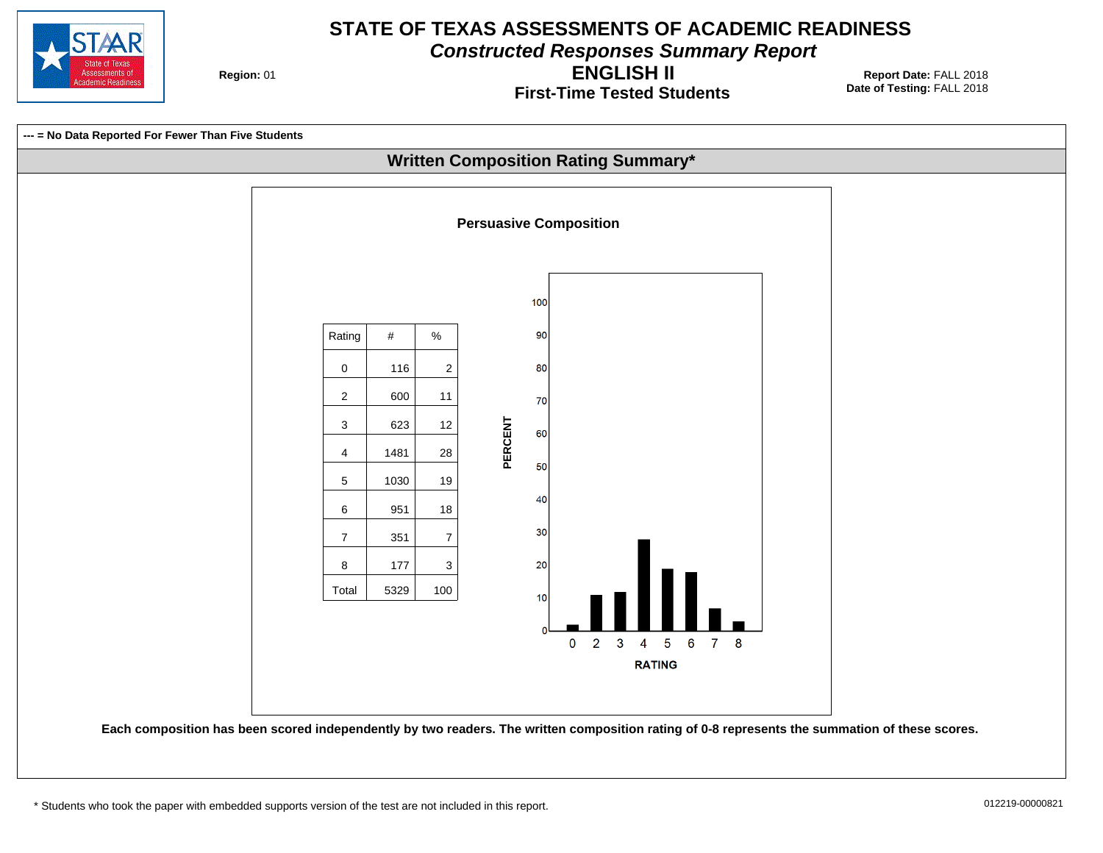

**Constructed Responses Summary Report**

**Region: 01** 

**First-Time Tested Students ENGLISH II**

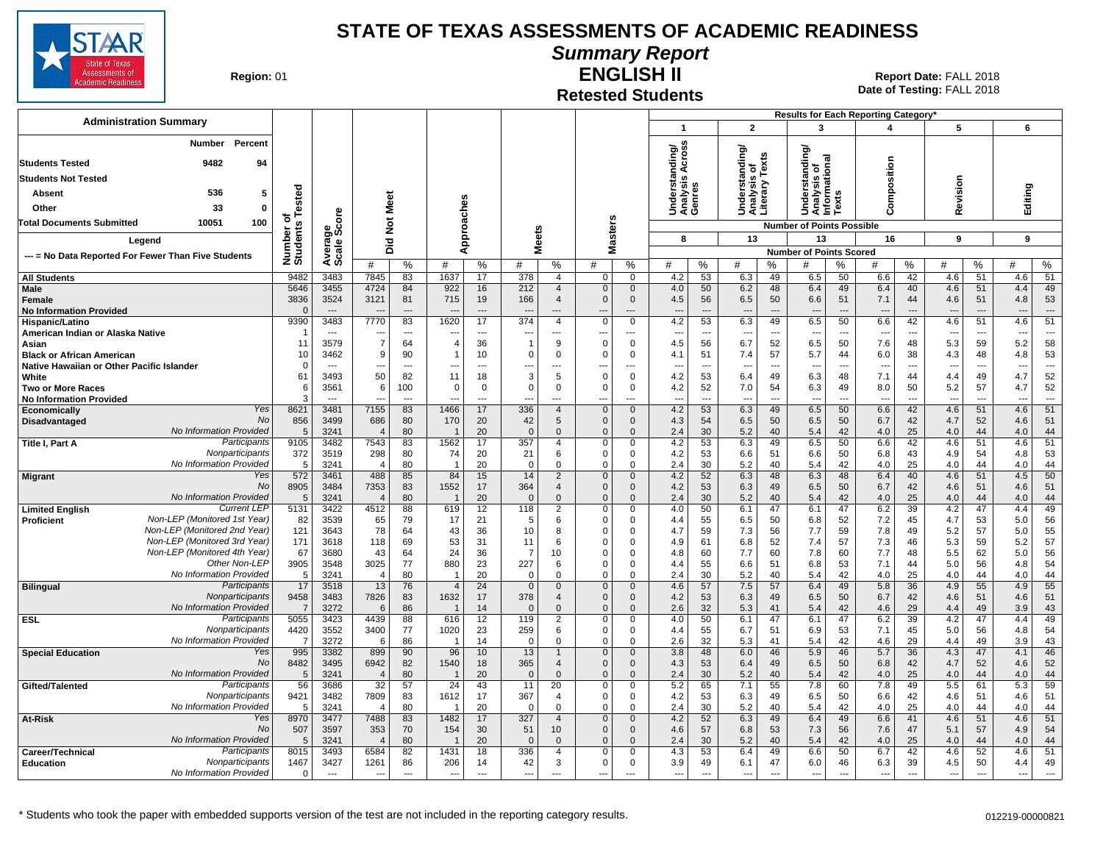

#### **Summary Report**

**Region: 01** 

#### **Retested Students ENGLISH II**

| <b>Administration Summary</b>                                |                        |                                  |                                  |                |                                 |                                |                          |                                |                              |                              |                                 |                                |                                  |                          |                                     |                          | Results for Each Reporting Category' |                                |                          |                |                  |                          |
|--------------------------------------------------------------|------------------------|----------------------------------|----------------------------------|----------------|---------------------------------|--------------------------------|--------------------------|--------------------------------|------------------------------|------------------------------|---------------------------------|--------------------------------|----------------------------------|--------------------------|-------------------------------------|--------------------------|--------------------------------------|--------------------------------|--------------------------|----------------|------------------|--------------------------|
|                                                              |                        |                                  |                                  |                |                                 |                                |                          |                                |                              |                              | $\overline{1}$                  |                                | $\overline{2}$                   |                          | 3                                   |                          | 4                                    |                                | 5                        |                | 6                |                          |
| Percent<br>Number                                            |                        |                                  |                                  |                |                                 |                                |                          |                                |                              |                              | ding/<br>\cross                 |                                | tanding/<br>is of                |                          | tanding                             |                          |                                      |                                |                          |                |                  |                          |
| 9482<br><b>Students Tested</b><br>94                         |                        |                                  |                                  |                |                                 |                                |                          |                                |                              |                              | ∢                               |                                |                                  | Texts                    | ত<br>ত<br>ত                         |                          | Composition                          |                                |                          |                |                  |                          |
| <b>Students Not Tested</b>                                   |                        |                                  |                                  |                |                                 |                                |                          |                                |                              |                              | S                               |                                |                                  |                          |                                     |                          |                                      |                                |                          |                |                  |                          |
| 536<br>5<br>Absent                                           |                        |                                  |                                  |                |                                 |                                |                          |                                |                              |                              |                                 |                                |                                  |                          |                                     | $\boldsymbol{a}$         |                                      |                                |                          |                |                  |                          |
| 33<br>$\mathbf{0}$<br>Other                                  | of<br>s Tested         |                                  | Meet                             |                |                                 |                                |                          |                                |                              |                              | Underst<br>Analysis<br>Genres   |                                | Understa<br>Analysis<br>Literary |                          | Understar<br>Analysis<br>Informatic | š                        |                                      |                                | Revision                 |                | Editing          |                          |
| 10051<br>100<br>Total Documents Submitted                    |                        | aae<br>Score                     | $\frac{5}{2}$                    |                |                                 | Approaches                     |                          |                                |                              | <b>Masters</b>               |                                 |                                |                                  |                          | <b>Number of Points Possible</b>    |                          |                                      |                                |                          |                |                  |                          |
| Legend                                                       |                        |                                  | 고                                |                |                                 |                                | <b>Meets</b>             |                                |                              |                              | 8                               |                                | 13                               |                          | 13                                  |                          | 16                                   |                                | 9                        |                | 9                |                          |
| --- = No Data Reported For Fewer Than Five Students          | Number of<br>Students  | Averag<br>Scale                  | ۵                                |                |                                 |                                |                          |                                |                              |                              |                                 |                                |                                  |                          | <b>Number of Points Scored</b>      |                          |                                      |                                |                          |                |                  |                          |
|                                                              |                        |                                  | #                                | ℅              | #                               | %                              | #                        | %                              | #                            | %                            | #                               | %                              | #                                | %                        | #                                   | ℅                        | #                                    | %                              | #                        | %              | #                | ℅                        |
| <b>All Students</b>                                          | 9482                   | 3483                             | 7845                             | 83             | 1637                            | 17                             | 378                      | $\overline{4}$                 | $\Omega$                     | $\overline{0}$               | 4.2                             | 53                             | 6.3                              | 49                       | 6.5                                 | 50                       | 6.6                                  | 42                             | 4.6                      | 51             | 4.6              | 51                       |
| <b>Male</b>                                                  | 5646                   | 3455                             | 4724                             | 84             | 922                             | 16                             | 212                      | $\overline{4}$                 | $\mathbf{0}$                 | $\mathbf 0$                  | 4.0                             | 50                             | 6.2                              | 48                       | 6.4                                 | 49                       | 6.4                                  | 40                             | 4.6                      | 51             | 4.4              | 49                       |
| Female<br><b>No Information Provided</b>                     | 3836<br>$\mathsf{C}$   | 3524<br>$\overline{\phantom{a}}$ | 3121<br>$\overline{\phantom{a}}$ | 81<br>---      | 715<br>$\overline{\phantom{a}}$ | 19<br>$\overline{\phantom{a}}$ | 166                      | $\overline{4}$<br>---          | $\mathbf{0}$<br>---          | $\overline{0}$<br>$\cdots$   | 4.5<br>$---$                    | 56<br>$\overline{\phantom{a}}$ | 6.5<br>$\overline{\phantom{a}}$  | 50<br>---                | 6.6<br>$\overline{\phantom{a}}$     | 51<br>$---$              | 7.1<br>$\overline{\phantom{a}}$      | 44<br>$---$                    | 4.6<br>---               | 51<br>---      | 4.8<br>---       | 53<br>$\overline{a}$     |
| Hispanic/Latino                                              | 9390                   | 3483                             | 7770                             | 83             | 1620                            | 17                             | 374                      | $\overline{4}$                 | $\Omega$                     | $\mathbf 0$                  | 4.2                             | 53                             | 6.3                              | 49                       | 6.5                                 | 50                       | 6.6                                  | 42                             | 4.6                      | 51             | 4.6              | 51                       |
| American Indian or Alaska Native                             |                        | ---                              | $\overline{\phantom{a}}$         | ---            | $\overline{\phantom{a}}$        | $\overline{\phantom{a}}$       | ---                      | $\overline{a}$                 | ---                          | $\cdots$                     | $\overline{a}$                  | $\overline{\phantom{a}}$       | $\overline{\phantom{a}}$         | $\overline{\phantom{a}}$ | $\overline{\phantom{a}}$            | $\overline{\phantom{a}}$ | $\overline{\phantom{a}}$             | $\overline{\phantom{a}}$       | ---                      | ---            | ---              | $\overline{a}$           |
| Asian                                                        | 11                     | 3579                             | $\overline{7}$                   | 64             | $\overline{4}$                  | 36                             | $\mathbf 1$              | 9                              | $\mathbf 0$                  | $\mathbf 0$                  | 4.5                             | 56                             | 6.7                              | 52                       | 6.5                                 | 50                       | 7.6                                  | 48                             | 5.3                      | 59             | 5.2              | 58                       |
| <b>Black or African American</b>                             | 10                     | 3462                             | 9                                | 90             | $\overline{1}$                  | 10                             | $\mathbf 0$              | $\mathbf 0$                    | $\Omega$                     | $\overline{0}$               | 4.1                             | 51                             | 7.4                              | 57                       | 5.7                                 | 44                       | 6.0                                  | 38                             | 4.3                      | 48             | 4.8              | 53                       |
| Native Hawaiian or Other Pacific Islander<br>White           | $\Omega$<br>61         | 3493                             | $\overline{\phantom{a}}$<br>50   | ---<br>82      | ---<br>11                       | $---$<br>18                    | 3                        | $\overline{a}$<br>5            | ---<br>$\mathbf 0$           | ---<br>$\mathbf 0$           | $\overline{\phantom{a}}$<br>4.2 | $\overline{a}$<br>53           | $\overline{\phantom{a}}$<br>6.4  | ---<br>49                | $\overline{a}$<br>6.3               | $\overline{a}$<br>48     | $\overline{a}$<br>7.1                | $\overline{\phantom{a}}$<br>44 | ---<br>4.4               | ---<br>49      | ---<br>4.7       | $\ddotsc$<br>52          |
| <b>Two or More Races</b>                                     | 6                      | 3561                             | 6                                | 100            | $\Omega$                        | $\Omega$                       | $\mathbf{0}$             | $\Omega$                       | $\Omega$                     | $\overline{0}$               | 4.2                             | 52                             | 7.0                              | 54                       | 6.3                                 | 49                       | 8.0                                  | 50                             | 5.2                      | 57             | 4.7              | 52                       |
| <b>No Information Provided</b>                               | 3                      | $\overline{a}$                   | $\overline{\phantom{a}}$         | $\overline{a}$ |                                 | $\overline{a}$                 |                          | $\overline{a}$                 | ---                          | ---                          | $\sim$                          | $\overline{\phantom{a}}$       | $\overline{\phantom{a}}$         | $\overline{a}$           | ---                                 | $\overline{a}$           | $---$                                | $---$                          | $\overline{\phantom{a}}$ | $\overline{a}$ | ---              | $\overline{\phantom{a}}$ |
| Yes<br>Economically                                          | 8621                   | 3481                             | 7155                             | 83             | 1466                            | 17                             | 336                      | $\overline{4}$                 | $\mathbf{0}$                 | $\mathbf{0}$                 | 4.2                             | 53                             | 6.3                              | 49                       | 6.5                                 | 50                       | 6.6                                  | 42                             | 4.6                      | 51             | 4.6              | 51                       |
| No<br><b>Disadvantaged</b><br>No Information Provided        | 856<br>5               | 3499<br>3241                     | 686<br>$\overline{4}$            | 80<br>80       | 170                             | 20<br>20                       | 42<br>$\Omega$           | 5<br>$\mathbf{0}$              | $\Omega$<br>$\Omega$         | $\mathbf{0}$<br>$\mathbf{0}$ | 4.3<br>2.4                      | 54<br>30                       | 6.5<br>5.2                       | 50<br>40                 | 6.5<br>5.4                          | 50<br>42                 | 6.7<br>4.0                           | 42<br>25                       | 4.7<br>4.0               | 52<br>44       | 4.6<br>4.0       | 51<br>44                 |
| Participants<br>Title I, Part A                              | 9105                   | 3482                             | 7543                             | 83             | 1562                            | 17                             | 357                      | $\overline{4}$                 | $\mathbf 0$                  | $\overline{0}$               | 4.2                             | 53                             | 6.3                              | 49                       | 6.5                                 | 50                       | 6.6                                  | 42                             | 4.6                      | 51             | $\overline{4.6}$ | 51                       |
| Nonparticipants                                              | 372                    | 3519                             | 298                              | 80             | 74                              | 20                             | 21                       | 6                              | $\mathbf 0$                  | $\mathbf 0$                  | 4.2                             | 53                             | 6.6                              | 51                       | 6.6                                 | 50                       | 6.8                                  | 43                             | 4.9                      | 54             | 4.8              | 53                       |
| No Information Provided                                      | 5                      | 3241                             | $\overline{4}$                   | 80             | $\overline{1}$                  | 20                             | $\Omega$                 | $\Omega$                       | $\Omega$                     | $\mathbf 0$                  | 2.4                             | 30                             | 5.2                              | 40                       | 5.4                                 | 42                       | 4.0                                  | 25                             | 4.0                      | 44             | 4.0              | 44                       |
| Yes<br><b>Migrant</b><br>No                                  | 572                    | 3461                             | 488                              | 85             | 84                              | 15                             | 14                       | $\overline{2}$                 | $\mathbf{0}$                 | $\mathbf 0$                  | 4.2                             | 52                             | 6.3                              | 48                       | 6.3                                 | 48                       | 6.4                                  | 40                             | 4.6                      | 51             | 4.5              | 50                       |
| No Information Provided                                      | 8905<br>5              | 3484<br>3241                     | 7353<br>$\overline{4}$           | 83<br>80       | 1552<br>$\overline{1}$          | 17<br>20                       | 364<br>$\Omega$          | $\overline{4}$<br>$\mathbf{0}$ | $\mathbf{0}$<br>$\mathbf{0}$ | $\mathbf 0$<br>$\mathbf{0}$  | 4.2<br>2.4                      | 53<br>30                       | 6.3<br>5.2                       | 49<br>40                 | 6.5<br>5.4                          | 50<br>42                 | 6.7<br>4.0                           | 42<br>25                       | 4.6<br>4.0               | 51<br>44       | 4.6<br>4.0       | 51<br>44                 |
| <b>Current LEF</b><br><b>Limited English</b>                 | 5131                   | 3422                             | 4512                             | 88             | 619                             | 12                             | 118                      | $\overline{2}$                 | $\Omega$                     | $\mathbf 0$                  | 4.0                             | 50                             | 6.1                              | 47                       | 6.1                                 | 47                       | 6.2                                  | 39                             | 4.2                      | 47             | 4.4              | 49                       |
| Non-LEP (Monitored 1st Year)<br><b>Proficient</b>            | 82                     | 3539                             | 65                               | 79             | 17                              | 21                             | -5                       | 6                              | $\Omega$                     | $\mathbf 0$                  | 4.4                             | 55                             | 6.5                              | 50                       | 6.8                                 | 52                       | 7.2                                  | 45                             | 4.7                      | 53             | 5.0              | 56                       |
| Non-LEP (Monitored 2nd Year)                                 | 121                    | 3643                             | 78                               | 64             | 43                              | 36                             | 10                       | 8                              | $\Omega$                     | $\mathbf 0$                  | 4.7                             | 59                             | 7.3                              | 56                       | 7.7                                 | 59                       | 7.8                                  | 49                             | 5.2                      | 57             | 5.0              | 55                       |
| Non-LEP (Monitored 3rd Year)<br>Non-LEP (Monitored 4th Year) | 171<br>67              | 3618<br>3680                     | 118<br>43                        | 69<br>64       | 53<br>24                        | 31<br>36                       | 11<br>$\overline{7}$     | 6<br>10                        | $\Omega$<br>$\Omega$         | $\mathbf 0$<br>$\mathbf 0$   | 4.9<br>4.8                      | 61<br>60                       | 6.8<br>7.7                       | 52<br>60                 | 7.4<br>7.8                          | 57<br>60                 | 7.3<br>7.7                           | 46<br>48                       | 5.3                      | 59<br>62       | 5.2<br>5.0       | 57<br>56                 |
| Other Non-LEP                                                | 3905                   | 3548                             | 3025                             | 77             | 880                             | 23                             | 227                      | 6                              | $\Omega$                     | $\mathbf 0$                  | 4.4                             | 55                             | 6.6                              | 51                       | 6.8                                 | 53                       | 7.1                                  | 44                             | 5.5<br>5.0               | 56             | 4.8              | 54                       |
| No Information Provided                                      | 5                      | 3241                             | $\overline{4}$                   | 80             | $\overline{1}$                  | 20                             | $\mathbf 0$              | $\Omega$                       | $\Omega$                     | $\mathbf 0$                  | 2.4                             | 30                             | 5.2                              | 40                       | 5.4                                 | 42                       | 4.0                                  | 25                             | 4.0                      | 44             | 4.0              | 44                       |
| Participants<br><b>Bilingual</b>                             | 17                     | 3518                             | 13                               | 76             | $\overline{4}$                  | 24                             | $\mathbf{0}$             | $\Omega$                       | $\Omega$                     | $\mathbf{0}$                 | 4.6                             | 57                             | 7.5                              | 57                       | 6.4                                 | 49                       | 5.8                                  | 36                             | 4.9                      | 55             | 4.9              | 55                       |
| Nonparticipants                                              | 9458                   | 3483                             | 7826                             | 83             | 1632                            | 17                             | 378                      | $\overline{4}$                 | $\mathbf 0$                  | $\mathbf 0$                  | 4.2                             | 53                             | 6.3                              | 49                       | 6.5                                 | 50                       | 6.7                                  | 42                             | 4.6                      | 51             | 4.6              | 51                       |
| No Information Provided<br>Participants<br><b>ESL</b>        | $\overline{7}$<br>5055 | 3272<br>3423                     | 6<br>4439                        | 86<br>88       | 616                             | 14<br>12                       | $\Omega$<br>119          | $\Omega$<br>2                  | $\Omega$<br>$\mathbf 0$      | $\mathbf{0}$<br>$\mathbf 0$  | 2.6<br>4.0                      | 32<br>50                       | 5.3<br>6.1                       | 41<br>47                 | 5.4<br>6.1                          | 42<br>47                 | 4.6<br>6.2                           | 29<br>39                       | 4.4<br>4.2               | 49<br>47       | 3.9<br>4.4       | 43<br>49                 |
| Nonparticipants                                              | 4420                   | 3552                             | 3400                             | 77             | 1020                            | 23                             | 259                      | 6                              | 0                            | $\mathbf 0$                  | 4.4                             | 55                             | 6.7                              | 51                       | 6.9                                 | 53                       | 7.1                                  | 45                             | 5.0                      | 56             | 4.8              | 54                       |
| No Information Provided                                      | $\overline{7}$         | 3272                             | 6                                | 86             | $\overline{1}$                  | 14                             | $\Omega$                 | $\Omega$                       | $\Omega$                     | $\Omega$                     | 2.6                             | 32                             | 5.3                              | 41                       | 5.4                                 | 42                       | 4.6                                  | 29                             | 4.4                      | 49             | 3.9              | 43                       |
| <b>Special Education</b><br>Yes                              | 995                    | 3382                             | 899                              | 90             | 96                              | 10                             | 13                       | $\overline{1}$                 | $\Omega$                     | $\mathbf 0$                  | 3.8                             | 48                             | 6.0                              | 46                       | 5.9                                 | 46                       | 5.7                                  | 36                             | 4.3                      | 47             | 4.1              | 46                       |
| No<br>No Information Provided                                | 8482<br>5              | 3495<br>3241                     | 6942<br>$\overline{4}$           | 82<br>80       | 1540<br>$\overline{1}$          | 18<br>20                       | 365<br>$\Omega$          | $\overline{4}$<br>$\Omega$     | $\Omega$<br>$\mathbf{0}$     | $\mathbf 0$<br>$\mathbf{0}$  | 4.3<br>2.4                      | 53<br>30                       | 6.4<br>5.2                       | 49<br>40                 | 6.5<br>5.4                          | 50<br>42                 | 6.8<br>4.0                           | 42<br>25                       | 4.7<br>4.0               | 52<br>44       | 4.6<br>4.0       | 52<br>44                 |
| Participants<br>Gifted/Talented                              | 56                     | 3686                             | 32                               | 57             | $\overline{24}$                 | 43                             | 11                       | 20                             | $\Omega$                     | $\mathbf 0$                  | 5.2                             | 65                             | 7.1                              | 55                       | 7.8                                 | 60                       | 7.8                                  | 49                             | 5.5                      | 61             | 5.3              | 59                       |
| Nonparticipants                                              | 9421                   | 3482                             | 7809                             | 83             | 1612                            | 17                             | 367                      | $\Delta$                       | 0                            | $\mathsf 0$                  | 4.2                             | 53                             | 6.3                              | 49                       | 6.5                                 | 50                       | 6.6                                  | 42                             | 4.6                      | 51             | 4.6              | 51                       |
| No Information Provided                                      | 5                      | 3241                             | $\overline{4}$                   | 80             | $\overline{\mathbf{1}}$         | 20                             | $\overline{0}$           | $\mathbf 0$                    | $\Omega$                     | $\mathbf 0$                  | 2.4                             | 30                             | 5.2                              | 40                       | 5.4                                 | 42                       | 4.0                                  | 25                             | 4.0                      | 44             | 4.0              | 44                       |
| Yes<br>At-Risk                                               | 8970                   | 3477                             | 7488                             | 83             | 1482                            | 17                             | 327                      | $\overline{4}$                 | $\Omega$                     | $\mathbf 0$                  | 4.2                             | 52                             | 6.3                              | 49                       | 6.4                                 | 49                       | 6.6                                  | 41                             | 4.6                      | 51             | 4.6              | 51                       |
| <b>No</b><br>No Information Provided                         | 507<br>$5\frac{1}{2}$  | 3597<br>3241                     | 353<br>$\Delta$                  | 70<br>80       | 154                             | 30<br>20                       | 51<br>$\Omega$           | 10 <sup>°</sup><br>$\Omega$    | $\mathbf 0$<br>$\Omega$      | $\overline{0}$<br>$\Omega$   | 4.6<br>2.4                      | 57<br>30                       | 6.8<br>5.2                       | 53<br>40                 | 7.3<br>5.4                          | 56<br>42                 | 7.6<br>4.0                           | 47<br>25                       | 5.1<br>4.0               | 57<br>44       | 4.9<br>4.0       | 54<br>44                 |
| Participants<br>Career/Technical                             | 8015                   | 3493                             | 6584                             | 82             | 1431                            | 18                             | 336                      | $\overline{4}$                 | $\Omega$                     | 0                            | 4.3                             | 53                             | 6.4                              | 49                       | 6.6                                 | 50                       | 6.7                                  | 42                             | 4.6                      | 52             | 4.6              | 51                       |
| Nonparticipants<br><b>Education</b>                          | 1467                   | 3427                             | 1261                             | 86             | 206                             | 14                             | 42                       | 3                              | 0                            | $\mathbf 0$                  | 3.9                             | 49                             | 6.1                              | 47                       | 6.0                                 | 46                       | 6.3                                  | 39                             | 4.5                      | 50             | 4.4              | 49                       |
| No Information Provided                                      | $\mathbf 0$            | $\overline{\phantom{a}}$         | $\overline{\phantom{a}}$         | $\overline{a}$ | $\overline{\phantom{a}}$        | $\overline{a}$                 | $\overline{\phantom{a}}$ | $\overline{a}$                 | ---                          | ---                          | $\overline{a}$                  | $\overline{a}$                 | $\overline{\phantom{a}}$         | ---                      | $\overline{\phantom{a}}$            | $\overline{a}$           | $\overline{a}$                       | $\overline{\phantom{a}}$       | $\overline{a}$           | $\overline{a}$ | ---              | $\sim$                   |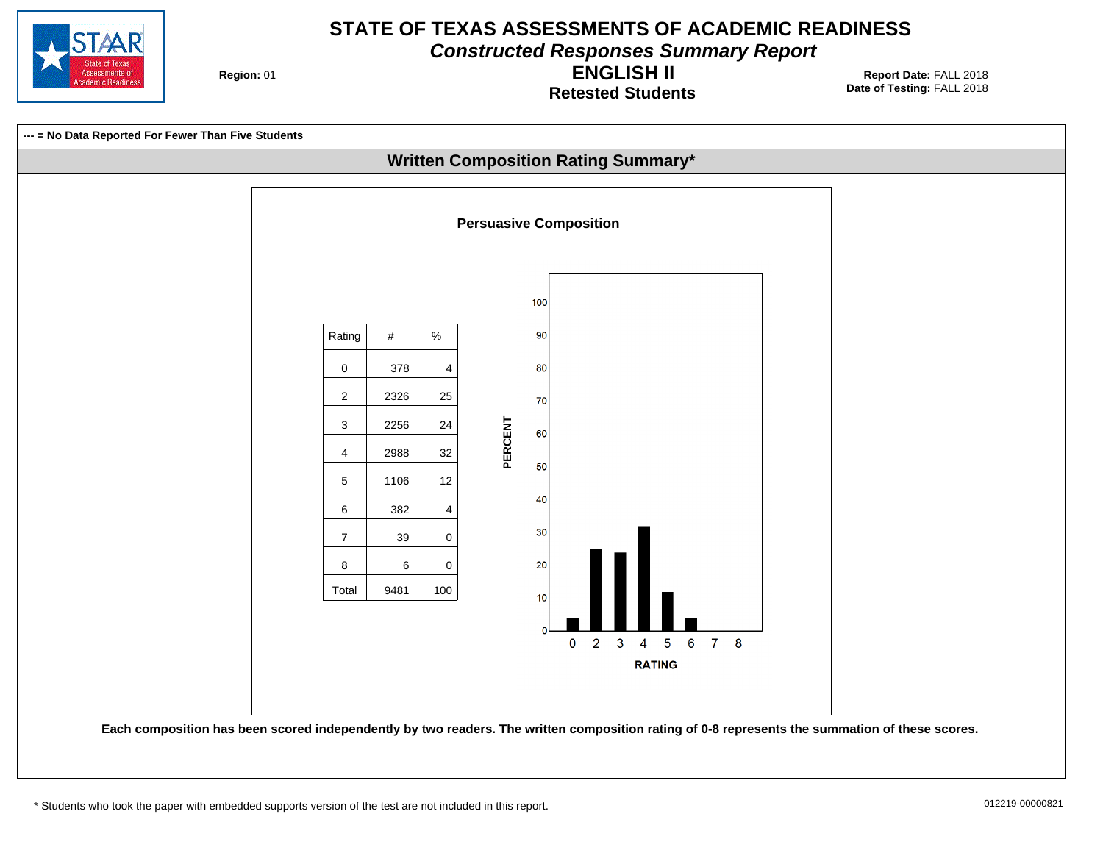

**Constructed Responses Summary Report**

**Region: 01** 

**Retested Students ENGLISH II**

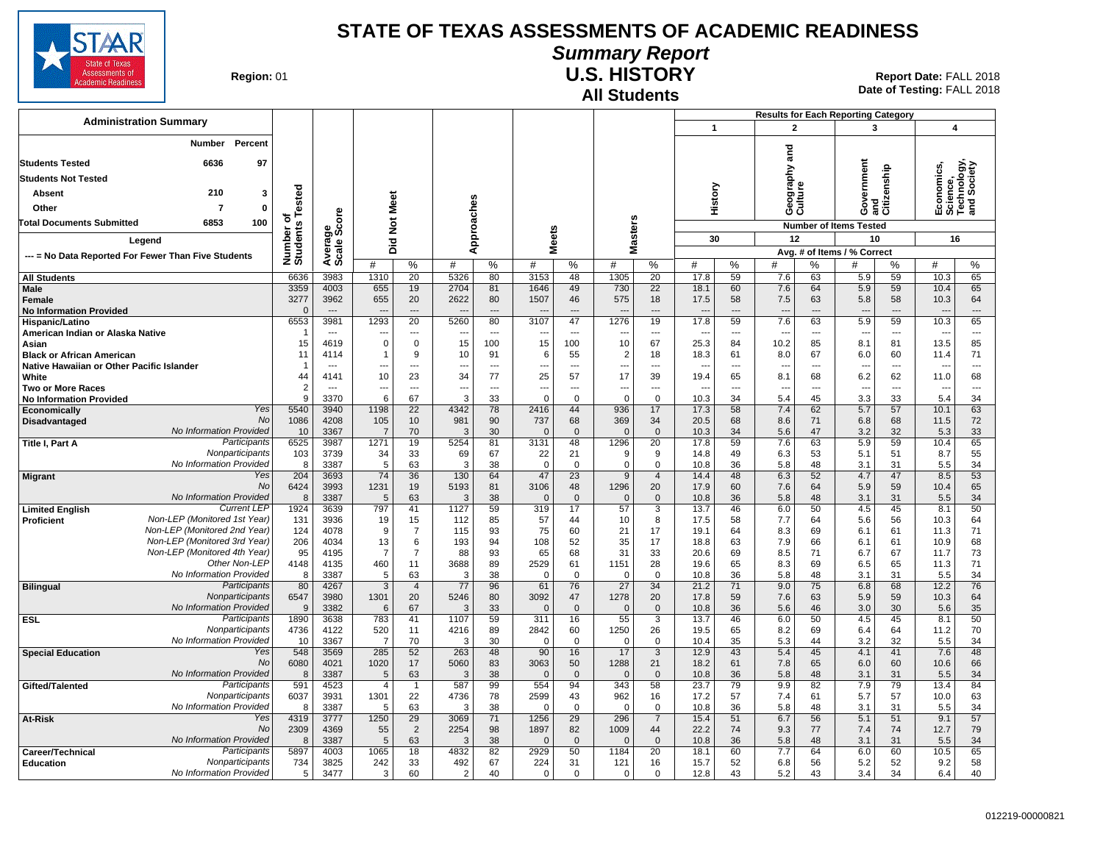

# **Summary Report**

**Region: 01** 

# **All Students**

**U.S. HISTORY** 01 **Report Date:** FALL 2018 **Date of Testing:**  FALL 2018

|                                                                                                   |                                |                          |                              |                               |                |                |                                      |                    |                     |                      |                |                | <b>Results for Each Reporting Category</b> |                             |                                 |                    |                                                      |                       |
|---------------------------------------------------------------------------------------------------|--------------------------------|--------------------------|------------------------------|-------------------------------|----------------|----------------|--------------------------------------|--------------------|---------------------|----------------------|----------------|----------------|--------------------------------------------|-----------------------------|---------------------------------|--------------------|------------------------------------------------------|-----------------------|
| <b>Administration Summary</b>                                                                     |                                |                          |                              |                               |                |                |                                      |                    |                     |                      | $\mathbf{1}$   |                | $\mathbf{2}$                               |                             | 3                               |                    | $\boldsymbol{4}$                                     |                       |
| <b>Number</b><br>Percent                                                                          |                                |                          |                              |                               |                |                |                                      |                    |                     |                      |                |                |                                            |                             |                                 |                    |                                                      |                       |
| 6636<br>97<br><b>Students Tested</b>                                                              |                                |                          |                              |                               |                |                |                                      |                    |                     |                      |                |                | nd<br>and                                  |                             |                                 |                    |                                                      |                       |
| <b>Students Not Tested</b>                                                                        |                                |                          |                              |                               |                |                |                                      |                    |                     |                      |                |                | Geography<br>Culture                       |                             | Government                      | and<br>Citizenship | Economics,<br>Science,<br>Technology,<br>and Society | hnology,<br>I Society |
| 210<br>3                                                                                          |                                |                          |                              |                               |                |                |                                      |                    |                     |                      |                |                |                                            |                             |                                 |                    |                                                      |                       |
| Absent                                                                                            | Tested                         |                          |                              |                               |                |                |                                      |                    |                     |                      | History        |                |                                            |                             |                                 |                    |                                                      |                       |
| $\overline{7}$<br>0<br>Other                                                                      | ৳                              | ő                        |                              |                               |                |                |                                      |                    |                     |                      |                |                |                                            |                             |                                 |                    |                                                      |                       |
| 6853<br>100<br>Total Documents Submitted                                                          | Number o<br>Students           | န္တပ္ကိ                  | Not Meet                     |                               | Approaches     |                |                                      |                    | Masters             |                      |                |                |                                            |                             | <b>Number of Items Tested</b>   |                    |                                                      |                       |
| Legend                                                                                            |                                |                          | Did                          |                               |                |                | <b>Meets</b>                         |                    |                     |                      | 30             |                | 12                                         |                             | 10                              |                    | 16                                                   |                       |
| --- = No Data Reported For Fewer Than Five Students                                               |                                | Avera<br>Scale           |                              |                               |                |                |                                      |                    |                     |                      |                |                |                                            | Avg. # of Items / % Correct |                                 |                    |                                                      |                       |
|                                                                                                   |                                |                          | #                            | $\%$                          | #              | %              | #                                    | %                  | #                   | %                    | #              | %              | #                                          | $\%$                        | #                               | %                  | #                                                    | %                     |
| <b>All Students</b><br>Male                                                                       | 6636<br>3359                   | 3983<br>4003             | 1310<br>655                  | 20<br>19                      | 5326<br>2704   | 80<br>81       | 3153<br>1646                         | 48<br>49           | 1305<br>730         | 20<br>22             | 17.8<br>18.1   | 59<br>60       | 7.6<br>7.6                                 | 63<br>64                    | 5.9<br>5.9                      | 59<br>59           | 10.3<br>10.4                                         | 65<br>65              |
| Female                                                                                            | 3277                           | 3962                     | 655                          | 20                            | 2622           | 80             | 1507                                 | 46                 | 575                 | 18                   | 17.5           | 58             | 7.5                                        | 63                          | 5.8                             | 58                 | 10.3                                                 | 64                    |
| <b>No Information Provided</b>                                                                    | $\Omega$                       | ---                      | $\sim$                       | $\overline{a}$                | $\overline{a}$ | ---            |                                      | $\overline{a}$     |                     | $\overline{a}$       | $\overline{a}$ | $\overline{a}$ | $\overline{a}$                             | ---                         | $\overline{\phantom{a}}$        | $\overline{a}$     | $\overline{\phantom{a}}$                             | $\overline{a}$        |
| Hispanic/Latino                                                                                   | 6553                           | 3981                     | 1293                         | 20                            | 5260           | 80             | 3107                                 | 47                 | 1276                | 19                   | 17.8           | 59             | 7.6                                        | 63                          | 5.9                             | 59                 | 10.3                                                 | 65                    |
| American Indian or Alaska Native                                                                  | -1<br>15                       | $\overline{a}$<br>4619   | $- - -$<br>$\mathbf 0$       | $\overline{a}$<br>$\mathbf 0$ | --<br>15       | $---$<br>100   | $\overline{a}$<br>15                 | $---$<br>100       | $\sim$<br>10        | $\overline{a}$<br>67 | $---$<br>25.3  | $---$<br>84    | $\sim$<br>10.2                             | $\overline{a}$<br>85        | $\overline{\phantom{a}}$<br>8.1 | $---$<br>81        | $\overline{a}$<br>13.5                               | $\overline{a}$<br>85  |
| Asian<br><b>Black or African American</b>                                                         | 11                             | 4114                     |                              | 9                             | 10             | 91             | 6                                    | 55                 | $\overline{2}$      | 18                   | 18.3           | 61             | 8.0                                        | 67                          | 6.0                             | 60                 | 11.4                                                 | 71                    |
| Native Hawaiian or Other Pacific Islander                                                         | -1                             | $---$                    | ---                          | ---                           | --             | $\overline{a}$ | ---                                  | $\overline{a}$     |                     | ---                  | $\overline{a}$ | $\sim$         | $\overline{a}$                             |                             | ---                             | $\overline{a}$     |                                                      | $\overline{a}$        |
| White                                                                                             | 44                             | 4141                     | 10                           | 23                            | 34             | 77             | 25                                   | 57                 | 17                  | 39                   | 19.4           | 65             | 8.1                                        | 68                          | 6.2                             | 62                 | 11.0                                                 | 68                    |
| <b>Two or More Races</b>                                                                          | $\overline{2}$<br>$\mathbf{q}$ | $\overline{\phantom{a}}$ | $\overline{a}$               | ---                           | −−             | ---            | $\overline{\phantom{a}}$<br>$\Omega$ | ---                | ---<br>$\Omega$     | ---                  | --             | $\overline{a}$ | $\overline{\phantom{a}}$                   | ---                         | $\overline{\phantom{a}}$        | ---                | $\overline{\phantom{a}}$                             | $\overline{a}$        |
| <b>No Information Provided</b><br>Yes<br>Economically                                             | 5540                           | 3370<br>3940             | 6<br>1198                    | 67<br>22                      | 3<br>4342      | 33<br>78       | 2416                                 | $\mathbf 0$<br>44  | 936                 | $\mathbf 0$<br>17    | 10.3<br>17.3   | 34<br>58       | 5.4<br>7.4                                 | 45<br>62                    | 3.3<br>5.7                      | 33<br>57           | 5.4<br>10.1                                          | 34<br>63              |
| No<br>Disadvantaged                                                                               | 1086                           | 4208                     | 105                          | 10                            | 981            | 90             | 737                                  | 68                 | 369                 | 34                   | 20.5           | 68             | 8.6                                        | 71                          | 6.8                             | 68                 | 11.5                                                 | 72                    |
| No Information Provided                                                                           | 10                             | 3367                     | $\overline{7}$               | 70                            | 3              | 30             | $\Omega$                             | $\Omega$           | $\Omega$            | $\Omega$             | 10.3           | 34             | 5.6                                        | 47                          | 3.2                             | 32                 | 5.3                                                  | 33                    |
| Participants<br>Title I, Part A                                                                   | 6525                           | 3987                     | 1271                         | 19                            | 5254           | 81             | 3131                                 | 48                 | 1296                | 20                   | 17.8           | 59             | 7.6                                        | 63                          | 5.9                             | 59                 | 10.4                                                 | 65                    |
| Nonparticipants<br>No Information Provided                                                        | 103<br>8                       | 3739<br>3387             | 34<br>5                      | 33<br>63                      | 69<br>3        | 67<br>38       | 22<br>$\Omega$                       | 21<br>$\mathbf 0$  | 9<br>$\mathbf 0$    | 9<br>$\Omega$        | 14.8<br>10.8   | 49<br>36       | 6.3<br>5.8                                 | 53<br>48                    | 5.1<br>3.1                      | 51<br>31           | 8.7<br>5.5                                           | 55<br>34              |
| Yes<br><b>Migrant</b>                                                                             | 204                            | 3693                     | 74                           | 36                            | 130            | 64             | 47                                   | 23                 | 9                   | $\overline{4}$       | 14.4           | 48             | 6.3                                        | 52                          | 4.7                             | 47                 | 8.5                                                  | 53                    |
| No                                                                                                | 6424                           | 3993                     | 1231                         | 19                            | 5193           | 81             | 3106                                 | 48                 | 1296                | 20                   | 17.9           | 60             | 7.6                                        | 64                          | 5.9                             | 59                 | 10.4                                                 | 65                    |
| No Information Provided                                                                           | 8                              | 3387                     | $\sqrt{5}$                   | 63                            | $\mathbf{3}$   | 38             | $\Omega$                             | $\mathbf 0$        | $\mathbf 0$         | $\mathbf 0$          | 10.8           | 36             | 5.8                                        | 48                          | 3.1                             | 31                 | 5.5                                                  | 34                    |
| <b>Current LEP</b><br><b>Limited English</b><br>Non-LEP (Monitored 1st Year)<br><b>Proficient</b> | 1924<br>131                    | 3639<br>3936             | 797<br>19                    | 41<br>15                      | 1127<br>112    | 59<br>85       | 319<br>57                            | 17<br>44           | 57<br>10            | 3<br>8               | 13.7<br>17.5   | 46<br>58       | 6.0<br>7.7                                 | 50<br>64                    | 4.5<br>5.6                      | 45<br>56           | 8.1<br>10.3                                          | 50<br>64              |
| Non-LEP (Monitored 2nd Year)                                                                      | 124                            | 4078                     | 9                            | $\overline{7}$                | 115            | 93             | 75                                   | 60                 | 21                  | 17                   | 19.1           | 64             | 8.3                                        | 69                          | 6.1                             | 61                 | 11.3                                                 | 71                    |
| Non-LEP (Monitored 3rd Year)                                                                      | 206                            | 4034                     | 13                           | 6                             | 193            | 94             | 108                                  | 52                 | 35                  | 17                   | 18.8           | 63             | 7.9                                        | 66                          | 6.1                             | 61                 | 10.9                                                 | 68                    |
| Non-LEP (Monitored 4th Year)                                                                      | 95                             | 4195                     | $\overline{7}$               | $\overline{7}$                | 88             | 93             | 65                                   | 68                 | 31                  | 33                   | 20.6           | 69             | 8.5                                        | 71                          | 6.7                             | 67                 | 11.7                                                 | 73                    |
| Other Non-LEP<br>No Information Provided                                                          | 4148<br>8                      | 4135<br>3387             | 460<br>5                     | 11<br>63                      | 3688<br>3      | 89<br>38       | 2529<br>$\Omega$                     | 61<br>$\mathbf 0$  | 1151<br>$\mathbf 0$ | 28<br>$\Omega$       | 19.6<br>10.8   | 65<br>36       | 8.3<br>5.8                                 | 69<br>48                    | 6.5<br>3.1                      | 65<br>31           | 11.3<br>5.5                                          | 71<br>34              |
| Participants<br><b>Bilingual</b>                                                                  | 80                             | 4267                     | 3                            | $\overline{4}$                | 77             | 96             | 61                                   | 76                 | 27                  | 34                   | 21.2           | 71             | 9.0                                        | 75                          | 6.8                             | 68                 | 12.2                                                 | 76                    |
| Nonparticipants                                                                                   | 6547                           | 3980                     | 1301                         | 20                            | 5246           | 80             | 3092                                 | 47                 | 1278                | 20                   | 17.8           | 59             | 7.6                                        | 63                          | 5.9                             | 59                 | 10.3                                                 | 64                    |
| No Information Provided                                                                           | 9                              | 3382                     | 6                            | 67                            | 3              | 33             | $\Omega$                             | $\mathbf{0}$       | $\mathbf{0}$        | $\mathbf{0}$         | 10.8           | 36             | 5.6                                        | 46                          | 3.0                             | 30                 | 5.6                                                  | 35                    |
| Participants<br><b>ESL</b><br>Nonparticipants                                                     | 1890<br>4736                   | 3638<br>4122             | 783<br>520                   | 41<br>11                      | 1107<br>4216   | 59<br>89       | 311<br>2842                          | 16<br>60           | 55<br>1250          | 3<br>26              | 13.7<br>19.5   | 46<br>65       | 6.0<br>8.2                                 | 50<br>69                    | 4.5<br>6.4                      | 45<br>64           | 8.1                                                  | 50<br>70              |
| No Information Provided                                                                           | 10                             | 3367                     | $\overline{7}$               | 70                            | 3              | 30             | $\Omega$                             | $\mathbf 0$        | $\Omega$            | $\mathbf 0$          | 10.4           | 35             | 5.3                                        | 44                          | 3.2                             | 32                 | 11.2<br>5.5                                          | 34                    |
| <b>Special Education</b><br>Yes                                                                   | 548                            | 3569                     | 285                          | 52                            | 263            | 48             | 90                                   | 16                 | 17                  | 3                    | 12.9           | 43             | 5.4                                        | 45                          | 4.1                             | 41                 | 7.6                                                  | 48                    |
| No                                                                                                | 6080                           | 4021                     | 1020                         | 17                            | 5060           | 83             | 3063                                 | 50                 | 1288                | 21                   | 18.2           | 61             | 7.8                                        | 65                          | 6.0                             | 60                 | 10.6                                                 | 66                    |
| No Information Provided<br>Participants                                                           | 8<br>591                       | 3387<br>4523             | $\sqrt{5}$<br>$\overline{4}$ | 63<br>-1                      | 3<br>587       | 38<br>99       | $\Omega$<br>554                      | $\mathbf{0}$<br>94 | $\Omega$<br>343     | $\mathbf{0}$<br>58   | 10.8<br>23.7   | 36<br>79       | 5.8<br>9.9                                 | 48<br>82                    | 3.1                             | 31<br>79           | 5.5                                                  | 34<br>84              |
| Gifted/Talented<br>Nonparticipants                                                                | 6037                           | 3931                     | 1301                         | 22                            | 4736           | 78             | 2599                                 | 43                 | 962                 | 16                   | 17.2           | 57             | 7.4                                        | 61                          | 7.9<br>5.7                      | 57                 | 13.4<br>10.0                                         | 63                    |
| No Information Provided                                                                           | 8                              | 3387                     | 5                            | 63                            | 3              | 38             | $\Omega$                             | $\mathbf 0$        | $\mathbf 0$         | $\mathbf 0$          | 10.8           | 36             | 5.8                                        | 48                          | 3.1                             | 31                 | 5.5                                                  | 34                    |
| Yes<br>At-Risk                                                                                    | 4319                           | 3777                     | 1250                         | 29                            | 3069           | 71             | 1256                                 | 29                 | 296                 | $\overline{7}$       | 15.4           | 51             | 6.7                                        | 56                          | 5.1                             | 51                 | 9.1                                                  | 57                    |
| No<br>No Information Provided                                                                     | 2309                           | 4369                     | 55                           | 2                             | 2254           | 98             | 1897                                 | 82                 | 1009                | 44                   | 22.2           | 74             | 9.3                                        | 77                          | 7.4                             | 74                 | 12.7                                                 | 79                    |
| Participants<br>Career/Technical                                                                  | 8<br>5897                      | 3387<br>4003             | 5<br>1065                    | 63<br>18                      | 3<br>4832      | 38<br>82       | $\Omega$<br>2929                     | $\mathbf{0}$<br>50 | $\Omega$<br>1184    | $\Omega$<br>20       | 10.8<br>18.1   | 36<br>60       | 5.8<br>7.7                                 | 48<br>64                    | 3.1<br>6.0                      | 31<br>60           | 5.5<br>10.5                                          | 34<br>65              |
| Nonparticipants<br><b>Education</b>                                                               | 734                            | 3825                     | 242                          | 33                            | 492            | 67             | 224                                  | 31                 | 121                 | 16                   | 15.7           | 52             | 6.8                                        | 56                          | 5.2                             | 52                 | 9.2                                                  | 58                    |
| No Information Provided                                                                           | 5                              | 3477                     | 3                            | 60                            | $\overline{2}$ | 40             | $\mathbf 0$                          | $\mathbf 0$        | $\mathbf 0$         | $\Omega$             | 12.8           | 43             | 5.2                                        | 43                          | 3.4                             | 34                 | 6.4                                                  | 40                    |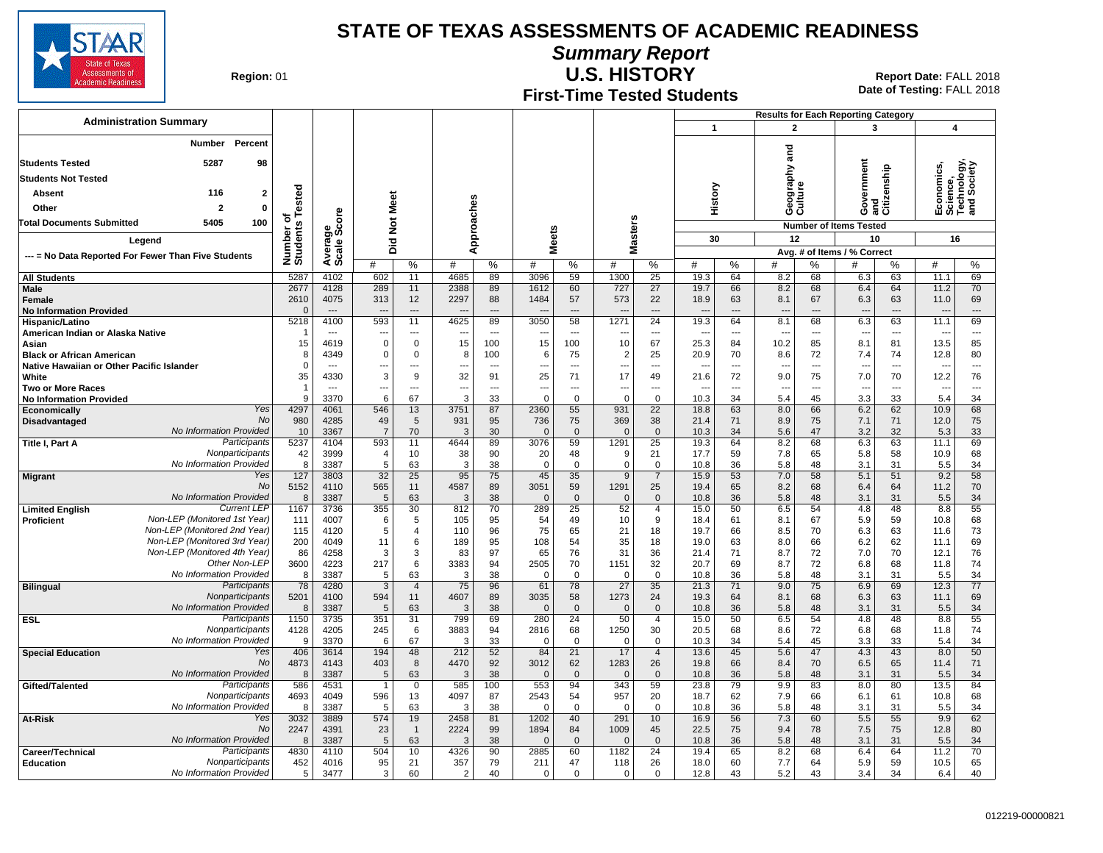

**Summary Report**

**Region: 01** 

#### **First-Time Tested Students U.S. HISTORY** 01 **Report Date:** FALL 2018

**Date of Testing:**  FALL 2018

|                                                 |                                                              |                                 |                      |                |                |                            |                |                                |                      |                      |                      |                                |                                  | <b>Results for Each Reporting Category</b> |                                 |                             |                                     |                |                                  |                          |
|-------------------------------------------------|--------------------------------------------------------------|---------------------------------|----------------------|----------------|----------------|----------------------------|----------------|--------------------------------|----------------------|----------------------|----------------------|--------------------------------|----------------------------------|--------------------------------------------|---------------------------------|-----------------------------|-------------------------------------|----------------|----------------------------------|--------------------------|
| <b>Administration Summary</b>                   |                                                              |                                 |                      |                |                |                            |                |                                |                      |                      |                      |                                | $\mathbf{1}$                     |                                            | $\mathbf{2}$                    |                             | 3                                   |                | $\overline{4}$                   |                          |
|                                                 | <b>Number</b><br>Percent                                     |                                 |                      |                |                |                            |                |                                |                      |                      |                      |                                |                                  |                                            |                                 |                             |                                     |                |                                  |                          |
| <b>Students Tested</b>                          | 5287<br>98                                                   |                                 |                      |                |                |                            |                |                                |                      |                      |                      |                                |                                  |                                            | and                             |                             |                                     |                |                                  |                          |
| <b>Students Not Tested</b>                      |                                                              |                                 |                      |                |                |                            |                |                                |                      |                      |                      |                                |                                  |                                            | Geography<br>Culture            |                             | Government                          | enship         | conomics                         | hnology,<br>Society      |
| <b>Absent</b>                                   | 116                                                          | $\mathbf{2}$                    |                      |                |                |                            |                |                                |                      |                      |                      |                                |                                  |                                            |                                 |                             |                                     |                | es                               |                          |
| Other                                           | $\mathbf{2}$                                                 | $\mathbf 0$                     | Tested               |                |                |                            |                |                                |                      |                      |                      |                                | History                          |                                            |                                 |                             |                                     | Ě<br>នីកី      | 흥<br>ទី ទី ខ្លី<br>ក្នុង ក្នុង   |                          |
| <b>Total Documents Submitted</b>                | 100<br>5405                                                  |                                 | ठ                    | ige<br>Score   | Did Not Meet   |                            | Approaches     |                                |                      |                      |                      |                                |                                  |                                            |                                 |                             |                                     |                |                                  |                          |
|                                                 |                                                              |                                 | Number o<br>Students |                |                |                            |                |                                | <b>Meets</b>         |                      | <b>Masters</b>       |                                | 30                               |                                            | 12                              |                             | <b>Number of Items Tested</b><br>10 |                | 16                               |                          |
| Legend                                          |                                                              |                                 | Averar<br>Scale      |                |                |                            |                |                                |                      |                      |                      |                                |                                  |                                            |                                 | Avg. # of Items / % Correct |                                     |                |                                  |                          |
|                                                 | --- = No Data Reported For Fewer Than Five Students          |                                 |                      |                | #              | %                          | #              | $\%$                           | #                    | %                    | #                    | %                              | #                                | %                                          | #                               | ℅                           | #                                   | %              | #                                | %                        |
| <b>All Students</b>                             |                                                              |                                 | 5287                 | 4102           | 602            | 11                         | 4685           | 89                             | 3096                 | 59                   | 1300                 | $\overline{25}$                | 19.3                             | 64                                         | 8.2                             | 68                          | 6.3                                 | 63             | 11.1                             | 69                       |
| Male                                            |                                                              |                                 | 2677<br>2610         | 4128           | 289            | 11<br>12                   | 2388<br>2297   | 89                             | 1612                 | 60                   | 727<br>573           | 27<br>22                       | 19.7                             | 66                                         | 8.2                             | 68                          | 6.4                                 | 64<br>63       | 11.2                             | 70<br>69                 |
| <b>Female</b><br><b>No Information Provided</b> |                                                              |                                 | $\Omega$             | 4075           | 313            | $\overline{a}$             |                | 88                             | 1484                 | 57<br>$\overline{a}$ |                      | $\overline{a}$                 | 18.9<br>$\overline{\phantom{a}}$ | 63                                         | 8.1<br>$\overline{\phantom{a}}$ | 67                          | 6.3<br>$\overline{\phantom{a}}$     | $\overline{a}$ | 11.0<br>$\overline{\phantom{a}}$ | $---$                    |
| Hispanic/Latino                                 |                                                              |                                 | 5218                 | 4100           | 593            | 11                         | 4625           | 89                             | 3050                 | 58                   | 1271                 | 24                             | 19.3                             | 64                                         | 8.1                             | 68                          | 6.3                                 | 63             | 11.1                             | 69                       |
| American Indian or Alaska Native                |                                                              |                                 |                      | $\overline{a}$ |                | ---                        |                | $\sim$                         |                      | $\overline{a}$       |                      | $\overline{a}$                 | $\overline{\phantom{a}}$         | $\overline{a}$                             | $\overline{\phantom{a}}$        | $\overline{a}$              | $\overline{\phantom{a}}$            | $\overline{a}$ |                                  | $\cdots$                 |
| Asian<br><b>Black or African American</b>       |                                                              |                                 | 15<br>8              | 4619<br>4349   | 0<br>0         | $\mathbf 0$<br>$\mathbf 0$ | 15<br>8        | 100<br>100                     | 15<br>6              | 100<br>75            | 10<br>$\overline{2}$ | 67<br>25                       | 25.3<br>20.9                     | 84<br>70                                   | 10.2<br>8.6                     | 85<br>72                    | 8.1<br>7.4                          | 81<br>74       | 13.5<br>12.8                     | 85<br>80                 |
| Native Hawaiian or Other Pacific Islander       |                                                              |                                 | $\Omega$             | $\overline{a}$ | ---            | $\overline{a}$             | ---            | $\sim$                         | ---                  | $\sim$               | $\overline{a}$       | $\overline{a}$                 | $-$                              | $\overline{a}$                             | ---                             | ---                         | $\sim$                              | $\overline{a}$ | $\overline{a}$                   | $\sim$                   |
| White                                           |                                                              |                                 | 35                   | 4330           | 3              | 9                          | 32             | 91                             | 25                   | 71                   | 17                   | 49                             | 21.6                             | 72                                         | 9.0                             | 75                          | 7.0                                 | 70             | 12.2                             | 76                       |
| Two or More Races                               |                                                              |                                 | <sub>9</sub>         | $-$            | ---            | ---<br>67                  | ---<br>3       | $\overline{\phantom{a}}$<br>33 | ---<br>$\mathbf 0$   | ---                  | ---                  | $\overline{\phantom{a}}$       | $\overline{a}$                   | $\overline{\phantom{a}}$                   | ---                             | ---                         | $\overline{\phantom{a}}$            | $\overline{a}$ | $\overline{\phantom{a}}$         | $\hspace{0.05cm} \ldots$ |
| <b>No Information Provided</b><br>Economically  |                                                              | Yes                             | 4297                 | 3370<br>4061   | 6<br>546       | 13                         | 3751           | 87                             | 2360                 | $\mathbf 0$<br>55    | $\mathbf 0$<br>931   | $\mathbf 0$<br>$\overline{22}$ | 10.3<br>18.8                     | 34<br>63                                   | 5.4<br>8.0                      | 45<br>66                    | 3.3<br>6.2                          | 33<br>62       | 5.4<br>10.9                      | 34<br>68                 |
| <b>Disadvantaged</b>                            |                                                              | No                              | 980                  | 4285           | 49             | 5                          | 931            | 95                             | 736                  | 75                   | 369                  | 38                             | 21.4                             | 71                                         | 8.9                             | 75                          | 7.1                                 | 71             | 12.0                             | 75                       |
|                                                 | No Information Provided                                      |                                 | 10                   | 3367           | $\overline{7}$ | 70                         | 3              | 30                             | $\mathbf 0$          | $\mathbf 0$          | $\mathbf 0$          | $\mathbf 0$                    | 10.3                             | 34                                         | 5.6                             | 47                          | 3.2                                 | 32             | 5.3                              | 33                       |
| Title I, Part A                                 |                                                              | Participants<br>Nonparticipants | 5237<br>42           | 4104<br>3999   | 593<br>4       | 11<br>10                   | 4644<br>38     | 89<br>90                       | 3076<br>20           | 59<br>48             | 1291<br>9            | 25<br>21                       | 19.3<br>17.7                     | 64<br>59                                   | 8.2<br>7.8                      | 68<br>65                    | 6.3<br>5.8                          | 63<br>58       | 11.1<br>10.9                     | 69<br>68                 |
|                                                 | No Information Provided                                      |                                 | 8                    | 3387           | 5              | 63                         | 3              | 38                             | $\mathbf 0$          | $\mathbf 0$          | $\mathbf 0$          | $\Omega$                       | 10.8                             | 36                                         | 5.8                             | 48                          | 3.1                                 | 31             | 5.5                              | 34                       |
| <b>Migrant</b>                                  |                                                              | Yes                             | 127                  | 3803           | 32             | 25                         | 95             | 75                             | 45                   | 35                   | 9                    | $\overline{7}$                 | 15.9                             | 53                                         | 7.0                             | 58                          | 5.1                                 | 51             | 9.2                              | 58                       |
|                                                 | No Information Provided                                      | No                              | 5152<br>8            | 4110           | 565<br>5       | 11<br>63                   | 4587<br>3      | 89<br>38                       | 3051<br>$\mathbf{0}$ | 59<br>$\mathbf 0$    | 1291<br>$\mathbf{0}$ | 25<br>$\mathbf 0$              | 19.4<br>10.8                     | 65<br>36                                   | 8.2<br>5.8                      | 68<br>48                    | 6.4                                 | 64<br>31       | 11.2<br>5.5                      | 70<br>34                 |
| <b>Limited English</b>                          |                                                              | <b>Current LEP</b>              | 1167                 | 3387<br>3736   | 355            | $\overline{30}$            | 812            | 70                             | 289                  | 25                   | 52                   | $\overline{4}$                 | 15.0                             | 50                                         | 6.5                             | 54                          | 3.1<br>4.8                          | 48             | 8.8                              | 55                       |
| <b>Proficient</b>                               | Non-LEP (Monitored 1st Year)                                 |                                 | 111                  | 4007           | 6              | 5                          | 105            | 95                             | 54                   | 49                   | 10                   | 9                              | 18.4                             | 61                                         | 8.1                             | 67                          | 5.9                                 | 59             | 10.8                             | 68                       |
|                                                 | Non-LEP (Monitored 2nd Year)                                 |                                 | 115                  | 4120           | 5              | $\overline{4}$             | 110            | 96                             | 75                   | 65                   | 21                   | 18                             | 19.7                             | 66                                         | 8.5                             | 70                          | 6.3                                 | 63             | 11.6                             | 73                       |
|                                                 | Non-LEP (Monitored 3rd Year)<br>Non-LEP (Monitored 4th Year) |                                 | 200<br>86            | 4049<br>4258   | 11<br>3        | 6<br>3                     | 189<br>83      | 95<br>97                       | 108<br>65            | 54<br>76             | 35<br>31             | 18<br>36                       | 19.0<br>21.4                     | 63<br>71                                   | 8.0<br>8.7                      | 66<br>72                    | 6.2<br>7.0                          | 62<br>70       | 11.1<br>12.1                     | 69<br>76                 |
|                                                 |                                                              | Other Non-LEP                   | 3600                 | 4223           | 217            | 6                          | 3383           | 94                             | 2505                 | 70                   | 1151                 | 32                             | 20.7                             | 69                                         | 8.7                             | 72                          | 6.8                                 | 68             | 11.8                             | 74                       |
|                                                 | No Information Provided                                      |                                 | 8                    | 3387           | 5              | 63                         | 3              | 38                             | $\mathbf 0$          | $\mathbf 0$          | $\Omega$             | $\mathbf 0$                    | 10.8                             | 36                                         | 5.8                             | 48                          | 3.1                                 | 31             | 5.5                              | 34                       |
| <b>Bilingual</b>                                |                                                              | Participants                    | 78                   | 4280           | 3              | $\overline{4}$             | 75             | 96                             | 61                   | 78                   | 27                   | 35                             | 21.3                             | 71                                         | 9.0                             | 75                          | 6.9                                 | 69             | 12.3                             | 77                       |
|                                                 | No Information Provided                                      | Nonparticipants                 | 5201<br>8            | 4100<br>3387   | 594<br>5       | 11<br>63                   | 4607<br>3      | 89<br>38                       | 3035<br>$\mathbf{0}$ | 58<br>$\mathbf{0}$   | 1273<br>$\Omega$     | 24<br>$\mathbf{0}$             | 19.3<br>10.8                     | 64<br>36                                   | 8.1<br>5.8                      | 68<br>48                    | 6.3<br>3.1                          | 63<br>31       | 11.1<br>5.5                      | 69<br>34                 |
| <b>ESL</b>                                      |                                                              | Participants                    | 1150                 | 3735           | 351            | 31                         | 799            | 69                             | 280                  | $\overline{24}$      | 50                   | $\overline{4}$                 | 15.0                             | 50                                         | 6.5                             | 54                          | 4.8                                 | 48             | 8.8                              | 55                       |
|                                                 |                                                              | Nonparticipants                 | 4128                 | 4205           | 245            | 6                          | 3883           | 94                             | 2816                 | 68                   | 1250                 | 30                             | 20.5                             | 68                                         | 8.6                             | 72                          | 6.8                                 | 68             | 11.8                             | 74                       |
| <b>Special Education</b>                        | No Information Provided                                      | Yes                             | 9<br>406             | 3370<br>3614   | 6<br>194       | 67<br>48                   | 3<br>212       | 33<br>52                       | $\mathbf 0$<br>84    | $\mathbf 0$<br>21    | $\Omega$<br>17       | $\mathbf 0$<br>$\overline{4}$  | 10.3<br>13.6                     | 34<br>45                                   | 5.4<br>5.6                      | 45<br>47                    | 3.3<br>4.3                          | 33<br>43       | 5.4<br>8.0                       | 34<br>50                 |
|                                                 |                                                              | No                              | 4873                 | 4143           | 403            | 8                          | 4470           | 92                             | 3012                 | 62                   | 1283                 | 26                             | 19.8                             | 66                                         | 8.4                             | 70                          | 6.5                                 | 65             | 11.4                             | 71                       |
|                                                 | No Information Provided                                      |                                 | 8                    | 3387           | 5              | 63                         | 3              | 38                             | $\mathbf 0$          | $\mathbf 0$          | $\mathbf 0$          | $\mathbf 0$                    | 10.8                             | 36                                         | 5.8                             | 48                          | 3.1                                 | 31             | 5.5                              | 34                       |
| Gifted/Talented                                 |                                                              | Participants                    | 586                  | 4531           | $\mathbf{1}$   | $\mathbf 0$                | 585            | 100                            | 553                  | 94                   | 343                  | 59                             | 23.8                             | 79                                         | 9.9                             | 83                          | 8.0                                 | 80             | 13.5                             | 84                       |
|                                                 | No Information Provided                                      | Nonparticipants                 | 4693<br>8            | 4049<br>3387   | 596<br>5       | 13<br>63                   | 4097<br>3      | 87<br>38                       | 2543<br>$\Omega$     | 54<br>$\Omega$       | 957<br>$\Omega$      | 20<br>$\Omega$                 | 18.7<br>10.8                     | 62<br>36                                   | 7.9<br>5.8                      | 66<br>48                    | 6.1<br>3.1                          | 61<br>31       | 10.8<br>5.5                      | 68<br>34                 |
| At-Risk                                         |                                                              | Yes                             | 3032                 | 3889           | 574            | 19                         | 2458           | 81                             | 1202                 | 40                   | 291                  | 10                             | 16.9                             | 56                                         | 7.3                             | 60                          | 5.5                                 | 55             | 9.9                              | 62                       |
|                                                 |                                                              | <b>No</b>                       | 2247                 | 4391           | 23             | $\overline{1}$             | 2224           | 99                             | 1894                 | 84                   | 1009                 | 45                             | 22.5                             | 75                                         | 9.4                             | 78                          | 7.5                                 | 75             | 12.8                             | 80                       |
|                                                 | No Information Provided                                      |                                 | 8                    | 3387           | 5              | 63                         | 3              | 38                             | $\mathbf{0}$         | $\mathbf{0}$         | $\Omega$             | $\mathbf{0}$                   | 10.8                             | 36                                         | 5.8                             | 48                          | 3.1                                 | 31             | 5.5                              | 34                       |
| Career/Technical<br><b>Education</b>            |                                                              | Participants<br>Nonparticipants | 4830<br>452          | 4110<br>4016   | 504<br>95      | 10<br>21                   | 4326<br>357    | 90<br>79                       | 2885<br>211          | 60<br>47             | 1182<br>118          | 24<br>26                       | 19.4<br>18.0                     | 65<br>60                                   | 8.2<br>7.7                      | 68<br>64                    | 6.4<br>5.9                          | 64<br>59       | 11.2<br>10.5                     | 70<br>65                 |
|                                                 | No Information Provided                                      |                                 | 5                    | 3477           | 3              | 60                         | $\overline{2}$ | 40                             | $\mathbf 0$          | $\Omega$             | $\Omega$             | $\Omega$                       | 12.8                             | 43                                         | 5.2                             | 43                          | 3.4                                 | 34             | 6.4                              | 40                       |